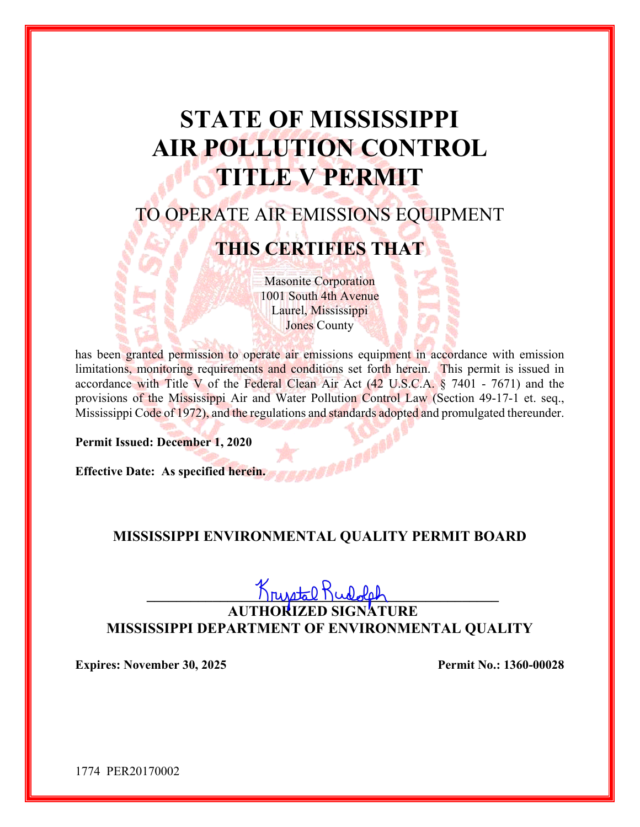# **STATE OF MISSISSIPPI AIR POLLUTION CONTROL TITLE V PERMIT**

# TO OPERATE AIR EMISSIONS EQUIPMENT

# **THIS CERTIFIES THAT**

Masonite Corporation 1001 South 4th Avenue Laurel, Mississippi Jones County

has been granted permission to operate air emissions equipment in accordance with emission limitations, monitoring requirements and conditions set forth herein. This permit is issued in accordance with Title V of the Federal Clean Air Act (42 U.S.C.A. § 7401 - 7671) and the provisions of the Mississippi Air and Water Pollution Control Law (Section 49-17-1 et. seq., Mississippi Code of 1972), and the regulations and standards adopted and promulgated thereunder.

**Permit Issued: December 1, 2020** 

**Effective Date: As specified herein.** 

### **MISSISSIPPI ENVIRONMENTAL QUALITY PERMIT BOARD**

**\_\_\_\_\_\_\_\_\_\_\_\_\_\_\_\_\_\_\_\_\_\_\_\_\_\_\_\_\_\_\_\_\_\_\_\_\_\_\_\_\_\_\_\_\_\_\_\_** 

**AUTHORIZED SIGNATURE MISSISSIPPI DEPARTMENT OF ENVIRONMENTAL QUALITY** 

**Expires: November 30, 2025** Permit No.: 1360-00028

1774 PER20170002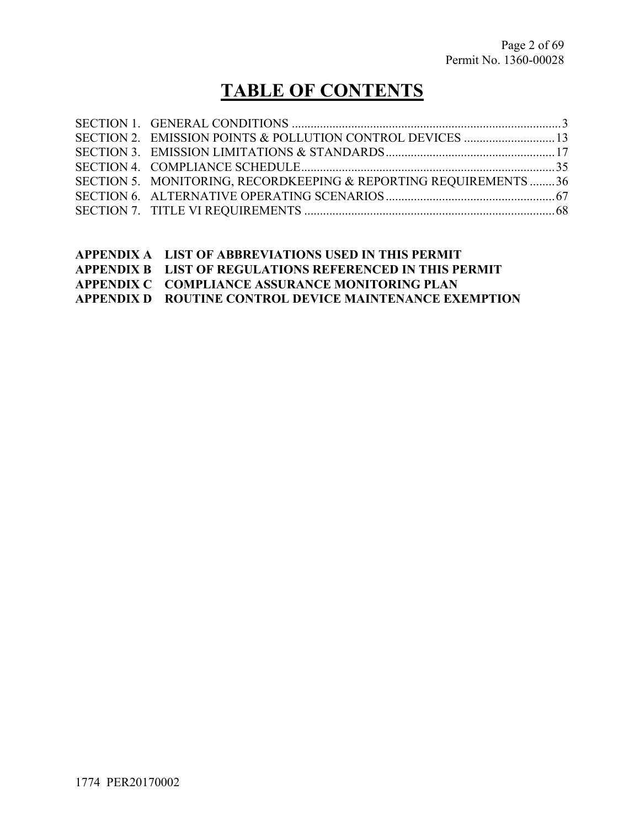# **TABLE OF CONTENTS**

| SECTION 5. MONITORING, RECORDKEEPING & REPORTING REQUIREMENTS36 |  |
|-----------------------------------------------------------------|--|
|                                                                 |  |
|                                                                 |  |
|                                                                 |  |

**APPENDIX B LIST OF REGULATIONS REFERENCED IN THIS PERMIT** 

**APPENDIX C COMPLIANCE ASSURANCE MONITORING PLAN** 

**APPENDIX D ROUTINE CONTROL DEVICE MAINTENANCE EXEMPTION**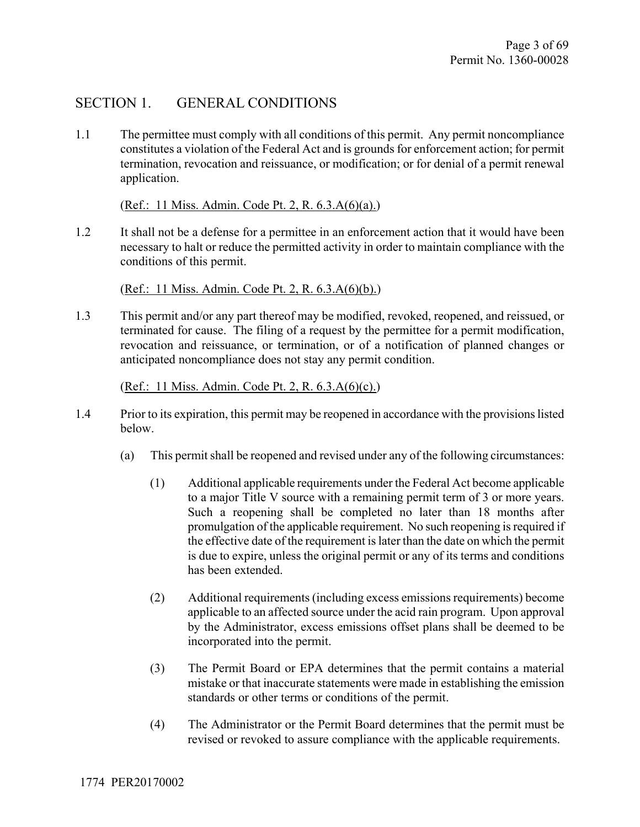# SECTION 1. GENERAL CONDITIONS

1.1 The permittee must comply with all conditions of this permit. Any permit noncompliance constitutes a violation of the Federal Act and is grounds for enforcement action; for permit termination, revocation and reissuance, or modification; or for denial of a permit renewal application.

(Ref.: 11 Miss. Admin. Code Pt. 2, R. 6.3.A(6)(a).)

1.2 It shall not be a defense for a permittee in an enforcement action that it would have been necessary to halt or reduce the permitted activity in order to maintain compliance with the conditions of this permit.

(Ref.: 11 Miss. Admin. Code Pt. 2, R. 6.3.A(6)(b).)

1.3 This permit and/or any part thereof may be modified, revoked, reopened, and reissued, or terminated for cause. The filing of a request by the permittee for a permit modification, revocation and reissuance, or termination, or of a notification of planned changes or anticipated noncompliance does not stay any permit condition.

(Ref.: 11 Miss. Admin. Code Pt. 2, R. 6.3.A(6)(c).)

- 1.4 Prior to its expiration, this permit may be reopened in accordance with the provisions listed below.
	- (a) This permit shall be reopened and revised under any of the following circumstances:
		- (1) Additional applicable requirements under the Federal Act become applicable to a major Title V source with a remaining permit term of 3 or more years. Such a reopening shall be completed no later than 18 months after promulgation of the applicable requirement. No such reopening is required if the effective date of the requirement is later than the date on which the permit is due to expire, unless the original permit or any of its terms and conditions has been extended.
		- (2) Additional requirements (including excess emissions requirements) become applicable to an affected source under the acid rain program. Upon approval by the Administrator, excess emissions offset plans shall be deemed to be incorporated into the permit.
		- (3) The Permit Board or EPA determines that the permit contains a material mistake or that inaccurate statements were made in establishing the emission standards or other terms or conditions of the permit.
		- (4) The Administrator or the Permit Board determines that the permit must be revised or revoked to assure compliance with the applicable requirements.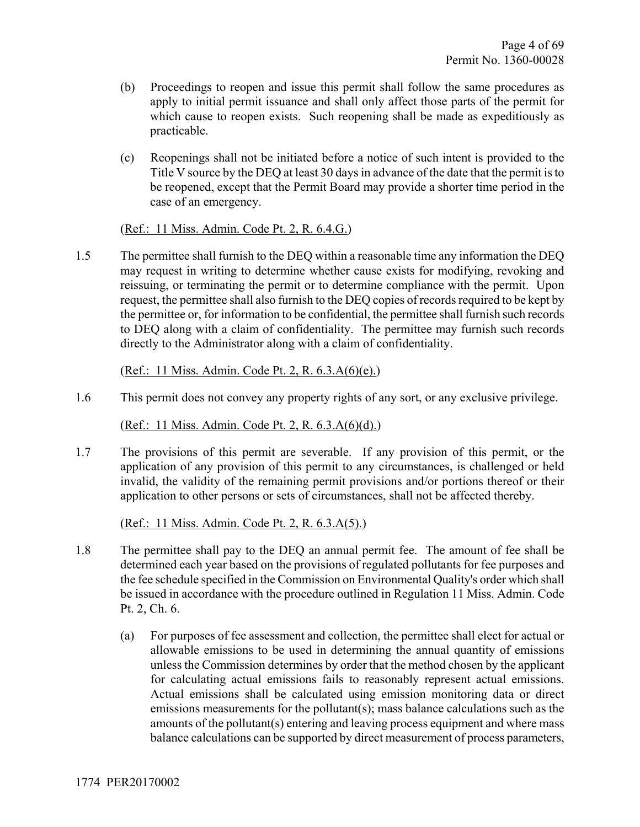- (b) Proceedings to reopen and issue this permit shall follow the same procedures as apply to initial permit issuance and shall only affect those parts of the permit for which cause to reopen exists. Such reopening shall be made as expeditiously as practicable.
- (c) Reopenings shall not be initiated before a notice of such intent is provided to the Title V source by the DEQ at least 30 days in advance of the date that the permit is to be reopened, except that the Permit Board may provide a shorter time period in the case of an emergency.

#### (Ref.: 11 Miss. Admin. Code Pt. 2, R. 6.4.G.)

1.5 The permittee shall furnish to the DEQ within a reasonable time any information the DEQ may request in writing to determine whether cause exists for modifying, revoking and reissuing, or terminating the permit or to determine compliance with the permit. Upon request, the permittee shall also furnish to the DEQ copies of records required to be kept by the permittee or, for information to be confidential, the permittee shall furnish such records to DEQ along with a claim of confidentiality. The permittee may furnish such records directly to the Administrator along with a claim of confidentiality.

#### (Ref.: 11 Miss. Admin. Code Pt. 2, R. 6.3.A(6)(e).)

1.6 This permit does not convey any property rights of any sort, or any exclusive privilege.

(Ref.: 11 Miss. Admin. Code Pt. 2, R. 6.3.A(6)(d).)

1.7 The provisions of this permit are severable. If any provision of this permit, or the application of any provision of this permit to any circumstances, is challenged or held invalid, the validity of the remaining permit provisions and/or portions thereof or their application to other persons or sets of circumstances, shall not be affected thereby.

(Ref.: 11 Miss. Admin. Code Pt. 2, R. 6.3.A(5).)

- 1.8 The permittee shall pay to the DEQ an annual permit fee. The amount of fee shall be determined each year based on the provisions of regulated pollutants for fee purposes and the fee schedule specified in the Commission on Environmental Quality's order which shall be issued in accordance with the procedure outlined in Regulation 11 Miss. Admin. Code Pt. 2, Ch. 6.
	- (a) For purposes of fee assessment and collection, the permittee shall elect for actual or allowable emissions to be used in determining the annual quantity of emissions unless the Commission determines by order that the method chosen by the applicant for calculating actual emissions fails to reasonably represent actual emissions. Actual emissions shall be calculated using emission monitoring data or direct emissions measurements for the pollutant(s); mass balance calculations such as the amounts of the pollutant(s) entering and leaving process equipment and where mass balance calculations can be supported by direct measurement of process parameters,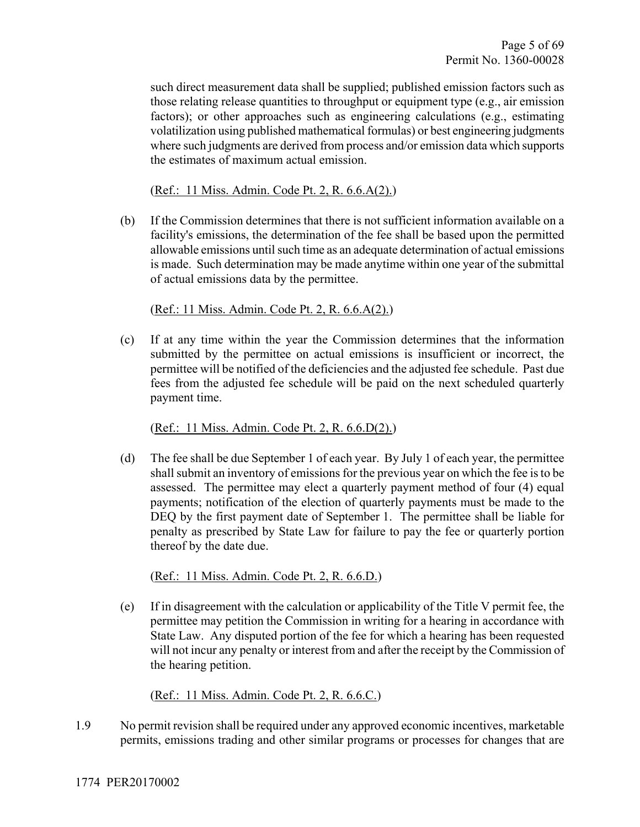such direct measurement data shall be supplied; published emission factors such as those relating release quantities to throughput or equipment type (e.g., air emission factors); or other approaches such as engineering calculations (e.g., estimating volatilization using published mathematical formulas) or best engineering judgments where such judgments are derived from process and/or emission data which supports the estimates of maximum actual emission.

(Ref.: 11 Miss. Admin. Code Pt. 2, R. 6.6.A(2).)

(b) If the Commission determines that there is not sufficient information available on a facility's emissions, the determination of the fee shall be based upon the permitted allowable emissions until such time as an adequate determination of actual emissions is made. Such determination may be made anytime within one year of the submittal of actual emissions data by the permittee.

(Ref.: 11 Miss. Admin. Code Pt. 2, R. 6.6.A(2).)

(c) If at any time within the year the Commission determines that the information submitted by the permittee on actual emissions is insufficient or incorrect, the permittee will be notified of the deficiencies and the adjusted fee schedule. Past due fees from the adjusted fee schedule will be paid on the next scheduled quarterly payment time.

(Ref.: 11 Miss. Admin. Code Pt. 2, R. 6.6.D(2).)

(d) The fee shall be due September 1 of each year. By July 1 of each year, the permittee shall submit an inventory of emissions for the previous year on which the fee is to be assessed. The permittee may elect a quarterly payment method of four (4) equal payments; notification of the election of quarterly payments must be made to the DEQ by the first payment date of September 1. The permittee shall be liable for penalty as prescribed by State Law for failure to pay the fee or quarterly portion thereof by the date due.

(Ref.: 11 Miss. Admin. Code Pt. 2, R. 6.6.D.)

(e) If in disagreement with the calculation or applicability of the Title V permit fee, the permittee may petition the Commission in writing for a hearing in accordance with State Law. Any disputed portion of the fee for which a hearing has been requested will not incur any penalty or interest from and after the receipt by the Commission of the hearing petition.

(Ref.: 11 Miss. Admin. Code Pt. 2, R. 6.6.C.)

1.9 No permit revision shall be required under any approved economic incentives, marketable permits, emissions trading and other similar programs or processes for changes that are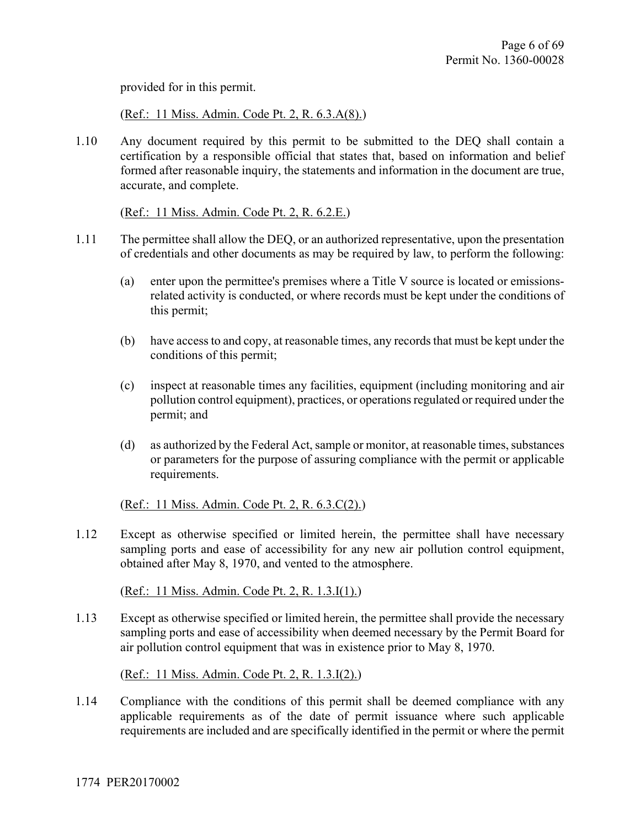provided for in this permit.

(Ref.: 11 Miss. Admin. Code Pt. 2, R. 6.3.A(8).)

1.10 Any document required by this permit to be submitted to the DEQ shall contain a certification by a responsible official that states that, based on information and belief formed after reasonable inquiry, the statements and information in the document are true, accurate, and complete.

(Ref.: 11 Miss. Admin. Code Pt. 2, R. 6.2.E.)

- 1.11 The permittee shall allow the DEQ, or an authorized representative, upon the presentation of credentials and other documents as may be required by law, to perform the following:
	- (a) enter upon the permittee's premises where a Title V source is located or emissionsrelated activity is conducted, or where records must be kept under the conditions of this permit;
	- (b) have access to and copy, at reasonable times, any records that must be kept under the conditions of this permit;
	- (c) inspect at reasonable times any facilities, equipment (including monitoring and air pollution control equipment), practices, or operations regulated or required under the permit; and
	- (d) as authorized by the Federal Act, sample or monitor, at reasonable times, substances or parameters for the purpose of assuring compliance with the permit or applicable requirements.

(Ref.: 11 Miss. Admin. Code Pt. 2, R. 6.3.C(2).)

1.12 Except as otherwise specified or limited herein, the permittee shall have necessary sampling ports and ease of accessibility for any new air pollution control equipment, obtained after May 8, 1970, and vented to the atmosphere.

(Ref.: 11 Miss. Admin. Code Pt. 2, R. 1.3.I(1).)

1.13 Except as otherwise specified or limited herein, the permittee shall provide the necessary sampling ports and ease of accessibility when deemed necessary by the Permit Board for air pollution control equipment that was in existence prior to May 8, 1970.

(Ref.: 11 Miss. Admin. Code Pt. 2, R. 1.3.I(2).)

1.14 Compliance with the conditions of this permit shall be deemed compliance with any applicable requirements as of the date of permit issuance where such applicable requirements are included and are specifically identified in the permit or where the permit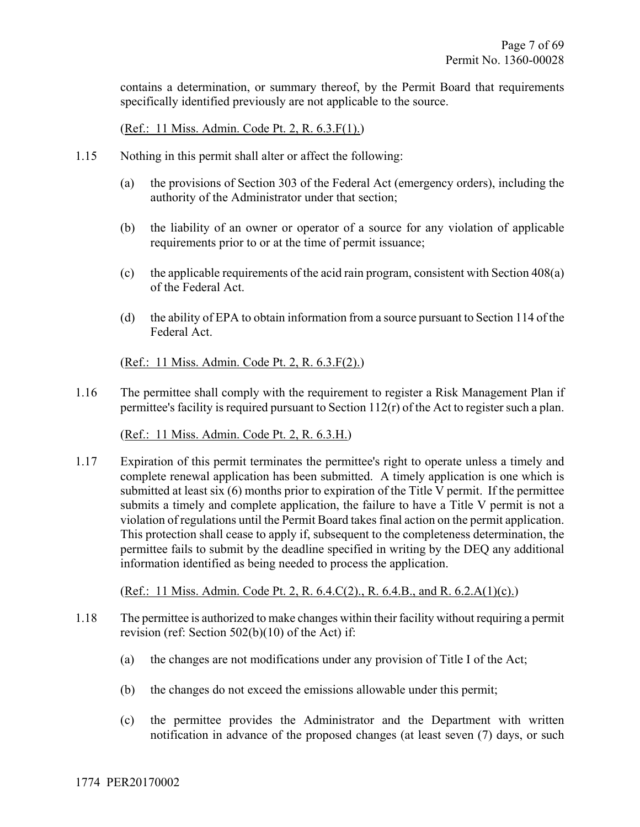contains a determination, or summary thereof, by the Permit Board that requirements specifically identified previously are not applicable to the source.

(Ref.: 11 Miss. Admin. Code Pt. 2, R. 6.3.F(1).)

- 1.15 Nothing in this permit shall alter or affect the following:
	- (a) the provisions of Section 303 of the Federal Act (emergency orders), including the authority of the Administrator under that section;
	- (b) the liability of an owner or operator of a source for any violation of applicable requirements prior to or at the time of permit issuance;
	- (c) the applicable requirements of the acid rain program, consistent with Section 408(a) of the Federal Act.
	- (d) the ability of EPA to obtain information from a source pursuant to Section 114 of the Federal Act.

(Ref.: 11 Miss. Admin. Code Pt. 2, R. 6.3.F(2).)

1.16 The permittee shall comply with the requirement to register a Risk Management Plan if permittee's facility is required pursuant to Section 112(r) of the Act to register such a plan.

(Ref.: 11 Miss. Admin. Code Pt. 2, R. 6.3.H.)

1.17 Expiration of this permit terminates the permittee's right to operate unless a timely and complete renewal application has been submitted. A timely application is one which is submitted at least six (6) months prior to expiration of the Title V permit. If the permittee submits a timely and complete application, the failure to have a Title V permit is not a violation of regulations until the Permit Board takes final action on the permit application. This protection shall cease to apply if, subsequent to the completeness determination, the permittee fails to submit by the deadline specified in writing by the DEQ any additional information identified as being needed to process the application.

(Ref.: 11 Miss. Admin. Code Pt. 2, R. 6.4.C(2)., R. 6.4.B., and R. 6.2.A(1)(c).)

- 1.18 The permittee is authorized to make changes within their facility without requiring a permit revision (ref: Section 502(b)(10) of the Act) if:
	- (a) the changes are not modifications under any provision of Title I of the Act;
	- (b) the changes do not exceed the emissions allowable under this permit;
	- (c) the permittee provides the Administrator and the Department with written notification in advance of the proposed changes (at least seven (7) days, or such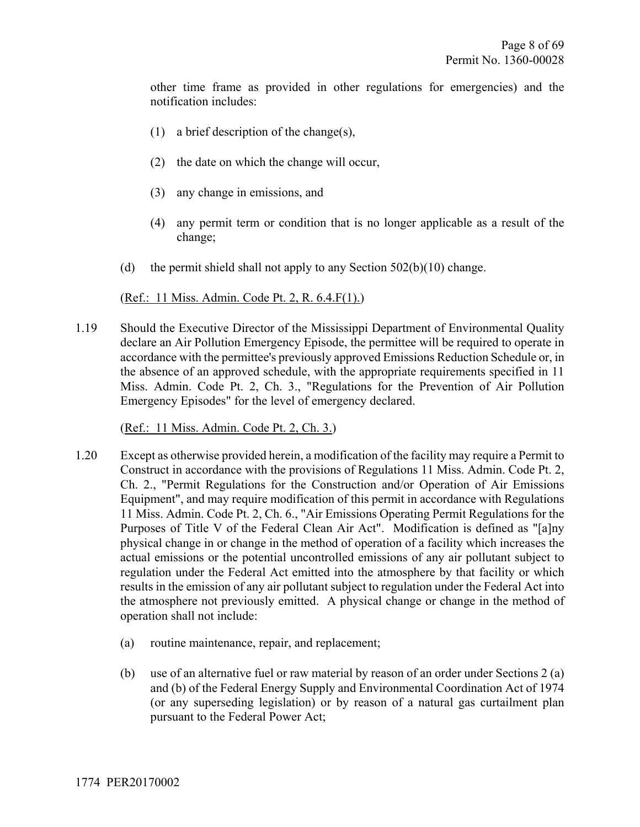other time frame as provided in other regulations for emergencies) and the notification includes:

- (1) a brief description of the change(s),
- (2) the date on which the change will occur,
- (3) any change in emissions, and
- (4) any permit term or condition that is no longer applicable as a result of the change;
- (d) the permit shield shall not apply to any Section  $502(b)(10)$  change.

#### (Ref.: 11 Miss. Admin. Code Pt. 2, R. 6.4.F(1).)

1.19 Should the Executive Director of the Mississippi Department of Environmental Quality declare an Air Pollution Emergency Episode, the permittee will be required to operate in accordance with the permittee's previously approved Emissions Reduction Schedule or, in the absence of an approved schedule, with the appropriate requirements specified in 11 Miss. Admin. Code Pt. 2, Ch. 3., "Regulations for the Prevention of Air Pollution Emergency Episodes" for the level of emergency declared.

(Ref.: 11 Miss. Admin. Code Pt. 2, Ch. 3.)

- 1.20 Except as otherwise provided herein, a modification of the facility may require a Permit to Construct in accordance with the provisions of Regulations 11 Miss. Admin. Code Pt. 2, Ch. 2., "Permit Regulations for the Construction and/or Operation of Air Emissions Equipment", and may require modification of this permit in accordance with Regulations 11 Miss. Admin. Code Pt. 2, Ch. 6., "Air Emissions Operating Permit Regulations for the Purposes of Title V of the Federal Clean Air Act". Modification is defined as "[a]ny physical change in or change in the method of operation of a facility which increases the actual emissions or the potential uncontrolled emissions of any air pollutant subject to regulation under the Federal Act emitted into the atmosphere by that facility or which results in the emission of any air pollutant subject to regulation under the Federal Act into the atmosphere not previously emitted. A physical change or change in the method of operation shall not include:
	- (a) routine maintenance, repair, and replacement;
	- (b) use of an alternative fuel or raw material by reason of an order under Sections 2 (a) and (b) of the Federal Energy Supply and Environmental Coordination Act of 1974 (or any superseding legislation) or by reason of a natural gas curtailment plan pursuant to the Federal Power Act;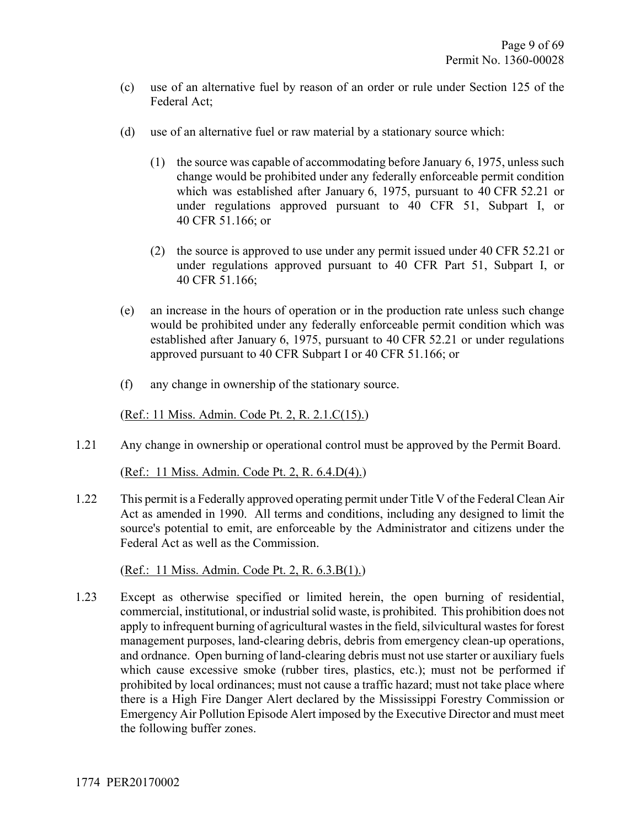- (c) use of an alternative fuel by reason of an order or rule under Section 125 of the Federal Act;
- (d) use of an alternative fuel or raw material by a stationary source which:
	- (1) the source was capable of accommodating before January 6, 1975, unless such change would be prohibited under any federally enforceable permit condition which was established after January 6, 1975, pursuant to 40 CFR 52.21 or under regulations approved pursuant to 40 CFR 51, Subpart I, or 40 CFR 51.166; or
	- (2) the source is approved to use under any permit issued under 40 CFR 52.21 or under regulations approved pursuant to 40 CFR Part 51, Subpart I, or 40 CFR 51.166;
- (e) an increase in the hours of operation or in the production rate unless such change would be prohibited under any federally enforceable permit condition which was established after January 6, 1975, pursuant to 40 CFR 52.21 or under regulations approved pursuant to 40 CFR Subpart I or 40 CFR 51.166; or
- (f) any change in ownership of the stationary source.

(Ref.: 11 Miss. Admin. Code Pt. 2, R. 2.1.C(15).)

1.21 Any change in ownership or operational control must be approved by the Permit Board.

(Ref.: 11 Miss. Admin. Code Pt. 2, R. 6.4.D(4).)

1.22 This permit is a Federally approved operating permit under Title V of the Federal Clean Air Act as amended in 1990. All terms and conditions, including any designed to limit the source's potential to emit, are enforceable by the Administrator and citizens under the Federal Act as well as the Commission.

(Ref.: 11 Miss. Admin. Code Pt. 2, R. 6.3.B(1).)

1.23 Except as otherwise specified or limited herein, the open burning of residential, commercial, institutional, or industrial solid waste, is prohibited. This prohibition does not apply to infrequent burning of agricultural wastes in the field, silvicultural wastes for forest management purposes, land-clearing debris, debris from emergency clean-up operations, and ordnance. Open burning of land-clearing debris must not use starter or auxiliary fuels which cause excessive smoke (rubber tires, plastics, etc.); must not be performed if prohibited by local ordinances; must not cause a traffic hazard; must not take place where there is a High Fire Danger Alert declared by the Mississippi Forestry Commission or Emergency Air Pollution Episode Alert imposed by the Executive Director and must meet the following buffer zones.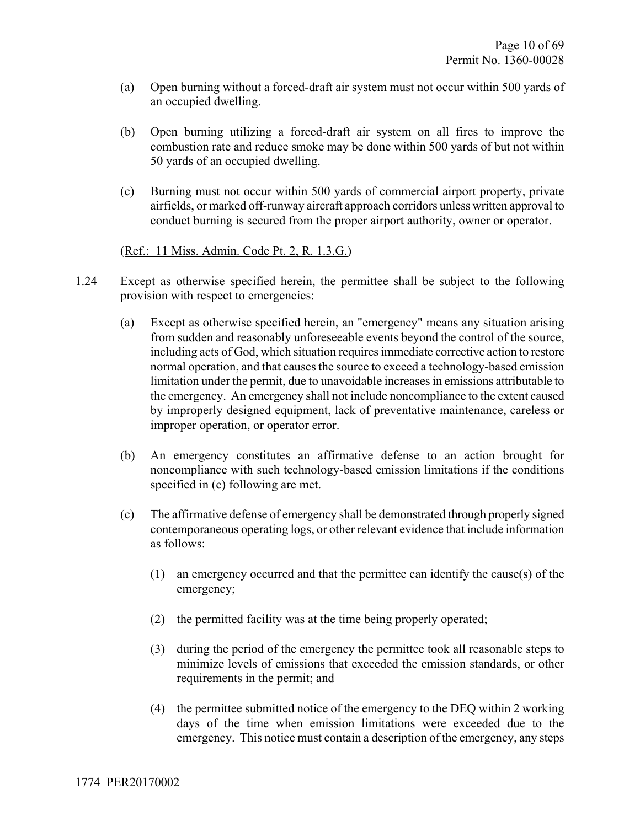- (a) Open burning without a forced-draft air system must not occur within 500 yards of an occupied dwelling.
- (b) Open burning utilizing a forced-draft air system on all fires to improve the combustion rate and reduce smoke may be done within 500 yards of but not within 50 yards of an occupied dwelling.
- (c) Burning must not occur within 500 yards of commercial airport property, private airfields, or marked off-runway aircraft approach corridors unless written approval to conduct burning is secured from the proper airport authority, owner or operator.

(Ref.: 11 Miss. Admin. Code Pt. 2, R. 1.3.G.)

- 1.24 Except as otherwise specified herein, the permittee shall be subject to the following provision with respect to emergencies:
	- (a) Except as otherwise specified herein, an "emergency" means any situation arising from sudden and reasonably unforeseeable events beyond the control of the source, including acts of God, which situation requires immediate corrective action to restore normal operation, and that causes the source to exceed a technology-based emission limitation under the permit, due to unavoidable increases in emissions attributable to the emergency. An emergency shall not include noncompliance to the extent caused by improperly designed equipment, lack of preventative maintenance, careless or improper operation, or operator error.
	- (b) An emergency constitutes an affirmative defense to an action brought for noncompliance with such technology-based emission limitations if the conditions specified in (c) following are met.
	- (c) The affirmative defense of emergency shall be demonstrated through properly signed contemporaneous operating logs, or other relevant evidence that include information as follows:
		- (1) an emergency occurred and that the permittee can identify the cause(s) of the emergency;
		- (2) the permitted facility was at the time being properly operated;
		- (3) during the period of the emergency the permittee took all reasonable steps to minimize levels of emissions that exceeded the emission standards, or other requirements in the permit; and
		- (4) the permittee submitted notice of the emergency to the DEQ within 2 working days of the time when emission limitations were exceeded due to the emergency. This notice must contain a description of the emergency, any steps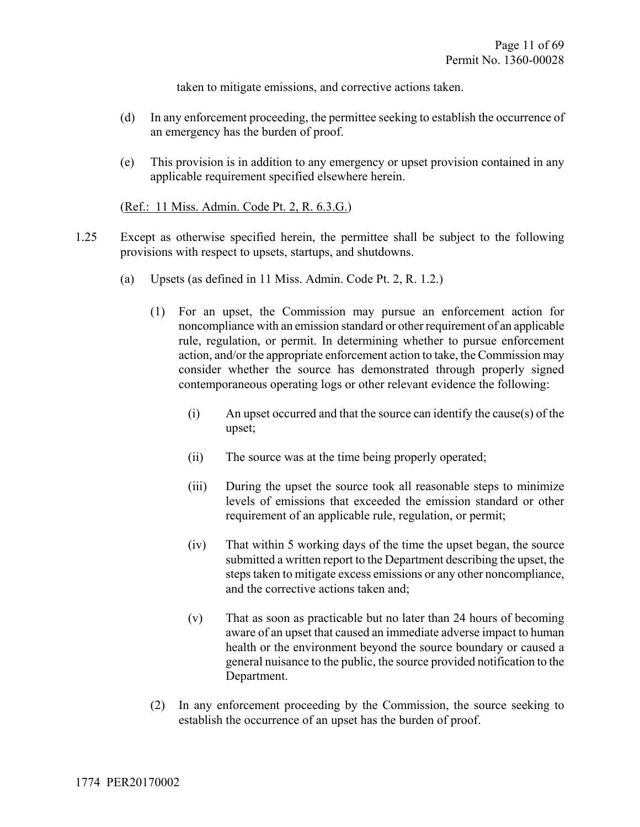taken to mitigate emissions, and corrective actions taken.

- (d) In any enforcement proceeding, the permittee seeking to establish the occurrence of an emergency has the burden of proof.
- (e) This provision is in addition to any emergency or upset provision contained in any applicable requirement specified elsewhere herein.

#### (Ref.: 11 Miss. Admin. Code Pt. 2, R. 6.3.G.)

- 1.25 Except as otherwise specified herein, the permittee shall be subject to the following provisions with respect to upsets, startups, and shutdowns.
	- (a) Upsets (as defined in 11 Miss. Admin. Code Pt. 2, R. 1.2.)
		- (1) For an upset, the Commission may pursue an enforcement action for noncompliance with an emission standard or other requirement of an applicable rule, regulation, or permit. In determining whether to pursue enforcement action, and/or the appropriate enforcement action to take, the Commission may consider whether the source has demonstrated through properly signed contemporaneous operating logs or other relevant evidence the following:
			- (i) An upset occurred and that the source can identify the cause(s) of the upset;
			- (ii) The source was at the time being properly operated;
			- (iii) During the upset the source took all reasonable steps to minimize levels of emissions that exceeded the emission standard or other requirement of an applicable rule, regulation, or permit;
			- (iv) That within 5 working days of the time the upset began, the source submitted a written report to the Department describing the upset, the steps taken to mitigate excess emissions or any other noncompliance, and the corrective actions taken and;
			- (v) That as soon as practicable but no later than 24 hours of becoming aware of an upset that caused an immediate adverse impact to human health or the environment beyond the source boundary or caused a general nuisance to the public, the source provided notification to the Department.
		- (2) In any enforcement proceeding by the Commission, the source seeking to establish the occurrence of an upset has the burden of proof.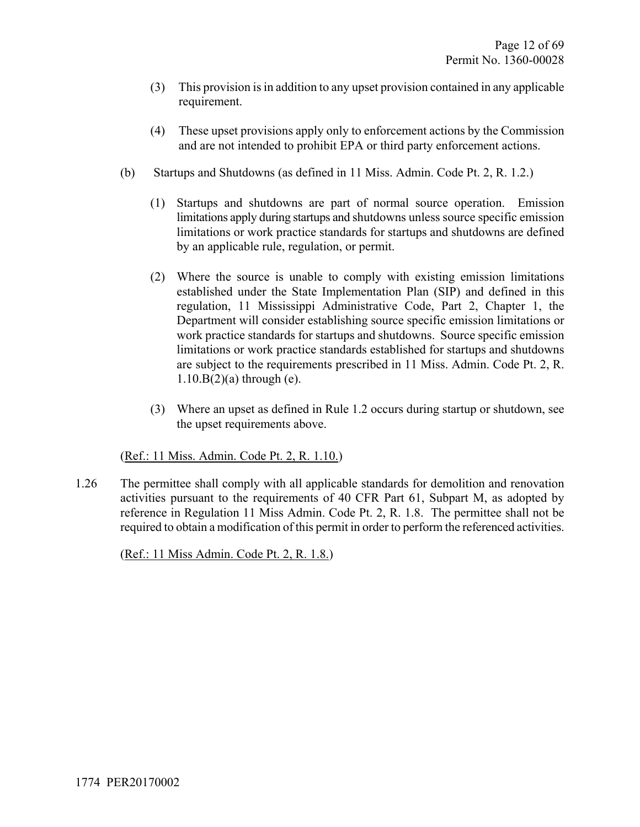- (3) This provision is in addition to any upset provision contained in any applicable requirement.
- (4) These upset provisions apply only to enforcement actions by the Commission and are not intended to prohibit EPA or third party enforcement actions.
- (b) Startups and Shutdowns (as defined in 11 Miss. Admin. Code Pt. 2, R. 1.2.)
	- (1) Startups and shutdowns are part of normal source operation. Emission limitations apply during startups and shutdowns unless source specific emission limitations or work practice standards for startups and shutdowns are defined by an applicable rule, regulation, or permit.
	- (2) Where the source is unable to comply with existing emission limitations established under the State Implementation Plan (SIP) and defined in this regulation, 11 Mississippi Administrative Code, Part 2, Chapter 1, the Department will consider establishing source specific emission limitations or work practice standards for startups and shutdowns. Source specific emission limitations or work practice standards established for startups and shutdowns are subject to the requirements prescribed in 11 Miss. Admin. Code Pt. 2, R. 1.10.B(2)(a) through (e).
	- (3) Where an upset as defined in Rule 1.2 occurs during startup or shutdown, see the upset requirements above.

(Ref.: 11 Miss. Admin. Code Pt. 2, R. 1.10.)

1.26 The permittee shall comply with all applicable standards for demolition and renovation activities pursuant to the requirements of 40 CFR Part 61, Subpart M, as adopted by reference in Regulation 11 Miss Admin. Code Pt. 2, R. 1.8. The permittee shall not be required to obtain a modification of this permit in order to perform the referenced activities.

(Ref.: 11 Miss Admin. Code Pt. 2, R. 1.8.)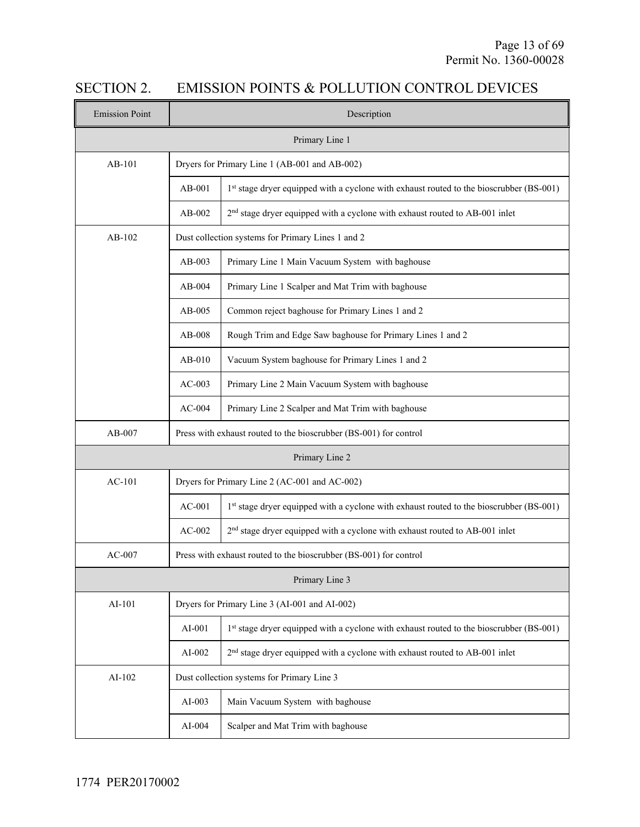# SECTION 2. EMISSION POINTS & POLLUTION CONTROL DEVICES

| <b>Emission Point</b> | Description                                                       |                                                                                         |  |  |  |
|-----------------------|-------------------------------------------------------------------|-----------------------------------------------------------------------------------------|--|--|--|
| Primary Line 1        |                                                                   |                                                                                         |  |  |  |
| $AB-101$              | Dryers for Primary Line 1 (AB-001 and AB-002)                     |                                                                                         |  |  |  |
|                       | $AB-001$                                                          | 1st stage dryer equipped with a cyclone with exhaust routed to the bioscrubber (BS-001) |  |  |  |
|                       | $AB-002$                                                          | 2 <sup>nd</sup> stage dryer equipped with a cyclone with exhaust routed to AB-001 inlet |  |  |  |
| $AB-102$              |                                                                   | Dust collection systems for Primary Lines 1 and 2                                       |  |  |  |
|                       | $AB-003$                                                          | Primary Line 1 Main Vacuum System with baghouse                                         |  |  |  |
|                       | $AB-004$                                                          | Primary Line 1 Scalper and Mat Trim with baghouse                                       |  |  |  |
|                       | $AB-005$                                                          | Common reject baghouse for Primary Lines 1 and 2                                        |  |  |  |
|                       | AB-008                                                            | Rough Trim and Edge Saw baghouse for Primary Lines 1 and 2                              |  |  |  |
|                       | $AB-010$                                                          | Vacuum System baghouse for Primary Lines 1 and 2                                        |  |  |  |
|                       | $AC-003$                                                          | Primary Line 2 Main Vacuum System with baghouse                                         |  |  |  |
|                       | $AC-004$                                                          | Primary Line 2 Scalper and Mat Trim with baghouse                                       |  |  |  |
| $AB-007$              | Press with exhaust routed to the bioscrubber (BS-001) for control |                                                                                         |  |  |  |
|                       | Primary Line 2                                                    |                                                                                         |  |  |  |
| $AC-101$              | Dryers for Primary Line 2 (AC-001 and AC-002)                     |                                                                                         |  |  |  |
|                       | $AC-001$                                                          | 1st stage dryer equipped with a cyclone with exhaust routed to the bioscrubber (BS-001) |  |  |  |
|                       | $AC-002$                                                          | 2 <sup>nd</sup> stage dryer equipped with a cyclone with exhaust routed to AB-001 inlet |  |  |  |
| $AC-007$              |                                                                   | Press with exhaust routed to the bioscrubber (BS-001) for control                       |  |  |  |
|                       |                                                                   | Primary Line 3                                                                          |  |  |  |
| AI-101                | Dryers for Primary Line 3 (AI-001 and AI-002)                     |                                                                                         |  |  |  |
|                       | AI-001                                                            | 1st stage dryer equipped with a cyclone with exhaust routed to the bioscrubber (BS-001) |  |  |  |
|                       | $AI-002$                                                          | 2 <sup>nd</sup> stage dryer equipped with a cyclone with exhaust routed to AB-001 inlet |  |  |  |
| AI-102                |                                                                   | Dust collection systems for Primary Line 3                                              |  |  |  |
|                       | $AI-003$                                                          | Main Vacuum System with baghouse                                                        |  |  |  |
|                       | AI-004                                                            | Scalper and Mat Trim with baghouse                                                      |  |  |  |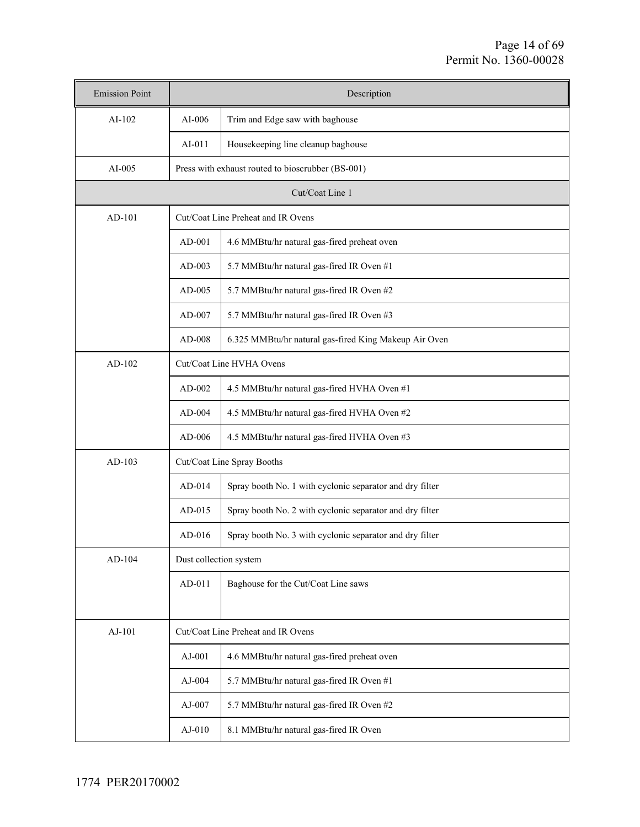| <b>Emission Point</b>                              |                                                                    | Description                                              |  |  |  |
|----------------------------------------------------|--------------------------------------------------------------------|----------------------------------------------------------|--|--|--|
| $AI-102$                                           | $AI-006$                                                           | Trim and Edge saw with baghouse                          |  |  |  |
|                                                    | $AI-011$                                                           | Housekeeping line cleanup baghouse                       |  |  |  |
| AI-005                                             | Press with exhaust routed to bioscrubber (BS-001)                  |                                                          |  |  |  |
|                                                    | Cut/Coat Line 1                                                    |                                                          |  |  |  |
| $AD-101$                                           |                                                                    | Cut/Coat Line Preheat and IR Ovens                       |  |  |  |
|                                                    | AD-001                                                             | 4.6 MMBtu/hr natural gas-fired preheat oven              |  |  |  |
|                                                    | $AD-003$                                                           | 5.7 MMBtu/hr natural gas-fired IR Oven #1                |  |  |  |
|                                                    | AD-005                                                             | 5.7 MMBtu/hr natural gas-fired IR Oven #2                |  |  |  |
|                                                    | $AD-007$                                                           | 5.7 MMBtu/hr natural gas-fired IR Oven #3                |  |  |  |
|                                                    | AD-008                                                             | 6.325 MMBtu/hr natural gas-fired King Makeup Air Oven    |  |  |  |
| $AD-102$                                           |                                                                    | Cut/Coat Line HVHA Ovens                                 |  |  |  |
|                                                    | $AD-002$                                                           | 4.5 MMBtu/hr natural gas-fired HVHA Oven #1              |  |  |  |
|                                                    | $AD-004$                                                           | 4.5 MMBtu/hr natural gas-fired HVHA Oven #2              |  |  |  |
|                                                    | $AD-006$                                                           | 4.5 MMBtu/hr natural gas-fired HVHA Oven #3              |  |  |  |
| $AD-103$                                           |                                                                    | Cut/Coat Line Spray Booths                               |  |  |  |
|                                                    | AD-014<br>Spray booth No. 1 with cyclonic separator and dry filter |                                                          |  |  |  |
|                                                    | $AD-015$                                                           | Spray booth No. 2 with cyclonic separator and dry filter |  |  |  |
|                                                    | $AD-016$                                                           | Spray booth No. 3 with cyclonic separator and dry filter |  |  |  |
| $AD-104$                                           | Dust collection system                                             |                                                          |  |  |  |
|                                                    | $AD-011$                                                           | Baghouse for the Cut/Coat Line saws                      |  |  |  |
|                                                    |                                                                    |                                                          |  |  |  |
| $AJ-101$                                           |                                                                    | Cut/Coat Line Preheat and IR Ovens                       |  |  |  |
|                                                    | $AJ-001$                                                           | 4.6 MMBtu/hr natural gas-fired preheat oven              |  |  |  |
|                                                    | $AJ-004$                                                           | 5.7 MMBtu/hr natural gas-fired IR Oven #1                |  |  |  |
|                                                    | $AJ-007$                                                           | 5.7 MMBtu/hr natural gas-fired IR Oven #2                |  |  |  |
| 8.1 MMBtu/hr natural gas-fired IR Oven<br>$AJ-010$ |                                                                    |                                                          |  |  |  |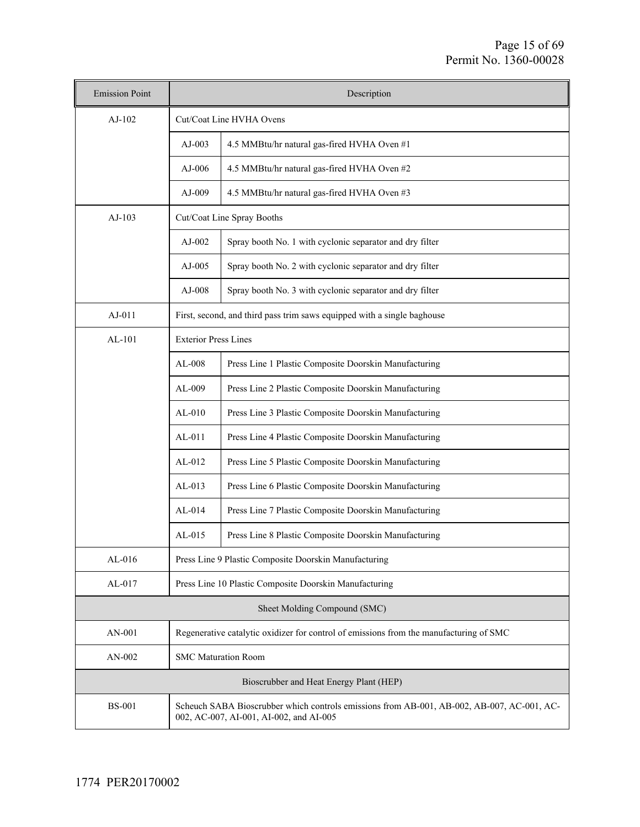| <b>Emission Point</b>        | Description                                                                                                                           |                                                          |  |  |  |
|------------------------------|---------------------------------------------------------------------------------------------------------------------------------------|----------------------------------------------------------|--|--|--|
| $AJ-102$                     | Cut/Coat Line HVHA Ovens                                                                                                              |                                                          |  |  |  |
|                              | $AJ-003$                                                                                                                              | 4.5 MMBtu/hr natural gas-fired HVHA Oven #1              |  |  |  |
|                              | $AJ-006$                                                                                                                              | 4.5 MMBtu/hr natural gas-fired HVHA Oven #2              |  |  |  |
|                              | $AJ-009$                                                                                                                              | 4.5 MMBtu/hr natural gas-fired HVHA Oven #3              |  |  |  |
| $AJ-103$                     |                                                                                                                                       | Cut/Coat Line Spray Booths                               |  |  |  |
|                              | $AJ-002$                                                                                                                              | Spray booth No. 1 with cyclonic separator and dry filter |  |  |  |
|                              | $AJ-005$                                                                                                                              | Spray booth No. 2 with cyclonic separator and dry filter |  |  |  |
|                              | $AJ-008$                                                                                                                              | Spray booth No. 3 with cyclonic separator and dry filter |  |  |  |
| $AJ-011$                     | First, second, and third pass trim saws equipped with a single baghouse                                                               |                                                          |  |  |  |
| $AL-101$                     | <b>Exterior Press Lines</b>                                                                                                           |                                                          |  |  |  |
|                              | $AL-008$<br>Press Line 1 Plastic Composite Doorskin Manufacturing                                                                     |                                                          |  |  |  |
|                              | Press Line 2 Plastic Composite Doorskin Manufacturing<br>$AL-009$                                                                     |                                                          |  |  |  |
|                              | Press Line 3 Plastic Composite Doorskin Manufacturing<br>$AL-010$                                                                     |                                                          |  |  |  |
|                              | Press Line 4 Plastic Composite Doorskin Manufacturing<br>$AL-011$                                                                     |                                                          |  |  |  |
|                              | Press Line 5 Plastic Composite Doorskin Manufacturing<br>$AL-012$                                                                     |                                                          |  |  |  |
|                              | $AL-013$                                                                                                                              | Press Line 6 Plastic Composite Doorskin Manufacturing    |  |  |  |
|                              | $AL-014$                                                                                                                              | Press Line 7 Plastic Composite Doorskin Manufacturing    |  |  |  |
|                              | $AL-015$                                                                                                                              | Press Line 8 Plastic Composite Doorskin Manufacturing    |  |  |  |
| $AL-016$                     |                                                                                                                                       | Press Line 9 Plastic Composite Doorskin Manufacturing    |  |  |  |
| $AL-017$                     | Press Line 10 Plastic Composite Doorskin Manufacturing                                                                                |                                                          |  |  |  |
| Sheet Molding Compound (SMC) |                                                                                                                                       |                                                          |  |  |  |
| AN-001                       | Regenerative catalytic oxidizer for control of emissions from the manufacturing of SMC                                                |                                                          |  |  |  |
| AN-002                       | <b>SMC Maturation Room</b>                                                                                                            |                                                          |  |  |  |
|                              |                                                                                                                                       | Bioscrubber and Heat Energy Plant (HEP)                  |  |  |  |
| <b>BS-001</b>                | Scheuch SABA Bioscrubber which controls emissions from AB-001, AB-002, AB-007, AC-001, AC-<br>002, AC-007, AI-001, AI-002, and AI-005 |                                                          |  |  |  |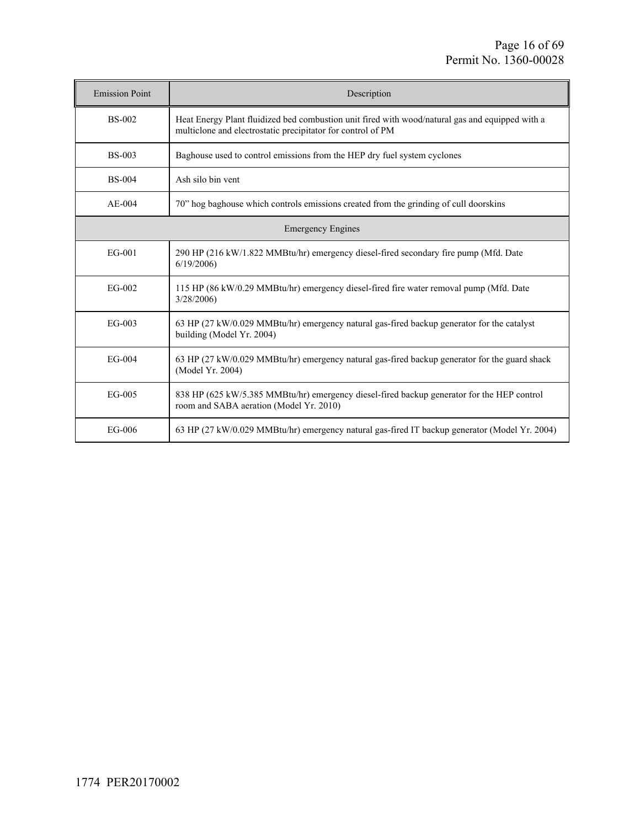| <b>Emission Point</b> | Description                                                                                                                                                    |
|-----------------------|----------------------------------------------------------------------------------------------------------------------------------------------------------------|
| <b>BS-002</b>         | Heat Energy Plant fluidized bed combustion unit fired with wood/natural gas and equipped with a<br>multiclone and electrostatic precipitator for control of PM |
| <b>BS-003</b>         | Baghouse used to control emissions from the HEP dry fuel system cyclones                                                                                       |
| <b>BS-004</b>         | Ash silo bin vent                                                                                                                                              |
| $AE-004$              | 70" hog baghouse which controls emissions created from the grinding of cull doorskins                                                                          |
|                       | <b>Emergency Engines</b>                                                                                                                                       |
| EG-001                | 290 HP (216 kW/1.822 MMBtu/hr) emergency diesel-fired secondary fire pump (Mfd. Date<br>6/19/2006                                                              |
| EG-002                | 115 HP (86 kW/0.29 MMBtu/hr) emergency diesel-fired fire water removal pump (Mfd. Date<br>3/28/2006                                                            |
| EG-003                | 63 HP (27 kW/0.029 MMBtu/hr) emergency natural gas-fired backup generator for the catalyst<br>building (Model Yr. 2004)                                        |
| $EG-004$              | 63 HP (27 kW/0.029 MMBtu/hr) emergency natural gas-fired backup generator for the guard shack<br>(Model Yr. 2004)                                              |
| EG-005                | 838 HP (625 kW/5.385 MMBtu/hr) emergency diesel-fired backup generator for the HEP control<br>room and SABA aeration (Model Yr. 2010)                          |
| EG-006                | 63 HP (27 kW/0.029 MMBtu/hr) emergency natural gas-fired IT backup generator (Model Yr. 2004)                                                                  |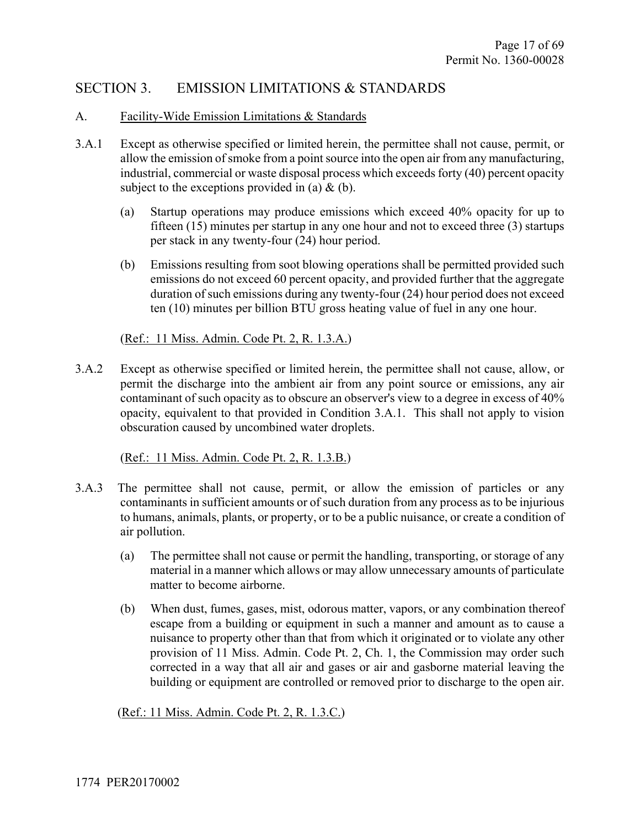# SECTION 3. EMISSION LIMITATIONS & STANDARDS

#### A. Facility-Wide Emission Limitations & Standards

- 3.A.1 Except as otherwise specified or limited herein, the permittee shall not cause, permit, or allow the emission of smoke from a point source into the open air from any manufacturing, industrial, commercial or waste disposal process which exceeds forty (40) percent opacity subject to the exceptions provided in (a)  $\&$  (b).
	- (a) Startup operations may produce emissions which exceed 40% opacity for up to fifteen (15) minutes per startup in any one hour and not to exceed three (3) startups per stack in any twenty-four (24) hour period.
	- (b) Emissions resulting from soot blowing operations shall be permitted provided such emissions do not exceed 60 percent opacity, and provided further that the aggregate duration of such emissions during any twenty-four (24) hour period does not exceed ten (10) minutes per billion BTU gross heating value of fuel in any one hour.

(Ref.: 11 Miss. Admin. Code Pt. 2, R. 1.3.A.)

3.A.2 Except as otherwise specified or limited herein, the permittee shall not cause, allow, or permit the discharge into the ambient air from any point source or emissions, any air contaminant of such opacity as to obscure an observer's view to a degree in excess of 40% opacity, equivalent to that provided in Condition 3.A.1. This shall not apply to vision obscuration caused by uncombined water droplets.

(Ref.: 11 Miss. Admin. Code Pt. 2, R. 1.3.B.)

- 3.A.3 The permittee shall not cause, permit, or allow the emission of particles or any contaminants in sufficient amounts or of such duration from any process as to be injurious to humans, animals, plants, or property, or to be a public nuisance, or create a condition of air pollution.
	- (a) The permittee shall not cause or permit the handling, transporting, or storage of any material in a manner which allows or may allow unnecessary amounts of particulate matter to become airborne.
	- (b) When dust, fumes, gases, mist, odorous matter, vapors, or any combination thereof escape from a building or equipment in such a manner and amount as to cause a nuisance to property other than that from which it originated or to violate any other provision of 11 Miss. Admin. Code Pt. 2, Ch. 1, the Commission may order such corrected in a way that all air and gases or air and gasborne material leaving the building or equipment are controlled or removed prior to discharge to the open air.

(Ref.: 11 Miss. Admin. Code Pt. 2, R. 1.3.C.)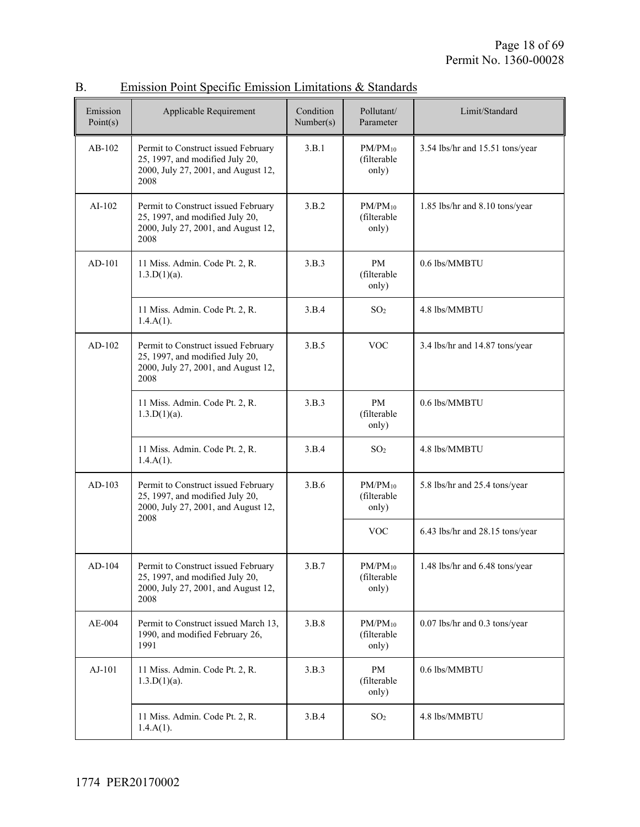| Emission<br>Point(s) | Applicable Requirement                                                                                                | Condition<br>Number(s) | Pollutant/<br>Parameter              | Limit/Standard                  |
|----------------------|-----------------------------------------------------------------------------------------------------------------------|------------------------|--------------------------------------|---------------------------------|
| $AB-102$             | Permit to Construct issued February<br>25, 1997, and modified July 20,<br>2000, July 27, 2001, and August 12,<br>2008 | 3.B.1                  | $PM/PM_{10}$<br>(filterable<br>only) | 3.54 lbs/hr and 15.51 tons/year |
| $AI-102$             | Permit to Construct issued February<br>25, 1997, and modified July 20,<br>2000, July 27, 2001, and August 12,<br>2008 | 3.B.2                  | $PM/PM_{10}$<br>(filterable<br>only) | 1.85 lbs/hr and 8.10 tons/year  |
| AD-101               | 11 Miss. Admin. Code Pt. 2, R.<br>$1.3.D(1)(a)$ .                                                                     | 3.B.3                  | <b>PM</b><br>(filterable<br>only)    | 0.6 lbs/MMBTU                   |
|                      | 11 Miss. Admin. Code Pt. 2, R.<br>$1.4.A(1)$ .                                                                        | 3.B.4                  | SO <sub>2</sub>                      | 4.8 lbs/MMBTU                   |
| $AD-102$             | Permit to Construct issued February<br>25, 1997, and modified July 20,<br>2000, July 27, 2001, and August 12,<br>2008 | 3.B.5                  | <b>VOC</b>                           | 3.4 lbs/hr and 14.87 tons/year  |
|                      | 11 Miss. Admin. Code Pt. 2, R.<br>$1.3.D(1)(a)$ .                                                                     | 3.B.3                  | <b>PM</b><br>(filterable<br>only)    | 0.6 lbs/MMBTU                   |
|                      | 11 Miss. Admin. Code Pt. 2, R.<br>$1.4.A(1)$ .                                                                        | 3.B.4                  | SO <sub>2</sub>                      | 4.8 lbs/MMBTU                   |
| $AD-103$             | Permit to Construct issued February<br>25, 1997, and modified July 20,<br>2000, July 27, 2001, and August 12,<br>2008 | 3.B.6                  | $PM/PM_{10}$<br>(filterable<br>only) | 5.8 lbs/hr and 25.4 tons/year   |
|                      |                                                                                                                       |                        | <b>VOC</b>                           | 6.43 lbs/hr and 28.15 tons/year |
| AD-104               | Permit to Construct issued February<br>25, 1997, and modified July 20,<br>2000, July 27, 2001, and August 12,<br>2008 | 3.B.7                  | $PM/PM_{10}$<br>(filterable<br>only) | 1.48 lbs/hr and 6.48 tons/year  |
| $AE-004$             | Permit to Construct issued March 13,<br>1990, and modified February 26,<br>1991                                       | 3.B.8                  | $PM/PM_{10}$<br>(filterable<br>only) | 0.07 lbs/hr and 0.3 tons/year   |
| AJ-101               | 11 Miss. Admin. Code Pt. 2, R.<br>$1.3.D(1)(a)$ .                                                                     | 3.B.3                  | PM<br>(filterable<br>only)           | 0.6 lbs/MMBTU                   |
|                      | 11 Miss. Admin. Code Pt. 2, R.<br>$1.4.A(1)$ .                                                                        | 3.B.4                  | SO <sub>2</sub>                      | 4.8 lbs/MMBTU                   |

### B. Emission Point Specific Emission Limitations & Standards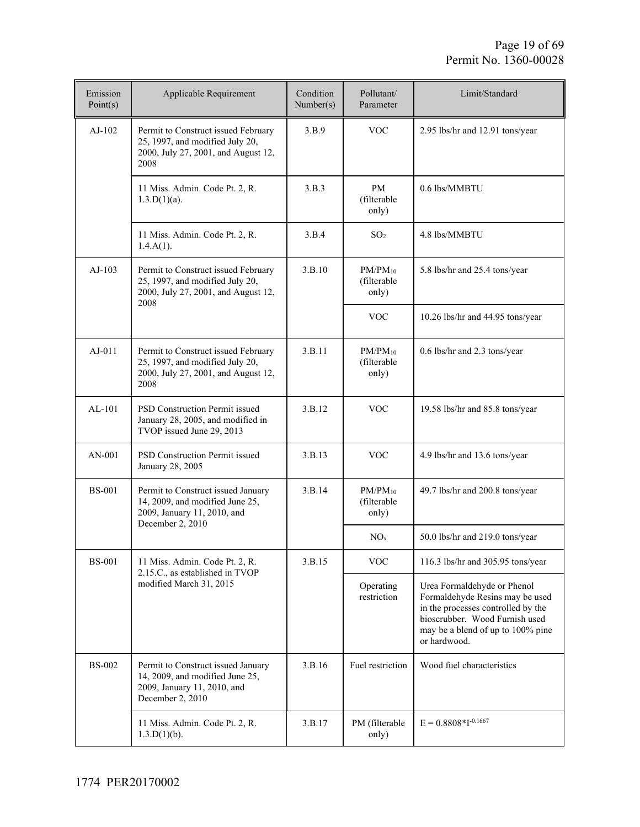| Emission<br>Point(s) | Applicable Requirement                                                                                                   | Condition<br>Number(s) | Pollutant/<br>Parameter              | Limit/Standard                                                                                                                                                                              |
|----------------------|--------------------------------------------------------------------------------------------------------------------------|------------------------|--------------------------------------|---------------------------------------------------------------------------------------------------------------------------------------------------------------------------------------------|
| $AJ-102$             | Permit to Construct issued February<br>25, 1997, and modified July 20,<br>2000, July 27, 2001, and August 12,<br>2008    | 3.B.9                  | <b>VOC</b>                           | 2.95 lbs/hr and 12.91 tons/year                                                                                                                                                             |
|                      | 11 Miss. Admin. Code Pt. 2, R.<br>$1.3.D(1)(a)$ .                                                                        | 3.B.3                  | PM<br>(filterable<br>only)           | 0.6 lbs/MMBTU                                                                                                                                                                               |
|                      | 11 Miss. Admin. Code Pt. 2, R.<br>$1.4.A(1)$ .                                                                           | 3.B.4                  | SO <sub>2</sub>                      | 4.8 lbs/MMBTU                                                                                                                                                                               |
| $AJ-103$             | Permit to Construct issued February<br>25, 1997, and modified July 20,<br>2000, July 27, 2001, and August 12,<br>2008    | 3.B.10                 | $PM/PM_{10}$<br>(filterable<br>only) | 5.8 lbs/hr and 25.4 tons/year                                                                                                                                                               |
|                      |                                                                                                                          |                        | <b>VOC</b>                           | 10.26 lbs/hr and 44.95 tons/year                                                                                                                                                            |
| $AJ-011$             | Permit to Construct issued February<br>25, 1997, and modified July 20,<br>2000, July 27, 2001, and August 12,<br>2008    | 3.B.11                 | $PM/PM_{10}$<br>(filterable<br>only) | 0.6 lbs/hr and 2.3 tons/year                                                                                                                                                                |
| $AL-101$             | <b>PSD Construction Permit issued</b><br>January 28, 2005, and modified in<br>TVOP issued June 29, 2013                  | 3.B.12                 | <b>VOC</b>                           | 19.58 lbs/hr and 85.8 tons/year                                                                                                                                                             |
| AN-001               | PSD Construction Permit issued<br>January 28, 2005                                                                       | 3.B.13                 | <b>VOC</b>                           | 4.9 lbs/hr and 13.6 tons/year                                                                                                                                                               |
| <b>BS-001</b>        | Permit to Construct issued January<br>14, 2009, and modified June 25,<br>2009, January 11, 2010, and                     | 3.B.14                 | $PM/PM_{10}$<br>(filterable<br>only) | 49.7 lbs/hr and 200.8 tons/year                                                                                                                                                             |
|                      | December 2, 2010                                                                                                         |                        | NO <sub>x</sub>                      | 50.0 lbs/hr and 219.0 tons/year                                                                                                                                                             |
| <b>BS-001</b>        | 11 Miss. Admin. Code Pt. 2, R.<br>2.15.C., as established in TVOP                                                        | 3.B.15                 | <b>VOC</b>                           | 116.3 lbs/hr and 305.95 tons/year                                                                                                                                                           |
|                      | modified March 31, 2015                                                                                                  |                        | Operating<br>restriction             | Urea Formaldehyde or Phenol<br>Formaldehyde Resins may be used<br>in the processes controlled by the<br>bioscrubber. Wood Furnish used<br>may be a blend of up to 100% pine<br>or hardwood. |
| <b>BS-002</b>        | Permit to Construct issued January<br>14, 2009, and modified June 25,<br>2009, January 11, 2010, and<br>December 2, 2010 | 3.B.16                 | Fuel restriction                     | Wood fuel characteristics                                                                                                                                                                   |
|                      | 11 Miss. Admin. Code Pt. 2, R.<br>1.3.D(1)(b).                                                                           | 3.B.17                 | PM (filterable<br>only)              | $E = 0.8808 * I^{-0.1667}$                                                                                                                                                                  |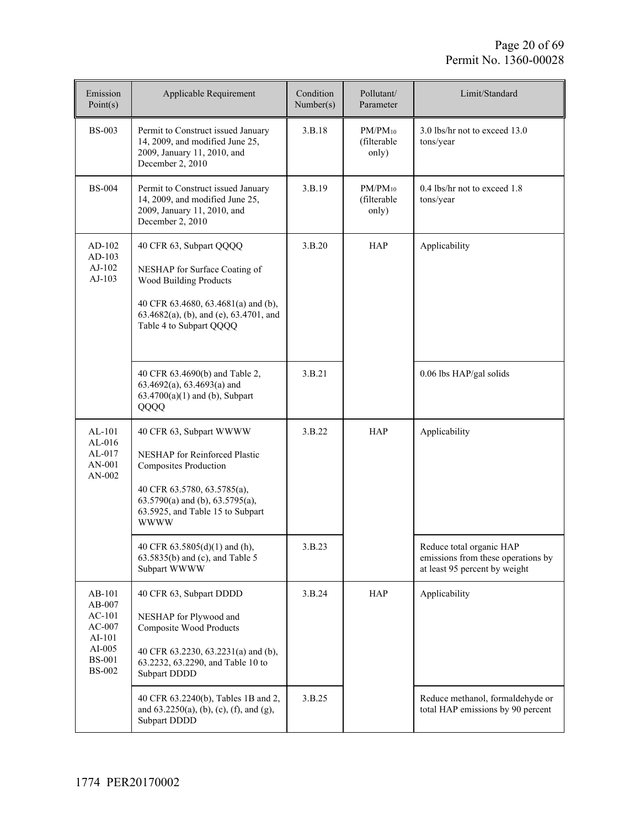| Emission<br>Point(s)                                                                             | Applicable Requirement                                                                                                                                                                                             | Condition<br>Number(s) | Pollutant/<br>Parameter              | Limit/Standard                                                                                  |
|--------------------------------------------------------------------------------------------------|--------------------------------------------------------------------------------------------------------------------------------------------------------------------------------------------------------------------|------------------------|--------------------------------------|-------------------------------------------------------------------------------------------------|
| <b>BS-003</b>                                                                                    | Permit to Construct issued January<br>14, 2009, and modified June 25,<br>2009, January 11, 2010, and<br>December 2, 2010                                                                                           | 3.B.18                 | $PM/PM_{10}$<br>(filterable<br>only) | 3.0 lbs/hr not to exceed 13.0<br>tons/year                                                      |
| <b>BS-004</b>                                                                                    | Permit to Construct issued January<br>14, 2009, and modified June 25,<br>2009, January 11, 2010, and<br>December 2, 2010                                                                                           | 3.B.19                 | $PM/PM_{10}$<br>(filterable<br>only) | 0.4 lbs/hr not to exceed 1.8<br>tons/year                                                       |
| AD-102<br>AD-103<br>AJ-102<br>$AJ-103$                                                           | 40 CFR 63, Subpart QQQQ<br>NESHAP for Surface Coating of<br><b>Wood Building Products</b><br>40 CFR 63.4680, 63.4681(a) and (b),<br>63.4682(a), (b), and (e), 63.4701, and<br>Table 4 to Subpart QQQQ              | 3.B.20                 | <b>HAP</b>                           | Applicability                                                                                   |
|                                                                                                  | 40 CFR 63.4690(b) and Table 2,<br>63.4692(a), 63.4693(a) and<br>$63.4700(a)(1)$ and (b), Subpart<br>QQQQ                                                                                                           | 3.B.21                 |                                      | 0.06 lbs HAP/gal solids                                                                         |
| $AL-101$<br>$AL-016$<br>$AL-017$<br>AN-001<br>AN-002                                             | 40 CFR 63, Subpart WWWW<br>NESHAP for Reinforced Plastic<br><b>Composites Production</b><br>40 CFR 63.5780, 63.5785(a),<br>$63.5790(a)$ and (b), $63.5795(a)$ ,<br>63.5925, and Table 15 to Subpart<br><b>WWWW</b> | 3.B.22                 | <b>HAP</b>                           | Applicability                                                                                   |
|                                                                                                  | 40 CFR 63.5805(d)(1) and (h),<br>63.5835(b) and (c), and Table 5<br>Subpart WWWW                                                                                                                                   | 3.B.23                 |                                      | Reduce total organic HAP<br>emissions from these operations by<br>at least 95 percent by weight |
| AB-101<br>AB-007<br>$AC-101$<br>$AC-007$<br>AI-101<br>$AI-005$<br><b>BS-001</b><br><b>BS-002</b> | 40 CFR 63, Subpart DDDD<br>NESHAP for Plywood and<br>Composite Wood Products<br>40 CFR 63.2230, 63.2231(a) and (b),<br>63.2232, 63.2290, and Table 10 to<br>Subpart DDDD                                           | 3.B.24                 | HAP                                  | Applicability                                                                                   |
|                                                                                                  | 40 CFR 63.2240(b), Tables 1B and 2,<br>and $63.2250(a)$ , (b), (c), (f), and (g),<br>Subpart DDDD                                                                                                                  | 3.B.25                 |                                      | Reduce methanol, formaldehyde or<br>total HAP emissions by 90 percent                           |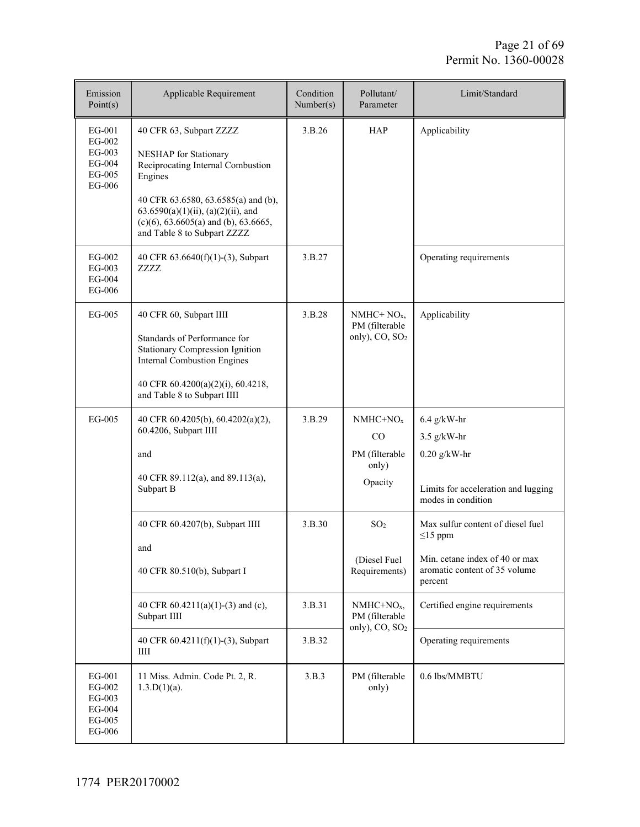| Emission<br>Point(s)                                                  | Applicable Requirement                                                                                                                                                                                                                                        | Condition<br>Number(s) | Pollutant/<br>Parameter                                        | Limit/Standard                                                                                                                                                    |
|-----------------------------------------------------------------------|---------------------------------------------------------------------------------------------------------------------------------------------------------------------------------------------------------------------------------------------------------------|------------------------|----------------------------------------------------------------|-------------------------------------------------------------------------------------------------------------------------------------------------------------------|
| EG-001<br>EG-002<br>EG-003<br>EG-004<br>$\rm EG\text{-}005$<br>EG-006 | 40 CFR 63, Subpart ZZZZ<br>NESHAP for Stationary<br>Reciprocating Internal Combustion<br>Engines<br>40 CFR 63.6580, 63.6585(a) and (b),<br>$63.6590(a)(1)(ii)$ , $(a)(2)(ii)$ , and<br>$(c)(6)$ , 63.6605(a) and (b), 63.6665,<br>and Table 8 to Subpart ZZZZ | 3.B.26                 | <b>HAP</b>                                                     | Applicability                                                                                                                                                     |
| EG-002<br>EG-003<br>EG-004<br>EG-006                                  | 40 CFR 63.6640(f)(1)-(3), Subpart<br>ZZZZ                                                                                                                                                                                                                     | 3.B.27                 |                                                                | Operating requirements                                                                                                                                            |
| EG-005                                                                | 40 CFR 60, Subpart IIII<br>Standards of Performance for<br><b>Stationary Compression Ignition</b><br><b>Internal Combustion Engines</b><br>40 CFR 60.4200(a)(2)(i), 60.4218,<br>and Table 8 to Subpart IIII                                                   | 3.B.28                 | $NMHC+NOx$<br>PM (filterable<br>only), CO, SO <sub>2</sub>     | Applicability                                                                                                                                                     |
| EG-005                                                                | 40 CFR 60.4205(b), 60.4202(a)(2),<br>60.4206, Subpart IIII<br>and<br>40 CFR 89.112(a), and 89.113(a),<br>Subpart B                                                                                                                                            | 3.B.29                 | $NMHC+NOx$<br>CO<br>PM (filterable<br>only)<br>Opacity         | $6.4$ g/kW-hr<br>$3.5$ g/kW-hr<br>$0.20$ g/kW-hr<br>Limits for acceleration and lugging<br>modes in condition                                                     |
|                                                                       | 40 CFR 60.4207(b), Subpart IIII<br>and<br>40 CFR 80.510(b), Subpart I<br>40 CFR 60.4211(a)(1)-(3) and (c),                                                                                                                                                    | 3.B.30<br>3.B.31       | SO <sub>2</sub><br>(Diesel Fuel<br>Requirements)<br>$NMHC+NOx$ | Max sulfur content of diesel fuel<br>$\leq$ 15 ppm<br>Min. cetane index of 40 or max<br>aromatic content of 35 volume<br>percent<br>Certified engine requirements |
|                                                                       | Subpart IIII<br>40 CFR 60.4211(f)(1)-(3), Subpart<br>Ш                                                                                                                                                                                                        | 3.B.32                 | PM (filterable<br>only), CO, SO <sub>2</sub>                   | Operating requirements                                                                                                                                            |
| EG-001<br>EG-002<br>EG-003<br>EG-004<br>EG-005<br>EG-006              | 11 Miss. Admin. Code Pt. 2, R.<br>$1.3.D(1)(a)$ .                                                                                                                                                                                                             | 3.B.3                  | PM (filterable<br>only)                                        | 0.6 lbs/MMBTU                                                                                                                                                     |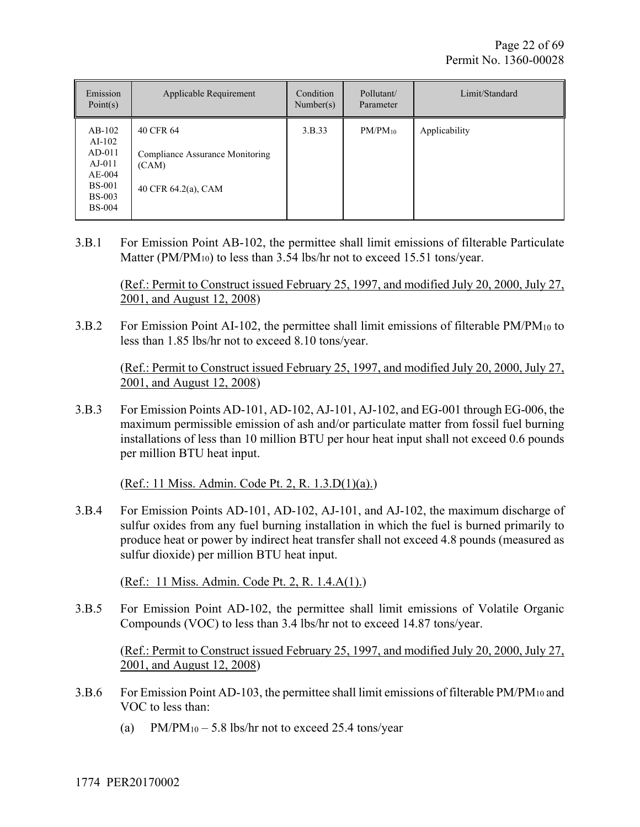| Emission<br>Point(s)                                                                                        | Applicable Requirement                                                       | Condition<br>Number(s) | Pollutant/<br>Parameter | Limit/Standard |
|-------------------------------------------------------------------------------------------------------------|------------------------------------------------------------------------------|------------------------|-------------------------|----------------|
| $AB-102$<br>$AI-102$<br>$AD-011$<br>$AJ-011$<br>$AE-004$<br><b>BS-001</b><br><b>BS-003</b><br><b>BS-004</b> | 40 CFR 64<br>Compliance Assurance Monitoring<br>(CAM)<br>40 CFR 64.2(a), CAM | 3.B.33                 | $PM/PM_{10}$            | Applicability  |

3.B.1 For Emission Point AB-102, the permittee shall limit emissions of filterable Particulate Matter (PM/PM<sub>10</sub>) to less than 3.54 lbs/hr not to exceed 15.51 tons/year.

(Ref.: Permit to Construct issued February 25, 1997, and modified July 20, 2000, July 27, 2001, and August 12, 2008)

3.B.2 For Emission Point AI-102, the permittee shall limit emissions of filterable PM/PM<sub>10</sub> to less than 1.85 lbs/hr not to exceed 8.10 tons/year.

(Ref.: Permit to Construct issued February 25, 1997, and modified July 20, 2000, July 27, 2001, and August 12, 2008)

3.B.3 For Emission Points AD-101, AD-102, AJ-101, AJ-102, and EG-001 through EG-006, the maximum permissible emission of ash and/or particulate matter from fossil fuel burning installations of less than 10 million BTU per hour heat input shall not exceed 0.6 pounds per million BTU heat input.

(Ref.: 11 Miss. Admin. Code Pt. 2, R. 1.3.D(1)(a).)

3.B.4 For Emission Points AD-101, AD-102, AJ-101, and AJ-102, the maximum discharge of sulfur oxides from any fuel burning installation in which the fuel is burned primarily to produce heat or power by indirect heat transfer shall not exceed 4.8 pounds (measured as sulfur dioxide) per million BTU heat input.

(Ref.: 11 Miss. Admin. Code Pt. 2, R. 1.4.A(1).)

3.B.5 For Emission Point AD-102, the permittee shall limit emissions of Volatile Organic Compounds (VOC) to less than 3.4 lbs/hr not to exceed 14.87 tons/year.

(Ref.: Permit to Construct issued February 25, 1997, and modified July 20, 2000, July 27, 2001, and August 12, 2008)

- 3.B.6 For Emission Point AD-103, the permittee shall limit emissions of filterable PM/PM<sub>10</sub> and VOC to less than:
	- (a) PM/PM<sub>10</sub> 5.8 lbs/hr not to exceed 25.4 tons/year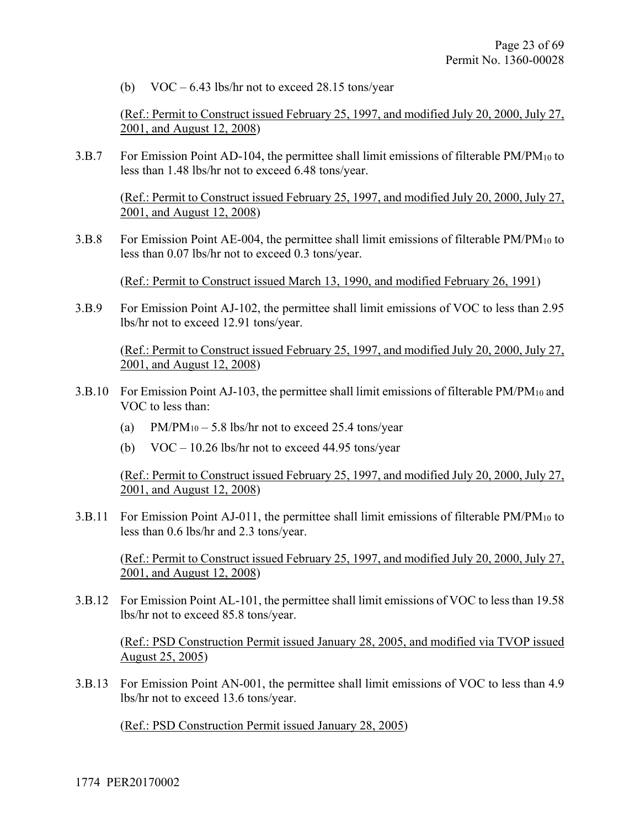(b)  $VOC - 6.43$  lbs/hr not to exceed 28.15 tons/year

(Ref.: Permit to Construct issued February 25, 1997, and modified July 20, 2000, July 27, 2001, and August 12, 2008)

3.B.7 For Emission Point AD-104, the permittee shall limit emissions of filterable PM/PM<sub>10</sub> to less than 1.48 lbs/hr not to exceed 6.48 tons/year.

(Ref.: Permit to Construct issued February 25, 1997, and modified July 20, 2000, July 27, 2001, and August 12, 2008)

3.B.8 For Emission Point AE-004, the permittee shall limit emissions of filterable PM/PM10 to less than 0.07 lbs/hr not to exceed 0.3 tons/year.

(Ref.: Permit to Construct issued March 13, 1990, and modified February 26, 1991)

3.B.9 For Emission Point AJ-102, the permittee shall limit emissions of VOC to less than 2.95 lbs/hr not to exceed 12.91 tons/year.

(Ref.: Permit to Construct issued February 25, 1997, and modified July 20, 2000, July 27, 2001, and August 12, 2008)

- 3.B.10 For Emission Point AJ-103, the permittee shall limit emissions of filterable PM/PM10 and VOC to less than:
	- (a) PM/PM<sub>10</sub> 5.8 lbs/hr not to exceed 25.4 tons/year
	- (b) VOC 10.26 lbs/hr not to exceed 44.95 tons/year

(Ref.: Permit to Construct issued February 25, 1997, and modified July 20, 2000, July 27, 2001, and August 12, 2008)

3.B.11 For Emission Point AJ-011, the permittee shall limit emissions of filterable PM/PM10 to less than 0.6 lbs/hr and 2.3 tons/year.

(Ref.: Permit to Construct issued February 25, 1997, and modified July 20, 2000, July 27, 2001, and August 12, 2008)

3.B.12 For Emission Point AL-101, the permittee shall limit emissions of VOC to less than 19.58 lbs/hr not to exceed 85.8 tons/year.

(Ref.: PSD Construction Permit issued January 28, 2005, and modified via TVOP issued August 25, 2005)

3.B.13 For Emission Point AN-001, the permittee shall limit emissions of VOC to less than 4.9 lbs/hr not to exceed 13.6 tons/year.

(Ref.: PSD Construction Permit issued January 28, 2005)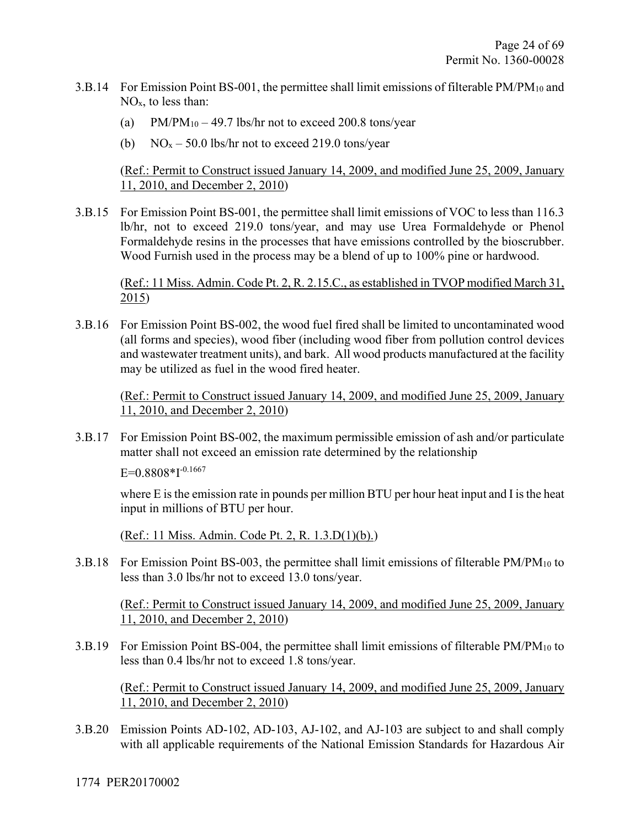- 3.B.14 For Emission Point BS-001, the permittee shall limit emissions of filterable PM/PM10 and NOx, to less than:
	- (a) PM/PM<sub>10</sub> 49.7 lbs/hr not to exceed 200.8 tons/year
	- (b)  $NO<sub>x</sub> 50.0$  lbs/hr not to exceed 219.0 tons/year

(Ref.: Permit to Construct issued January 14, 2009, and modified June 25, 2009, January 11, 2010, and December 2, 2010)

3.B.15 For Emission Point BS-001, the permittee shall limit emissions of VOC to less than 116.3 lb/hr, not to exceed 219.0 tons/year, and may use Urea Formaldehyde or Phenol Formaldehyde resins in the processes that have emissions controlled by the bioscrubber. Wood Furnish used in the process may be a blend of up to 100% pine or hardwood.

(Ref.: 11 Miss. Admin. Code Pt. 2, R. 2.15.C., as established in TVOP modified March 31, 2015)

3.B.16 For Emission Point BS-002, the wood fuel fired shall be limited to uncontaminated wood (all forms and species), wood fiber (including wood fiber from pollution control devices and wastewater treatment units), and bark. All wood products manufactured at the facility may be utilized as fuel in the wood fired heater.

(Ref.: Permit to Construct issued January 14, 2009, and modified June 25, 2009, January 11, 2010, and December 2, 2010)

3.B.17 For Emission Point BS-002, the maximum permissible emission of ash and/or particulate matter shall not exceed an emission rate determined by the relationship

 $E=0.8808*1^{-0.1667}$ 

where E is the emission rate in pounds per million BTU per hour heat input and I is the heat input in millions of BTU per hour.

(Ref.: 11 Miss. Admin. Code Pt. 2, R. 1.3.D(1)(b).)

3.B.18 For Emission Point BS-003, the permittee shall limit emissions of filterable PM/PM10 to less than 3.0 lbs/hr not to exceed 13.0 tons/year.

(Ref.: Permit to Construct issued January 14, 2009, and modified June 25, 2009, January 11, 2010, and December 2, 2010)

3.B.19 For Emission Point BS-004, the permittee shall limit emissions of filterable PM/PM10 to less than 0.4 lbs/hr not to exceed 1.8 tons/year.

(Ref.: Permit to Construct issued January 14, 2009, and modified June 25, 2009, January 11, 2010, and December 2, 2010)

3.B.20 Emission Points AD-102, AD-103, AJ-102, and AJ-103 are subject to and shall comply with all applicable requirements of the National Emission Standards for Hazardous Air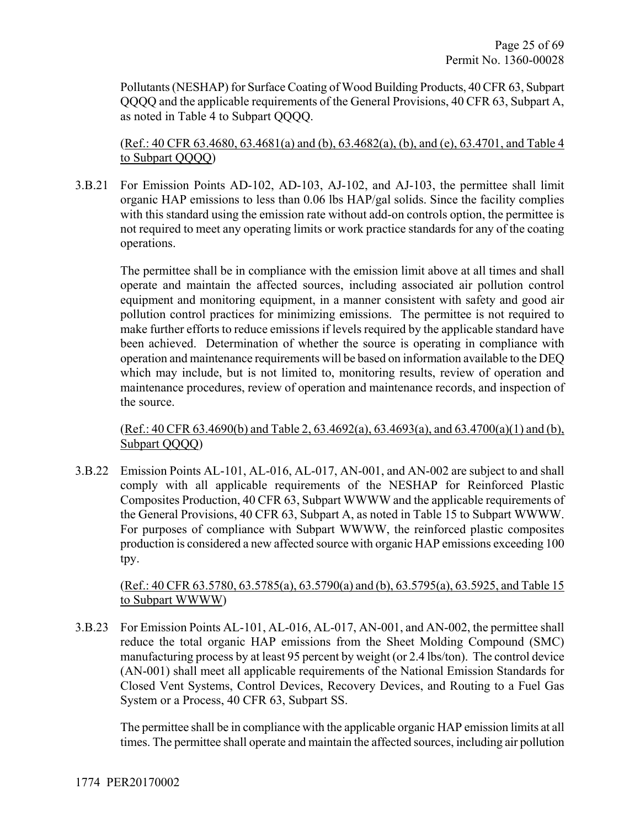Pollutants (NESHAP) for Surface Coating of Wood Building Products, 40 CFR 63, Subpart QQQQ and the applicable requirements of the General Provisions, 40 CFR 63, Subpart A, as noted in Table 4 to Subpart QQQQ.

(Ref.: 40 CFR 63.4680, 63.4681(a) and (b), 63.4682(a), (b), and (e), 63.4701, and Table 4 to Subpart QQQQ)

3.B.21 For Emission Points AD-102, AD-103, AJ-102, and AJ-103, the permittee shall limit organic HAP emissions to less than 0.06 lbs HAP/gal solids. Since the facility complies with this standard using the emission rate without add-on controls option, the permittee is not required to meet any operating limits or work practice standards for any of the coating operations.

The permittee shall be in compliance with the emission limit above at all times and shall operate and maintain the affected sources, including associated air pollution control equipment and monitoring equipment, in a manner consistent with safety and good air pollution control practices for minimizing emissions. The permittee is not required to make further efforts to reduce emissions if levels required by the applicable standard have been achieved. Determination of whether the source is operating in compliance with operation and maintenance requirements will be based on information available to the DEQ which may include, but is not limited to, monitoring results, review of operation and maintenance procedures, review of operation and maintenance records, and inspection of the source.

(Ref.: 40 CFR 63.4690(b) and Table 2, 63.4692(a), 63.4693(a), and 63.4700(a)(1) and (b), Subpart QQQQ)

3.B.22 Emission Points AL-101, AL-016, AL-017, AN-001, and AN-002 are subject to and shall comply with all applicable requirements of the NESHAP for Reinforced Plastic Composites Production, 40 CFR 63, Subpart WWWW and the applicable requirements of the General Provisions, 40 CFR 63, Subpart A, as noted in Table 15 to Subpart WWWW. For purposes of compliance with Subpart WWWW, the reinforced plastic composites production is considered a new affected source with organic HAP emissions exceeding 100 tpy.

#### (Ref.: 40 CFR 63.5780, 63.5785(a), 63.5790(a) and (b), 63.5795(a), 63.5925, and Table 15 to Subpart WWWW)

3.B.23 For Emission Points AL-101, AL-016, AL-017, AN-001, and AN-002, the permittee shall reduce the total organic HAP emissions from the Sheet Molding Compound (SMC) manufacturing process by at least 95 percent by weight (or 2.4 lbs/ton). The control device (AN-001) shall meet all applicable requirements of the National Emission Standards for Closed Vent Systems, Control Devices, Recovery Devices, and Routing to a Fuel Gas System or a Process, 40 CFR 63, Subpart SS.

The permittee shall be in compliance with the applicable organic HAP emission limits at all times. The permittee shall operate and maintain the affected sources, including air pollution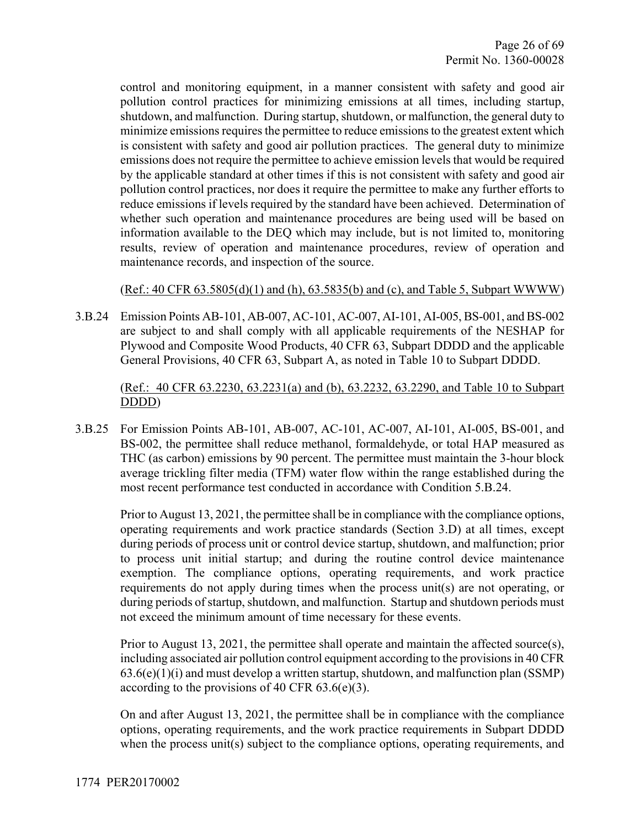control and monitoring equipment, in a manner consistent with safety and good air pollution control practices for minimizing emissions at all times, including startup, shutdown, and malfunction. During startup, shutdown, or malfunction, the general duty to minimize emissions requires the permittee to reduce emissions to the greatest extent which is consistent with safety and good air pollution practices. The general duty to minimize emissions does not require the permittee to achieve emission levels that would be required by the applicable standard at other times if this is not consistent with safety and good air pollution control practices, nor does it require the permittee to make any further efforts to reduce emissions if levels required by the standard have been achieved. Determination of whether such operation and maintenance procedures are being used will be based on information available to the DEQ which may include, but is not limited to, monitoring results, review of operation and maintenance procedures, review of operation and maintenance records, and inspection of the source.

#### (Ref.: 40 CFR 63.5805(d)(1) and (h), 63.5835(b) and (c), and Table 5, Subpart WWWW)

3.B.24 Emission Points AB-101, AB-007, AC-101, AC-007, AI-101, AI-005, BS-001, and BS-002 are subject to and shall comply with all applicable requirements of the NESHAP for Plywood and Composite Wood Products, 40 CFR 63, Subpart DDDD and the applicable General Provisions, 40 CFR 63, Subpart A, as noted in Table 10 to Subpart DDDD.

#### (Ref.: 40 CFR 63.2230, 63.2231(a) and (b), 63.2232, 63.2290, and Table 10 to Subpart DDDD)

3.B.25 For Emission Points AB-101, AB-007, AC-101, AC-007, AI-101, AI-005, BS-001, and BS-002, the permittee shall reduce methanol, formaldehyde, or total HAP measured as THC (as carbon) emissions by 90 percent. The permittee must maintain the 3-hour block average trickling filter media (TFM) water flow within the range established during the most recent performance test conducted in accordance with Condition 5.B.24.

Prior to August 13, 2021, the permittee shall be in compliance with the compliance options, operating requirements and work practice standards (Section 3.D) at all times, except during periods of process unit or control device startup, shutdown, and malfunction; prior to process unit initial startup; and during the routine control device maintenance exemption. The compliance options, operating requirements, and work practice requirements do not apply during times when the process unit(s) are not operating, or during periods of startup, shutdown, and malfunction. Startup and shutdown periods must not exceed the minimum amount of time necessary for these events.

Prior to August 13, 2021, the permittee shall operate and maintain the affected source(s), including associated air pollution control equipment according to the provisions in 40 CFR  $63.6(e)(1)(i)$  and must develop a written startup, shutdown, and malfunction plan (SSMP) according to the provisions of 40 CFR  $63.6(e)(3)$ .

On and after August 13, 2021, the permittee shall be in compliance with the compliance options, operating requirements, and the work practice requirements in Subpart DDDD when the process unit(s) subject to the compliance options, operating requirements, and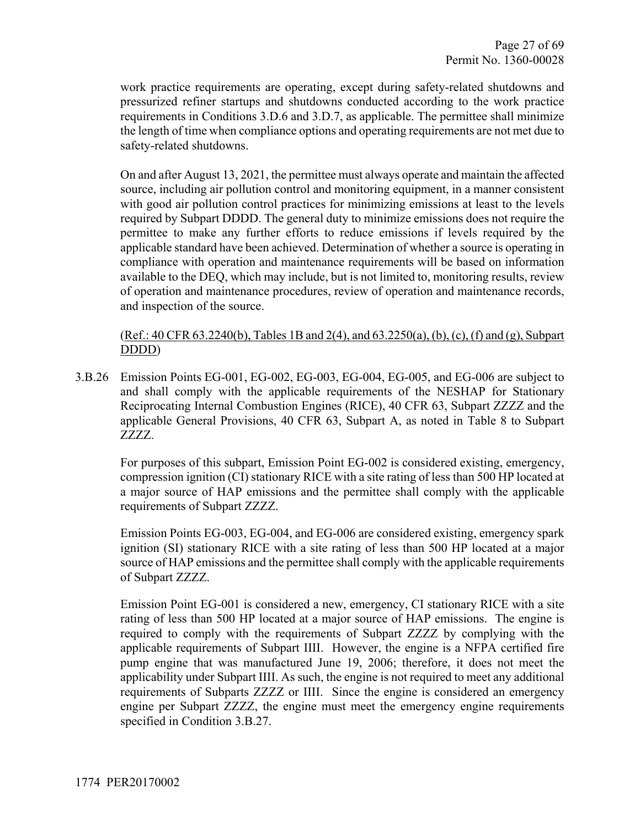work practice requirements are operating, except during safety-related shutdowns and pressurized refiner startups and shutdowns conducted according to the work practice requirements in Conditions 3.D.6 and 3.D.7, as applicable. The permittee shall minimize the length of time when compliance options and operating requirements are not met due to safety-related shutdowns.

On and after August 13, 2021, the permittee must always operate and maintain the affected source, including air pollution control and monitoring equipment, in a manner consistent with good air pollution control practices for minimizing emissions at least to the levels required by Subpart DDDD. The general duty to minimize emissions does not require the permittee to make any further efforts to reduce emissions if levels required by the applicable standard have been achieved. Determination of whether a source is operating in compliance with operation and maintenance requirements will be based on information available to the DEQ, which may include, but is not limited to, monitoring results, review of operation and maintenance procedures, review of operation and maintenance records, and inspection of the source.

(Ref.: 40 CFR 63.2240(b), Tables 1B and 2(4), and 63.2250(a), (b), (c), (f) and (g), Subpart DDDD)

3.B.26 Emission Points EG-001, EG-002, EG-003, EG-004, EG-005, and EG-006 are subject to and shall comply with the applicable requirements of the NESHAP for Stationary Reciprocating Internal Combustion Engines (RICE), 40 CFR 63, Subpart ZZZZ and the applicable General Provisions, 40 CFR 63, Subpart A, as noted in Table 8 to Subpart ZZZZ.

For purposes of this subpart, Emission Point EG-002 is considered existing, emergency, compression ignition (CI) stationary RICE with a site rating of less than 500 HP located at a major source of HAP emissions and the permittee shall comply with the applicable requirements of Subpart ZZZZ.

Emission Points EG-003, EG-004, and EG-006 are considered existing, emergency spark ignition (SI) stationary RICE with a site rating of less than 500 HP located at a major source of HAP emissions and the permittee shall comply with the applicable requirements of Subpart ZZZZ.

Emission Point EG-001 is considered a new, emergency, CI stationary RICE with a site rating of less than 500 HP located at a major source of HAP emissions. The engine is required to comply with the requirements of Subpart ZZZZ by complying with the applicable requirements of Subpart IIII. However, the engine is a NFPA certified fire pump engine that was manufactured June 19, 2006; therefore, it does not meet the applicability under Subpart IIII. As such, the engine is not required to meet any additional requirements of Subparts ZZZZ or IIII. Since the engine is considered an emergency engine per Subpart ZZZZ, the engine must meet the emergency engine requirements specified in Condition 3.B.27.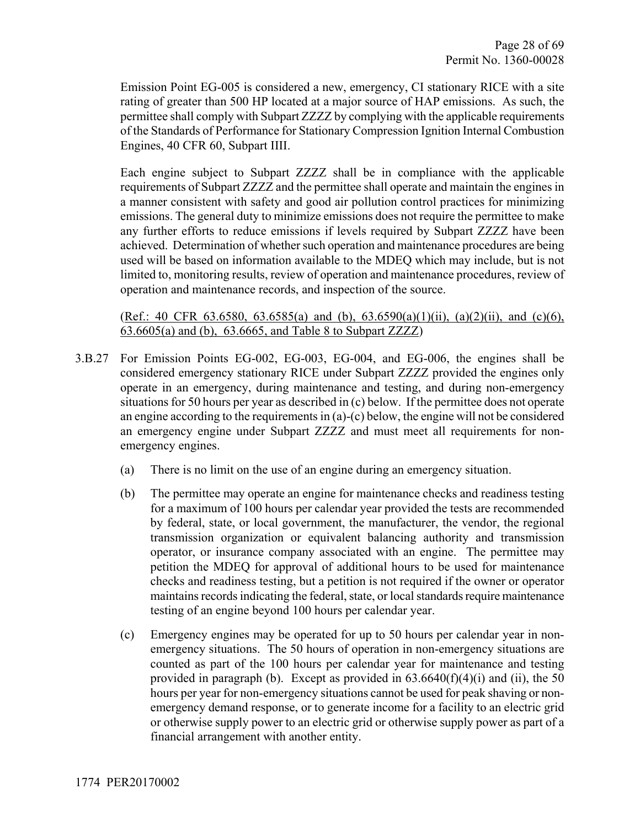Emission Point EG-005 is considered a new, emergency, CI stationary RICE with a site rating of greater than 500 HP located at a major source of HAP emissions. As such, the permittee shall comply with Subpart ZZZZ by complying with the applicable requirements of the Standards of Performance for Stationary Compression Ignition Internal Combustion Engines, 40 CFR 60, Subpart IIII.

Each engine subject to Subpart ZZZZ shall be in compliance with the applicable requirements of Subpart ZZZZ and the permittee shall operate and maintain the engines in a manner consistent with safety and good air pollution control practices for minimizing emissions. The general duty to minimize emissions does not require the permittee to make any further efforts to reduce emissions if levels required by Subpart ZZZZ have been achieved. Determination of whether such operation and maintenance procedures are being used will be based on information available to the MDEQ which may include, but is not limited to, monitoring results, review of operation and maintenance procedures, review of operation and maintenance records, and inspection of the source.

(Ref.: 40 CFR 63.6580, 63.6585(a) and (b),  $63.6590(a)(1)(ii)$ ,  $(a)(2)(ii)$ , and  $(c)(6)$ , 63.6605(a) and (b), 63.6665, and Table 8 to Subpart ZZZZ)

- 3.B.27 For Emission Points EG-002, EG-003, EG-004, and EG-006, the engines shall be considered emergency stationary RICE under Subpart ZZZZ provided the engines only operate in an emergency, during maintenance and testing, and during non-emergency situations for 50 hours per year as described in (c) below. If the permittee does not operate an engine according to the requirements in (a)-(c) below, the engine will not be considered an emergency engine under Subpart ZZZZ and must meet all requirements for nonemergency engines.
	- (a) There is no limit on the use of an engine during an emergency situation.
	- (b) The permittee may operate an engine for maintenance checks and readiness testing for a maximum of 100 hours per calendar year provided the tests are recommended by federal, state, or local government, the manufacturer, the vendor, the regional transmission organization or equivalent balancing authority and transmission operator, or insurance company associated with an engine. The permittee may petition the MDEQ for approval of additional hours to be used for maintenance checks and readiness testing, but a petition is not required if the owner or operator maintains records indicating the federal, state, or local standards require maintenance testing of an engine beyond 100 hours per calendar year.
	- (c) Emergency engines may be operated for up to 50 hours per calendar year in nonemergency situations. The 50 hours of operation in non-emergency situations are counted as part of the 100 hours per calendar year for maintenance and testing provided in paragraph (b). Except as provided in  $63.6640(f)(4)(i)$  and (ii), the 50 hours per year for non-emergency situations cannot be used for peak shaving or nonemergency demand response, or to generate income for a facility to an electric grid or otherwise supply power to an electric grid or otherwise supply power as part of a financial arrangement with another entity.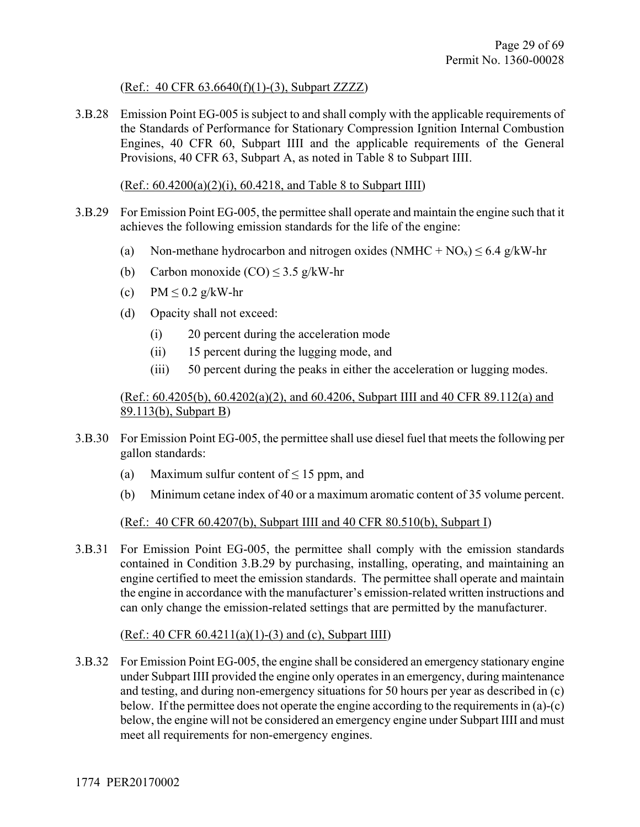#### (Ref.: 40 CFR 63.6640(f)(1)-(3), Subpart ZZZZ)

3.B.28 Emission Point EG-005 is subject to and shall comply with the applicable requirements of the Standards of Performance for Stationary Compression Ignition Internal Combustion Engines, 40 CFR 60, Subpart IIII and the applicable requirements of the General Provisions, 40 CFR 63, Subpart A, as noted in Table 8 to Subpart IIII.

#### (Ref.: 60.4200(a)(2)(i), 60.4218, and Table 8 to Subpart IIII)

- 3.B.29 For Emission Point EG-005, the permittee shall operate and maintain the engine such that it achieves the following emission standards for the life of the engine:
	- (a) Non-methane hydrocarbon and nitrogen oxides (NMHC + NO<sub>x</sub>)  $\leq 6.4$  g/kW-hr
	- (b) Carbon monoxide  $(CO) \le 3.5$  g/kW-hr
	- (c)  $PM \leq 0.2$  g/kW-hr
	- (d) Opacity shall not exceed:
		- (i) 20 percent during the acceleration mode
		- (ii) 15 percent during the lugging mode, and
		- (iii) 50 percent during the peaks in either the acceleration or lugging modes.

#### (Ref.: 60.4205(b), 60.4202(a)(2), and 60.4206, Subpart IIII and 40 CFR 89.112(a) and 89.113(b), Subpart B)

- 3.B.30 For Emission Point EG-005, the permittee shall use diesel fuel that meets the following per gallon standards:
	- (a) Maximum sulfur content of  $\leq 15$  ppm, and
	- (b) Minimum cetane index of 40 or a maximum aromatic content of 35 volume percent.

#### (Ref.: 40 CFR 60.4207(b), Subpart IIII and 40 CFR 80.510(b), Subpart I)

3.B.31 For Emission Point EG-005, the permittee shall comply with the emission standards contained in Condition 3.B.29 by purchasing, installing, operating, and maintaining an engine certified to meet the emission standards. The permittee shall operate and maintain the engine in accordance with the manufacturer's emission-related written instructions and can only change the emission-related settings that are permitted by the manufacturer.

#### $(Ref.: 40 CFR 60.4211(a)(1)-(3) and (c), Subpart III)$

3.B.32 For Emission Point EG-005, the engine shall be considered an emergency stationary engine under Subpart IIII provided the engine only operates in an emergency, during maintenance and testing, and during non-emergency situations for 50 hours per year as described in (c) below. If the permittee does not operate the engine according to the requirements in (a)-(c) below, the engine will not be considered an emergency engine under Subpart IIII and must meet all requirements for non-emergency engines.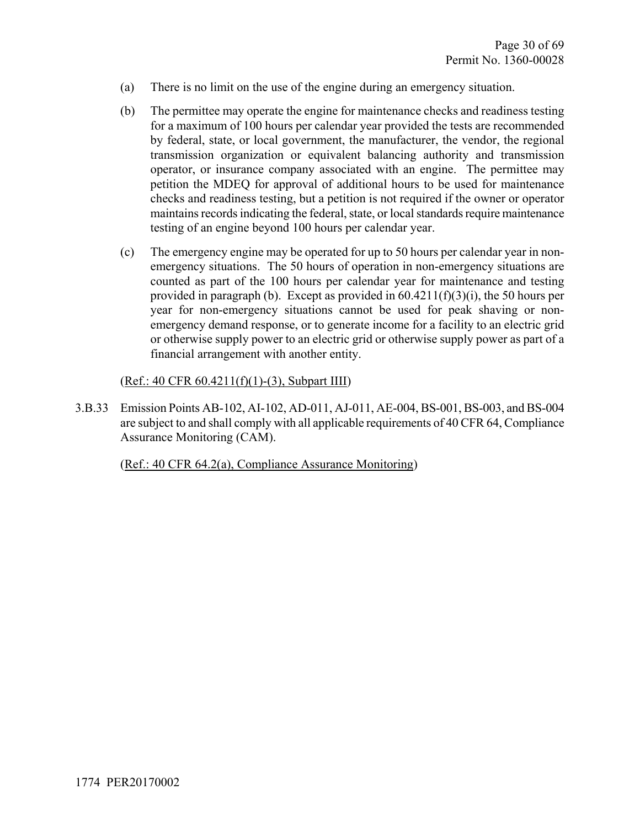- (a) There is no limit on the use of the engine during an emergency situation.
- (b) The permittee may operate the engine for maintenance checks and readiness testing for a maximum of 100 hours per calendar year provided the tests are recommended by federal, state, or local government, the manufacturer, the vendor, the regional transmission organization or equivalent balancing authority and transmission operator, or insurance company associated with an engine. The permittee may petition the MDEQ for approval of additional hours to be used for maintenance checks and readiness testing, but a petition is not required if the owner or operator maintains records indicating the federal, state, or local standards require maintenance testing of an engine beyond 100 hours per calendar year.
- (c) The emergency engine may be operated for up to 50 hours per calendar year in nonemergency situations. The 50 hours of operation in non-emergency situations are counted as part of the 100 hours per calendar year for maintenance and testing provided in paragraph (b). Except as provided in  $60.4211(f)(3)(i)$ , the 50 hours per year for non-emergency situations cannot be used for peak shaving or nonemergency demand response, or to generate income for a facility to an electric grid or otherwise supply power to an electric grid or otherwise supply power as part of a financial arrangement with another entity.

(Ref.: 40 CFR 60.4211(f)(1)-(3), Subpart IIII)

3.B.33 Emission Points AB-102, AI-102, AD-011, AJ-011, AE-004, BS-001, BS-003, and BS-004 are subject to and shall comply with all applicable requirements of 40 CFR 64, Compliance Assurance Monitoring (CAM).

(Ref.: 40 CFR 64.2(a), Compliance Assurance Monitoring)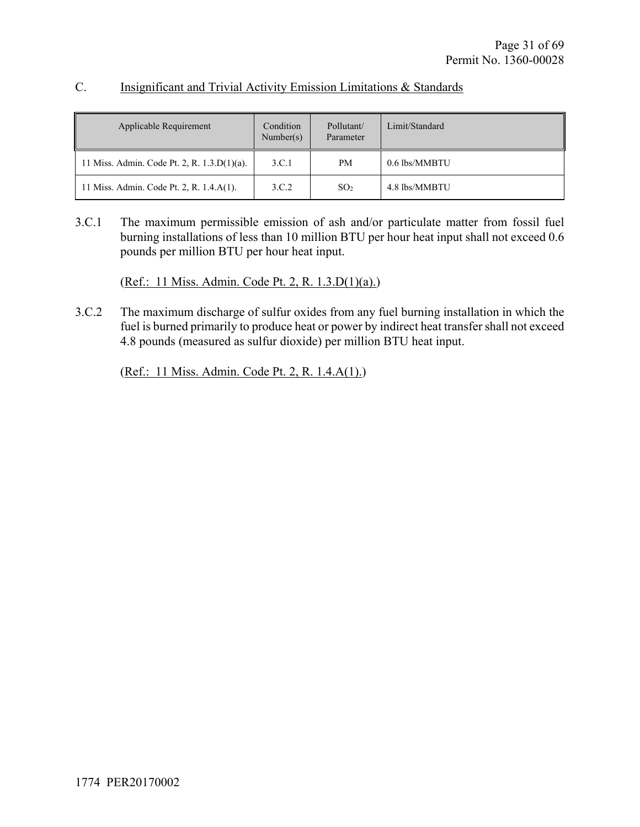| Applicable Requirement                      | Condition<br>Number(s) | Pollutant/<br>Parameter | Limit/Standard |
|---------------------------------------------|------------------------|-------------------------|----------------|
| 11 Miss. Admin. Code Pt. 2, R. 1.3.D(1)(a). | 3.C.1                  | PM.                     | 0.6 lbs/MMBTU  |
| 11 Miss. Admin. Code Pt. 2, R. 1.4.A(1).    | 3.C.2                  | SO <sub>2</sub>         | 4.8 lbs/MMBTU  |

#### C. Insignificant and Trivial Activity Emission Limitations & Standards

3.C.1 The maximum permissible emission of ash and/or particulate matter from fossil fuel burning installations of less than 10 million BTU per hour heat input shall not exceed 0.6 pounds per million BTU per hour heat input.

(Ref.: 11 Miss. Admin. Code Pt. 2, R. 1.3.D(1)(a).)

3.C.2 The maximum discharge of sulfur oxides from any fuel burning installation in which the fuel is burned primarily to produce heat or power by indirect heat transfer shall not exceed 4.8 pounds (measured as sulfur dioxide) per million BTU heat input.

(Ref.: 11 Miss. Admin. Code Pt. 2, R. 1.4.A(1).)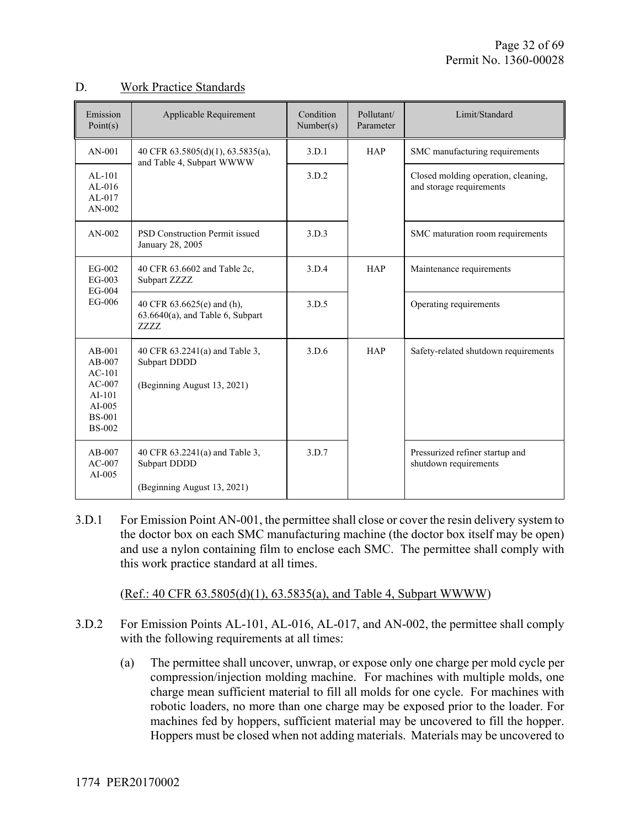#### D. Work Practice Standards

| Emission<br>Point(s)                                                                                   | Applicable Requirement                                                           | Condition<br>Number(s) | Pollutant/<br>Parameter | Limit/Standard                                                  |
|--------------------------------------------------------------------------------------------------------|----------------------------------------------------------------------------------|------------------------|-------------------------|-----------------------------------------------------------------|
| $AN-001$                                                                                               | 40 CFR 63.5805(d)(1), 63.5835(a),<br>and Table 4, Subpart WWWW                   | 3.D.1                  | <b>HAP</b>              | SMC manufacturing requirements                                  |
| $AL-101$<br>$AL-016$<br>$AL-017$<br>$AN-002$                                                           |                                                                                  | 3.D.2                  |                         | Closed molding operation, cleaning,<br>and storage requirements |
| $AN-002$                                                                                               | <b>PSD Construction Permit issued</b><br>January 28, 2005                        | 3.D.3                  |                         | SMC maturation room requirements                                |
| EG-002<br>$EG-003$<br>EG-004<br>EG-006                                                                 | 40 CFR 63.6602 and Table 2c,<br>Subpart ZZZZ                                     | 3.D.4                  | <b>HAP</b>              | Maintenance requirements                                        |
|                                                                                                        | 40 CFR 63.6625(e) and (h),<br>$63.6640(a)$ , and Table 6, Subpart<br><b>ZZZZ</b> | 3.D.5                  |                         | Operating requirements                                          |
| $AB-001$<br>$AB-007$<br>$AC-101$<br>$AC-007$<br>$AI-101$<br>$AI-005$<br><b>BS-001</b><br><b>BS-002</b> | 40 CFR 63.2241(a) and Table 3,<br>Subpart DDDD<br>(Beginning August 13, 2021)    | 3.D.6                  | <b>HAP</b>              | Safety-related shutdown requirements                            |
| $AB-007$<br>$AC-007$<br>AI $-005$                                                                      | 40 CFR 63.2241(a) and Table 3,<br>Subpart DDDD<br>(Beginning August 13, 2021)    | 3.D.7                  |                         | Pressurized refiner startup and<br>shutdown requirements        |

3.D.1 For Emission Point AN-001, the permittee shall close or cover the resin delivery system to the doctor box on each SMC manufacturing machine (the doctor box itself may be open) and use a nylon containing film to enclose each SMC. The permittee shall comply with this work practice standard at all times.

(Ref.: 40 CFR 63.5805(d)(1), 63.5835(a), and Table 4, Subpart WWWW)

- 3.D.2 For Emission Points AL-101, AL-016, AL-017, and AN-002, the permittee shall comply with the following requirements at all times:
	- (a) The permittee shall uncover, unwrap, or expose only one charge per mold cycle per compression/injection molding machine. For machines with multiple molds, one charge mean sufficient material to fill all molds for one cycle. For machines with robotic loaders, no more than one charge may be exposed prior to the loader. For machines fed by hoppers, sufficient material may be uncovered to fill the hopper. Hoppers must be closed when not adding materials. Materials may be uncovered to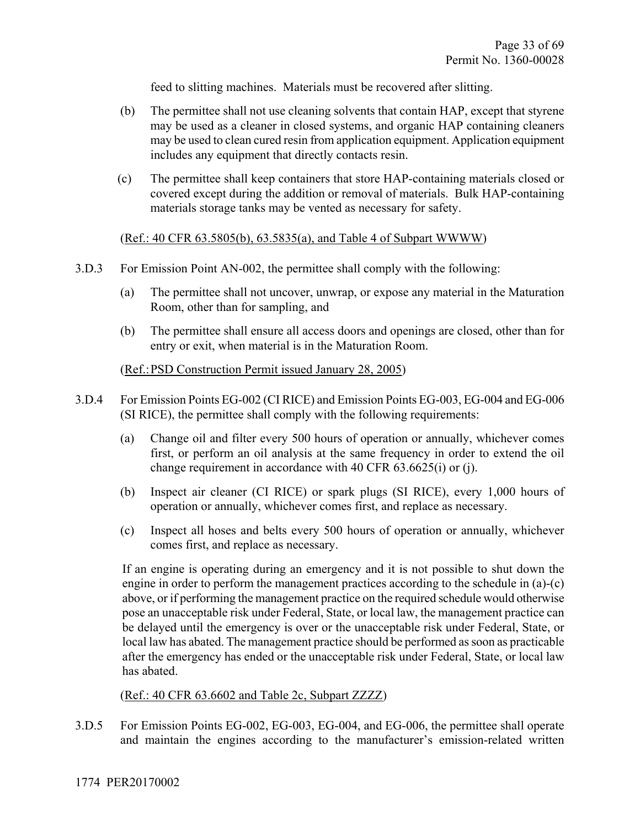feed to slitting machines. Materials must be recovered after slitting.

- (b) The permittee shall not use cleaning solvents that contain HAP, except that styrene may be used as a cleaner in closed systems, and organic HAP containing cleaners may be used to clean cured resin from application equipment. Application equipment includes any equipment that directly contacts resin.
- (c) The permittee shall keep containers that store HAP-containing materials closed or covered except during the addition or removal of materials. Bulk HAP-containing materials storage tanks may be vented as necessary for safety.

#### (Ref.: 40 CFR 63.5805(b), 63.5835(a), and Table 4 of Subpart WWWW)

- 3.D.3 For Emission Point AN-002, the permittee shall comply with the following:
	- (a) The permittee shall not uncover, unwrap, or expose any material in the Maturation Room, other than for sampling, and
	- (b) The permittee shall ensure all access doors and openings are closed, other than for entry or exit, when material is in the Maturation Room.

#### (Ref.: PSD Construction Permit issued January 28, 2005)

- 3.D.4 For Emission Points EG-002 (CI RICE) and Emission Points EG-003, EG-004 and EG-006 (SI RICE), the permittee shall comply with the following requirements:
	- (a) Change oil and filter every 500 hours of operation or annually, whichever comes first, or perform an oil analysis at the same frequency in order to extend the oil change requirement in accordance with 40 CFR 63.6625(i) or (j).
	- (b) Inspect air cleaner (CI RICE) or spark plugs (SI RICE), every 1,000 hours of operation or annually, whichever comes first, and replace as necessary.
	- (c) Inspect all hoses and belts every 500 hours of operation or annually, whichever comes first, and replace as necessary.

If an engine is operating during an emergency and it is not possible to shut down the engine in order to perform the management practices according to the schedule in (a)-(c) above, or if performing the management practice on the required schedule would otherwise pose an unacceptable risk under Federal, State, or local law, the management practice can be delayed until the emergency is over or the unacceptable risk under Federal, State, or local law has abated. The management practice should be performed as soon as practicable after the emergency has ended or the unacceptable risk under Federal, State, or local law has abated.

#### (Ref.: 40 CFR 63.6602 and Table 2c, Subpart ZZZZ)

3.D.5 For Emission Points EG-002, EG-003, EG-004, and EG-006, the permittee shall operate and maintain the engines according to the manufacturer's emission-related written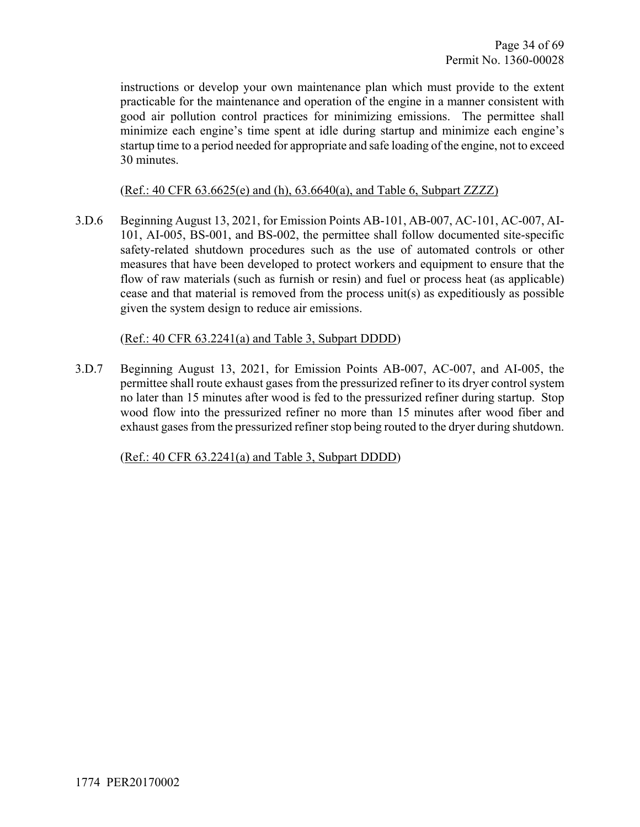instructions or develop your own maintenance plan which must provide to the extent practicable for the maintenance and operation of the engine in a manner consistent with good air pollution control practices for minimizing emissions. The permittee shall minimize each engine's time spent at idle during startup and minimize each engine's startup time to a period needed for appropriate and safe loading of the engine, not to exceed 30 minutes.

#### (Ref.: 40 CFR 63.6625(e) and (h), 63.6640(a), and Table 6, Subpart ZZZZ)

3.D.6 Beginning August 13, 2021, for Emission Points AB-101, AB-007, AC-101, AC-007, AI-101, AI-005, BS-001, and BS-002, the permittee shall follow documented site-specific safety-related shutdown procedures such as the use of automated controls or other measures that have been developed to protect workers and equipment to ensure that the flow of raw materials (such as furnish or resin) and fuel or process heat (as applicable) cease and that material is removed from the process unit(s) as expeditiously as possible given the system design to reduce air emissions.

#### (Ref.: 40 CFR 63.2241(a) and Table 3, Subpart DDDD)

3.D.7 Beginning August 13, 2021, for Emission Points AB-007, AC-007, and AI-005, the permittee shall route exhaust gases from the pressurized refiner to its dryer control system no later than 15 minutes after wood is fed to the pressurized refiner during startup. Stop wood flow into the pressurized refiner no more than 15 minutes after wood fiber and exhaust gases from the pressurized refiner stop being routed to the dryer during shutdown.

(Ref.: 40 CFR 63.2241(a) and Table 3, Subpart DDDD)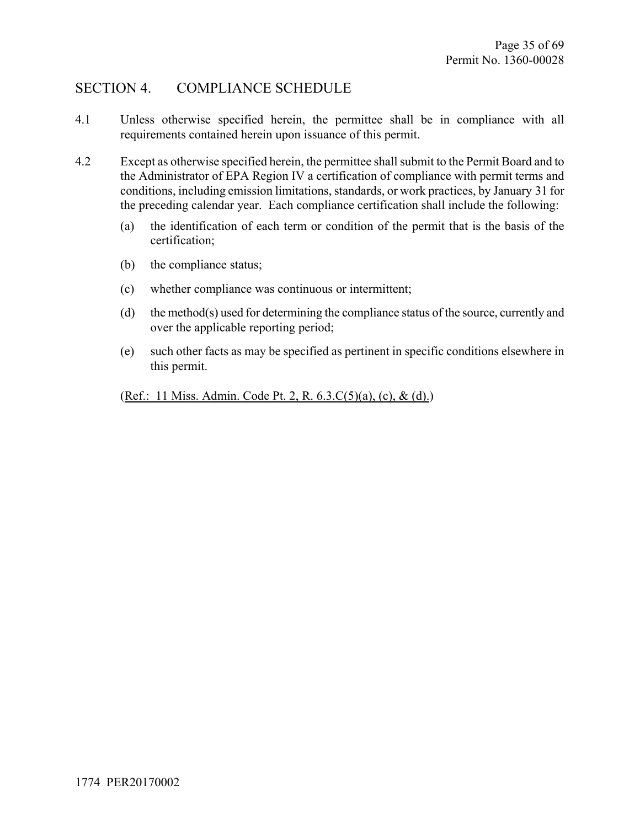# SECTION 4. COMPLIANCE SCHEDULE

- 4.1 Unless otherwise specified herein, the permittee shall be in compliance with all requirements contained herein upon issuance of this permit.
- 4.2 Except as otherwise specified herein, the permittee shall submit to the Permit Board and to the Administrator of EPA Region IV a certification of compliance with permit terms and conditions, including emission limitations, standards, or work practices, by January 31 for the preceding calendar year. Each compliance certification shall include the following:
	- (a) the identification of each term or condition of the permit that is the basis of the certification;
	- (b) the compliance status;
	- (c) whether compliance was continuous or intermittent;
	- (d) the method(s) used for determining the compliance status of the source, currently and over the applicable reporting period;
	- (e) such other facts as may be specified as pertinent in specific conditions elsewhere in this permit.

(Ref.: 11 Miss. Admin. Code Pt. 2, R. 6.3.C(5)(a), (c), & (d).)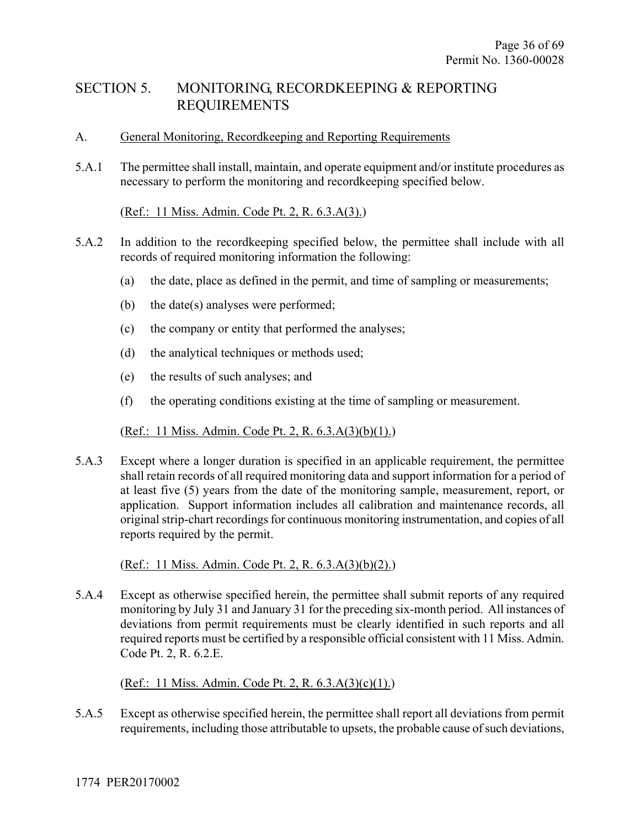# SECTION 5. MONITORING, RECORDKEEPING & REPORTING REQUIREMENTS

#### A. General Monitoring, Recordkeeping and Reporting Requirements

5.A.1 The permittee shall install, maintain, and operate equipment and/or institute procedures as necessary to perform the monitoring and recordkeeping specified below.

#### (Ref.: 11 Miss. Admin. Code Pt. 2, R. 6.3.A(3).)

- 5.A.2 In addition to the recordkeeping specified below, the permittee shall include with all records of required monitoring information the following:
	- (a) the date, place as defined in the permit, and time of sampling or measurements;
	- (b) the date(s) analyses were performed;
	- (c) the company or entity that performed the analyses;
	- (d) the analytical techniques or methods used;
	- (e) the results of such analyses; and
	- (f) the operating conditions existing at the time of sampling or measurement.

#### (Ref.: 11 Miss. Admin. Code Pt. 2, R. 6.3.A(3)(b)(1).)

5.A.3 Except where a longer duration is specified in an applicable requirement, the permittee shall retain records of all required monitoring data and support information for a period of at least five (5) years from the date of the monitoring sample, measurement, report, or application. Support information includes all calibration and maintenance records, all original strip-chart recordings for continuous monitoring instrumentation, and copies of all reports required by the permit.

#### (Ref.: 11 Miss. Admin. Code Pt. 2, R. 6.3.A(3)(b)(2).)

5.A.4 Except as otherwise specified herein, the permittee shall submit reports of any required monitoring by July 31 and January 31 for the preceding six-month period. All instances of deviations from permit requirements must be clearly identified in such reports and all required reports must be certified by a responsible official consistent with 11 Miss. Admin. Code Pt. 2, R. 6.2.E.

#### (Ref.: 11 Miss. Admin. Code Pt. 2, R. 6.3.A(3)(c)(1).)

5.A.5 Except as otherwise specified herein, the permittee shall report all deviations from permit requirements, including those attributable to upsets, the probable cause of such deviations,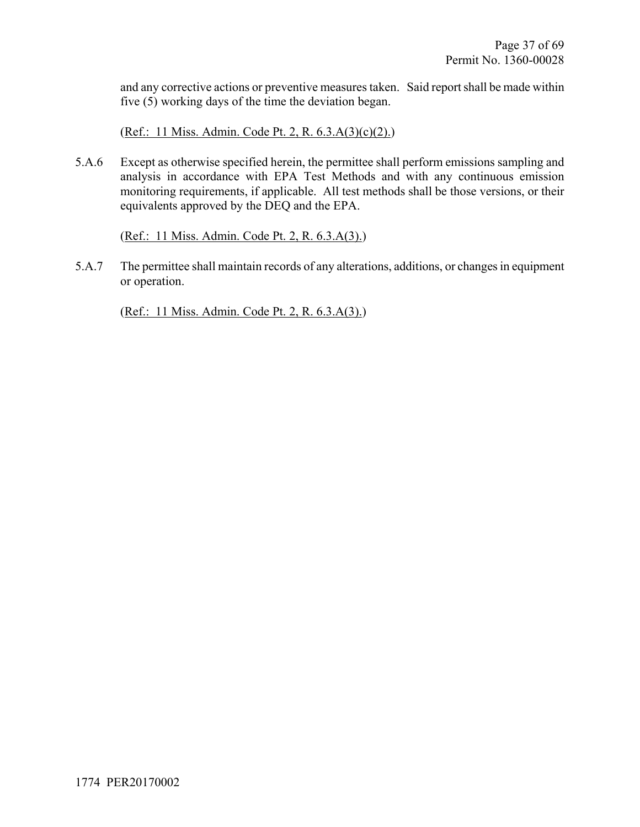and any corrective actions or preventive measures taken. Said report shall be made within five (5) working days of the time the deviation began.

(Ref.: 11 Miss. Admin. Code Pt. 2, R. 6.3.A(3)(c)(2).)

5.A.6 Except as otherwise specified herein, the permittee shall perform emissions sampling and analysis in accordance with EPA Test Methods and with any continuous emission monitoring requirements, if applicable. All test methods shall be those versions, or their equivalents approved by the DEQ and the EPA.

(Ref.: 11 Miss. Admin. Code Pt. 2, R. 6.3.A(3).)

5.A.7 The permittee shall maintain records of any alterations, additions, or changes in equipment or operation.

(Ref.: 11 Miss. Admin. Code Pt. 2, R. 6.3.A(3).)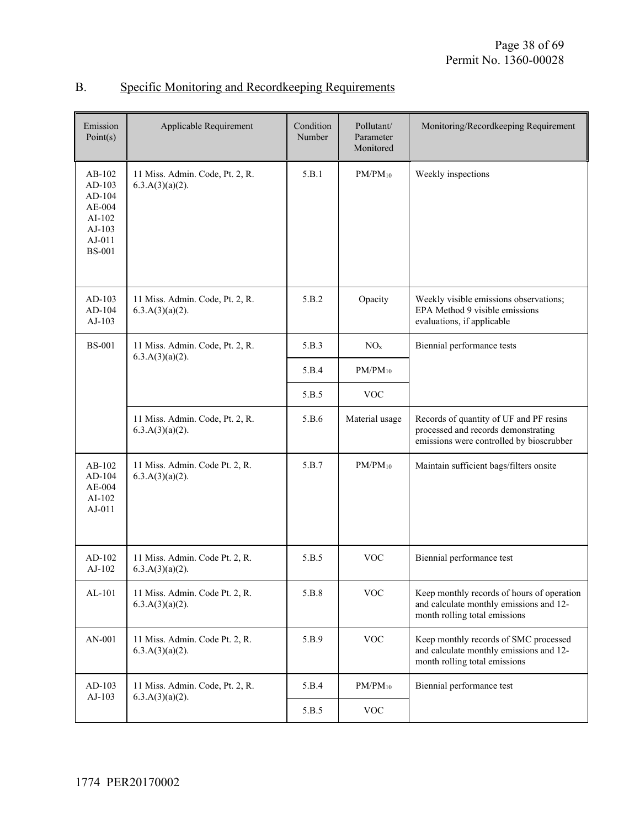| Emission<br>Point(s)                                                                      | Applicable Requirement                                | Condition<br>Number | Pollutant/<br>Parameter<br>Monitored | Monitoring/Recordkeeping Requirement                                                                                       |
|-------------------------------------------------------------------------------------------|-------------------------------------------------------|---------------------|--------------------------------------|----------------------------------------------------------------------------------------------------------------------------|
| $AB-102$<br>AD-103<br>AD-104<br>$AE-004$<br>AI-102<br>$AJ-103$<br>AJ-011<br><b>BS-001</b> | 11 Miss. Admin. Code, Pt. 2, R.<br>6.3.A(3)(a)(2).    | 5.B.1               | $PM/PM_{10}$                         | Weekly inspections                                                                                                         |
| $AD-103$<br>AD-104<br>$AJ-103$                                                            | 11 Miss. Admin. Code, Pt. 2, R.<br>$6.3.A(3)(a)(2)$ . | 5.B.2               | Opacity                              | Weekly visible emissions observations;<br>EPA Method 9 visible emissions<br>evaluations, if applicable                     |
| <b>BS-001</b>                                                                             | 11 Miss. Admin. Code, Pt. 2, R.<br>$6.3.A(3)(a)(2)$ . | 5.B.3               | NO <sub>x</sub>                      | Biennial performance tests                                                                                                 |
|                                                                                           |                                                       | 5.B.4               | $PM/PM_{10}$                         |                                                                                                                            |
|                                                                                           |                                                       | 5.B.5               | <b>VOC</b>                           |                                                                                                                            |
|                                                                                           | 11 Miss. Admin. Code, Pt. 2, R.<br>6.3.A(3)(a)(2).    | 5.B.6               | Material usage                       | Records of quantity of UF and PF resins<br>processed and records demonstrating<br>emissions were controlled by bioscrubber |
| AB-102<br>$AD-104$<br>$AE-004$<br>$AI-102$<br>AJ-011                                      | 11 Miss. Admin. Code Pt. 2, R.<br>$6.3.A(3)(a)(2)$ .  | 5.B.7               | $PM/PM_{10}$                         | Maintain sufficient bags/filters onsite                                                                                    |
| $AD-102$<br>$AJ-102$                                                                      | 11 Miss. Admin. Code Pt. 2, R.<br>$6.3.A(3)(a)(2)$ .  | 5.B.5               | <b>VOC</b>                           | Biennial performance test                                                                                                  |
| AL-101                                                                                    | 11 Miss. Admin. Code Pt. 2, R.<br>6.3.A(3)(a)(2).     | 5.B.8               | <b>VOC</b>                           | Keep monthly records of hours of operation<br>and calculate monthly emissions and 12-<br>month rolling total emissions     |
| AN-001                                                                                    | 11 Miss. Admin. Code Pt. 2, R.<br>$6.3.A(3)(a)(2)$ .  | 5.B.9               | <b>VOC</b>                           | Keep monthly records of SMC processed<br>and calculate monthly emissions and 12-<br>month rolling total emissions          |
| AD-103<br>AJ-103                                                                          | 11 Miss. Admin. Code, Pt. 2, R.<br>$6.3.A(3)(a)(2)$ . | 5.B.4               | $PM/PM_{10}$                         | Biennial performance test                                                                                                  |
|                                                                                           |                                                       | 5.B.5               | $\rm VOC$                            |                                                                                                                            |

## B. Specific Monitoring and Recordkeeping Requirements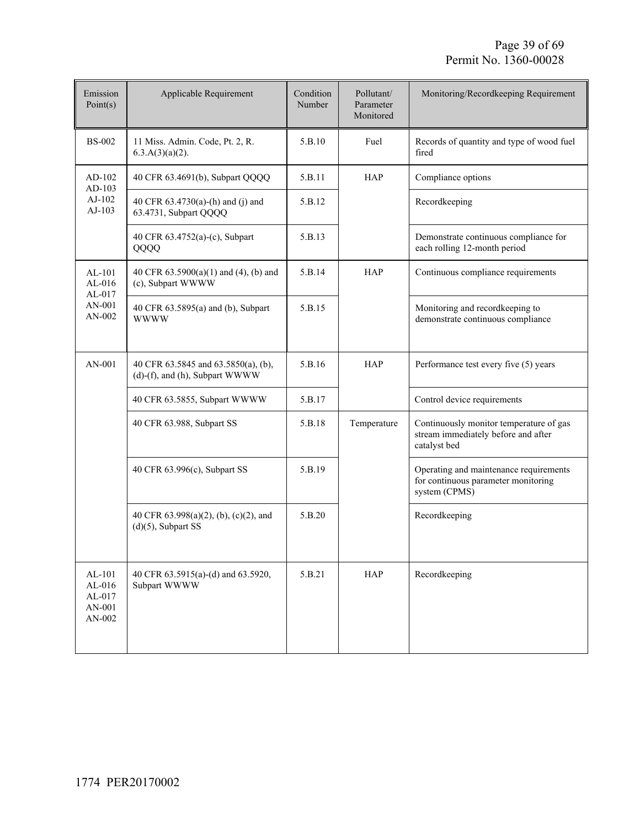| Emission<br>Point(s)                             | Applicable Requirement                                                | Condition<br>Number | Pollutant/<br>Parameter<br>Monitored | Monitoring/Recordkeeping Requirement                                                           |
|--------------------------------------------------|-----------------------------------------------------------------------|---------------------|--------------------------------------|------------------------------------------------------------------------------------------------|
| <b>BS-002</b>                                    | 11 Miss. Admin. Code, Pt. 2, R.<br>$6.3.A(3)(a)(2)$ .                 | 5.B.10              | Fuel                                 | Records of quantity and type of wood fuel<br>fired                                             |
| $AD-102$<br>AD-103                               | 40 CFR 63.4691(b), Subpart QQQQ                                       | 5.B.11              | <b>HAP</b>                           | Compliance options                                                                             |
| AJ-102<br>AJ-103                                 | 40 CFR 63.4730(a)-(h) and (j) and<br>63.4731, Subpart QQQQ            | 5.B.12              |                                      | Recordkeeping                                                                                  |
|                                                  | 40 CFR 63.4752(a)-(c), Subpart<br>QQQQ                                | 5.B.13              |                                      | Demonstrate continuous compliance for<br>each rolling 12-month period                          |
| $AL-101$<br>$AL-016$<br>$AL-017$                 | 40 CFR 63.5900(a)(1) and (4), (b) and<br>(c), Subpart WWWW            | 5.B.14              | <b>HAP</b>                           | Continuous compliance requirements                                                             |
| AN-001<br>$AN-002$                               | 40 CFR 63.5895(a) and (b), Subpart<br><b>WWWW</b>                     | 5.B.15              |                                      | Monitoring and recordkeeping to<br>demonstrate continuous compliance                           |
| AN-001                                           | 40 CFR 63.5845 and 63.5850(a), (b),<br>(d)-(f), and (h), Subpart WWWW | 5.B.16              | HAP                                  | Performance test every five (5) years                                                          |
|                                                  | 40 CFR 63.5855, Subpart WWWW                                          | 5.B.17              |                                      | Control device requirements                                                                    |
|                                                  | 40 CFR 63.988, Subpart SS                                             | 5.B.18              | Temperature                          | Continuously monitor temperature of gas<br>stream immediately before and after<br>catalyst bed |
|                                                  | 40 CFR 63.996(c), Subpart SS                                          | 5.B.19              |                                      | Operating and maintenance requirements<br>for continuous parameter monitoring<br>system (CPMS) |
|                                                  | 40 CFR 63.998(a)(2), (b), (c)(2), and<br>$(d)(5)$ , Subpart SS        | 5.B.20              |                                      | Recordkeeping                                                                                  |
| AL-101<br>$AL-016$<br>AL-017<br>AN-001<br>AN-002 | 40 CFR 63.5915(a)-(d) and 63.5920,<br>Subpart WWWW                    | 5.B.21              | <b>HAP</b>                           | Recordkeeping                                                                                  |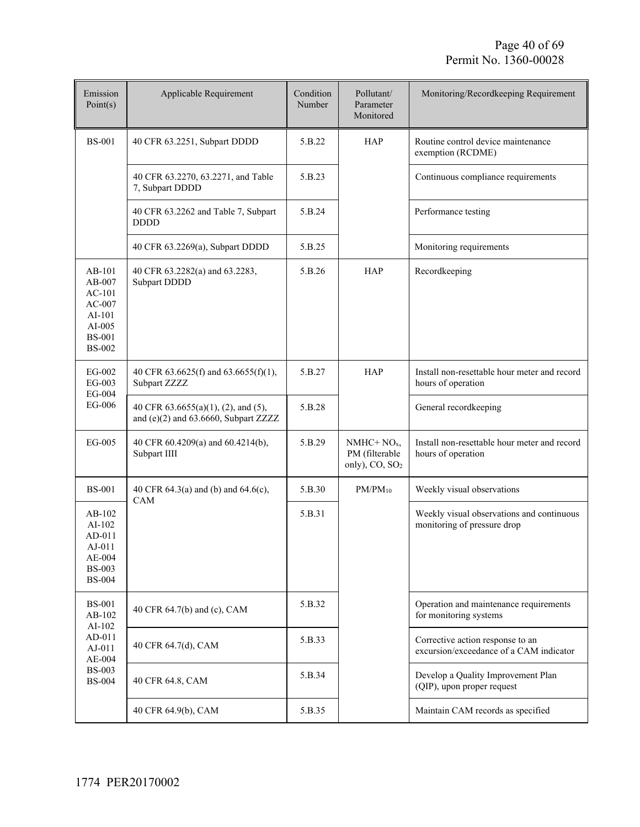| Emission<br>Point(s)                                                                                    | Applicable Requirement                                                      | Condition<br>Number | Pollutant/<br>Parameter<br>Monitored                       | Monitoring/Recordkeeping Requirement                                        |
|---------------------------------------------------------------------------------------------------------|-----------------------------------------------------------------------------|---------------------|------------------------------------------------------------|-----------------------------------------------------------------------------|
| <b>BS-001</b>                                                                                           | 40 CFR 63.2251, Subpart DDDD                                                | 5.B.22              | <b>HAP</b>                                                 | Routine control device maintenance<br>exemption (RCDME)                     |
|                                                                                                         | 40 CFR 63.2270, 63.2271, and Table<br>7, Subpart DDDD                       | 5.B.23              |                                                            | Continuous compliance requirements                                          |
|                                                                                                         | 40 CFR 63.2262 and Table 7, Subpart<br><b>DDDD</b>                          | 5.B.24              |                                                            | Performance testing                                                         |
|                                                                                                         | 40 CFR 63.2269(a), Subpart DDDD                                             | 5.B.25              |                                                            | Monitoring requirements                                                     |
| AB-101<br>AB-007<br>$AC-101$<br>$AC-007$<br>$AI-101$<br>$AI-005$<br><b>BS-001</b><br><b>BS-002</b>      | 40 CFR 63.2282(a) and 63.2283,<br>Subpart DDDD                              | 5.B.26              | <b>HAP</b>                                                 | Recordkeeping                                                               |
| EG-002<br>EG-003<br>EG-004<br>EG-006                                                                    | 40 CFR 63.6625(f) and 63.6655(f)(1),<br>Subpart ZZZZ                        | 5.B.27              | <b>HAP</b>                                                 | Install non-resettable hour meter and record<br>hours of operation          |
|                                                                                                         | 40 CFR 63.6655(a)(1), (2), and (5),<br>and (e)(2) and 63.6660, Subpart ZZZZ | 5.B.28              |                                                            | General recordkeeping                                                       |
| $EG-005$                                                                                                | 40 CFR 60.4209(a) and 60.4214(b),<br>Subpart IIII                           | 5.B.29              | $NMHC+NOx$<br>PM (filterable<br>only), CO, SO <sub>2</sub> | Install non-resettable hour meter and record<br>hours of operation          |
| <b>BS-001</b>                                                                                           | 40 CFR 64.3(a) and (b) and 64.6(c),<br>CAM                                  | 5.B.30              | $PM/PM_{10}$                                               | Weekly visual observations                                                  |
| $AB-102$<br>$AI-102$<br>AD-011<br>AJ-011<br>AE-004<br><b>BS-003</b><br><b>BS-004</b>                    |                                                                             | 5.B.31              |                                                            | Weekly visual observations and continuous<br>monitoring of pressure drop    |
| <b>BS-001</b><br>AB-102<br>AI-102<br>$AD-011$<br>$AJ-011$<br>$AE-004$<br><b>BS-003</b><br><b>BS-004</b> | 40 CFR 64.7(b) and (c), CAM                                                 | 5.B.32              |                                                            | Operation and maintenance requirements<br>for monitoring systems            |
|                                                                                                         | 40 CFR 64.7(d), CAM                                                         | 5.B.33              |                                                            | Corrective action response to an<br>excursion/exceedance of a CAM indicator |
|                                                                                                         | 40 CFR 64.8, CAM                                                            | 5.B.34              |                                                            | Develop a Quality Improvement Plan<br>(QIP), upon proper request            |
|                                                                                                         | 40 CFR 64.9(b), CAM                                                         | 5.B.35              |                                                            | Maintain CAM records as specified                                           |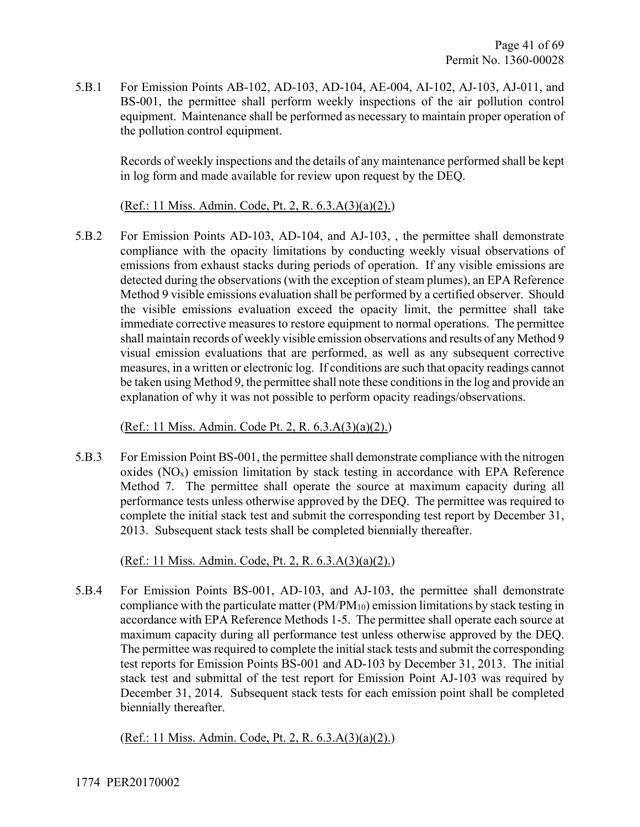5.B.1 For Emission Points AB-102, AD-103, AD-104, AE-004, AI-102, AJ-103, AJ-011, and BS-001, the permittee shall perform weekly inspections of the air pollution control equipment. Maintenance shall be performed as necessary to maintain proper operation of the pollution control equipment.

Records of weekly inspections and the details of any maintenance performed shall be kept in log form and made available for review upon request by the DEQ.

(Ref.: 11 Miss. Admin. Code, Pt. 2, R. 6.3.A(3)(a)(2).)

5.B.2 For Emission Points AD-103, AD-104, and AJ-103, , the permittee shall demonstrate compliance with the opacity limitations by conducting weekly visual observations of emissions from exhaust stacks during periods of operation. If any visible emissions are detected during the observations (with the exception of steam plumes), an EPA Reference Method 9 visible emissions evaluation shall be performed by a certified observer. Should the visible emissions evaluation exceed the opacity limit, the permittee shall take immediate corrective measures to restore equipment to normal operations. The permittee shall maintain records of weekly visible emission observations and results of any Method 9 visual emission evaluations that are performed, as well as any subsequent corrective measures, in a written or electronic log. If conditions are such that opacity readings cannot be taken using Method 9, the permittee shall note these conditions in the log and provide an explanation of why it was not possible to perform opacity readings/observations.

(Ref.: 11 Miss. Admin. Code Pt. 2, R. 6.3.A(3)(a)(2).)

5.B.3 For Emission Point BS-001, the permittee shall demonstrate compliance with the nitrogen oxides (NOx) emission limitation by stack testing in accordance with EPA Reference Method 7. The permittee shall operate the source at maximum capacity during all performance tests unless otherwise approved by the DEQ. The permittee was required to complete the initial stack test and submit the corresponding test report by December 31, 2013. Subsequent stack tests shall be completed biennially thereafter.

(Ref.: 11 Miss. Admin. Code, Pt. 2, R. 6.3.A(3)(a)(2).)

5.B.4 For Emission Points BS-001, AD-103, and AJ-103, the permittee shall demonstrate compliance with the particulate matter  $(PM/PM_{10})$  emission limitations by stack testing in accordance with EPA Reference Methods 1-5. The permittee shall operate each source at maximum capacity during all performance test unless otherwise approved by the DEQ. The permittee was required to complete the initial stack tests and submit the corresponding test reports for Emission Points BS-001 and AD-103 by December 31, 2013. The initial stack test and submittal of the test report for Emission Point AJ-103 was required by December 31, 2014. Subsequent stack tests for each emission point shall be completed biennially thereafter.

(Ref.: 11 Miss. Admin. Code, Pt. 2, R. 6.3.A(3)(a)(2).)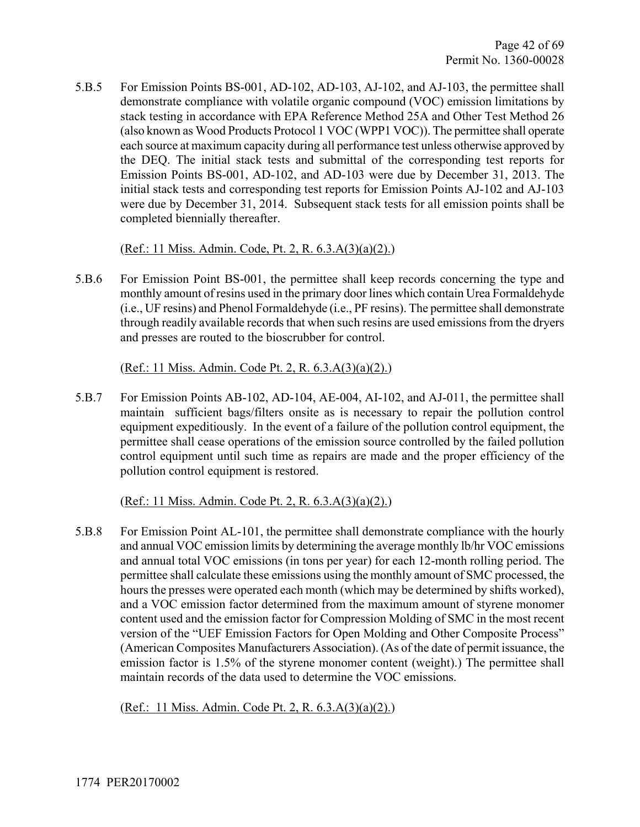5.B.5 For Emission Points BS-001, AD-102, AD-103, AJ-102, and AJ-103, the permittee shall demonstrate compliance with volatile organic compound (VOC) emission limitations by stack testing in accordance with EPA Reference Method 25A and Other Test Method 26 (also known as Wood Products Protocol 1 VOC (WPP1 VOC)). The permittee shall operate each source at maximum capacity during all performance test unless otherwise approved by the DEQ. The initial stack tests and submittal of the corresponding test reports for Emission Points BS-001, AD-102, and AD-103 were due by December 31, 2013. The initial stack tests and corresponding test reports for Emission Points AJ-102 and AJ-103 were due by December 31, 2014. Subsequent stack tests for all emission points shall be completed biennially thereafter.

(Ref.: 11 Miss. Admin. Code, Pt. 2, R. 6.3.A(3)(a)(2).)

5.B.6 For Emission Point BS-001, the permittee shall keep records concerning the type and monthly amount of resins used in the primary door lines which contain Urea Formaldehyde (i.e., UF resins) and Phenol Formaldehyde (i.e., PF resins). The permittee shall demonstrate through readily available records that when such resins are used emissions from the dryers and presses are routed to the bioscrubber for control.

(Ref.: 11 Miss. Admin. Code Pt. 2, R. 6.3.A(3)(a)(2).)

5.B.7 For Emission Points AB-102, AD-104, AE-004, AI-102, and AJ-011, the permittee shall maintain sufficient bags/filters onsite as is necessary to repair the pollution control equipment expeditiously. In the event of a failure of the pollution control equipment, the permittee shall cease operations of the emission source controlled by the failed pollution control equipment until such time as repairs are made and the proper efficiency of the pollution control equipment is restored.

(Ref.: 11 Miss. Admin. Code Pt. 2, R. 6.3.A(3)(a)(2).)

5.B.8 For Emission Point AL-101, the permittee shall demonstrate compliance with the hourly and annual VOC emission limits by determining the average monthly lb/hr VOC emissions and annual total VOC emissions (in tons per year) for each 12-month rolling period. The permittee shall calculate these emissions using the monthly amount of SMC processed, the hours the presses were operated each month (which may be determined by shifts worked), and a VOC emission factor determined from the maximum amount of styrene monomer content used and the emission factor for Compression Molding of SMC in the most recent version of the "UEF Emission Factors for Open Molding and Other Composite Process" (American Composites Manufacturers Association). (As of the date of permit issuance, the emission factor is 1.5% of the styrene monomer content (weight).) The permittee shall maintain records of the data used to determine the VOC emissions.

(Ref.: 11 Miss. Admin. Code Pt. 2, R. 6.3.A(3)(a)(2).)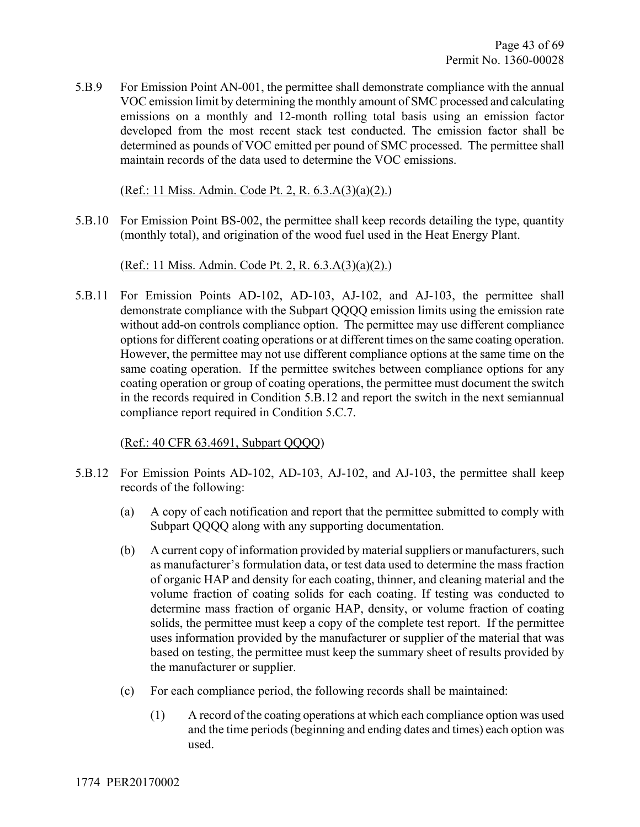5.B.9 For Emission Point AN-001, the permittee shall demonstrate compliance with the annual VOC emission limit by determining the monthly amount of SMC processed and calculating emissions on a monthly and 12-month rolling total basis using an emission factor developed from the most recent stack test conducted. The emission factor shall be determined as pounds of VOC emitted per pound of SMC processed. The permittee shall maintain records of the data used to determine the VOC emissions.

(Ref.: 11 Miss. Admin. Code Pt. 2, R. 6.3.A(3)(a)(2).)

5.B.10 For Emission Point BS-002, the permittee shall keep records detailing the type, quantity (monthly total), and origination of the wood fuel used in the Heat Energy Plant.

(Ref.: 11 Miss. Admin. Code Pt. 2, R. 6.3.A(3)(a)(2).)

5.B.11 For Emission Points AD-102, AD-103, AJ-102, and AJ-103, the permittee shall demonstrate compliance with the Subpart QQQQ emission limits using the emission rate without add-on controls compliance option. The permittee may use different compliance options for different coating operations or at different times on the same coating operation. However, the permittee may not use different compliance options at the same time on the same coating operation. If the permittee switches between compliance options for any coating operation or group of coating operations, the permittee must document the switch in the records required in Condition 5.B.12 and report the switch in the next semiannual compliance report required in Condition 5.C.7.

(Ref.: 40 CFR 63.4691, Subpart QQQQ)

- 5.B.12 For Emission Points AD-102, AD-103, AJ-102, and AJ-103, the permittee shall keep records of the following:
	- (a) A copy of each notification and report that the permittee submitted to comply with Subpart QQQQ along with any supporting documentation.
	- (b) A current copy of information provided by material suppliers or manufacturers, such as manufacturer's formulation data, or test data used to determine the mass fraction of organic HAP and density for each coating, thinner, and cleaning material and the volume fraction of coating solids for each coating. If testing was conducted to determine mass fraction of organic HAP, density, or volume fraction of coating solids, the permittee must keep a copy of the complete test report. If the permittee uses information provided by the manufacturer or supplier of the material that was based on testing, the permittee must keep the summary sheet of results provided by the manufacturer or supplier.
	- (c) For each compliance period, the following records shall be maintained:
		- (1) A record of the coating operations at which each compliance option was used and the time periods (beginning and ending dates and times) each option was used.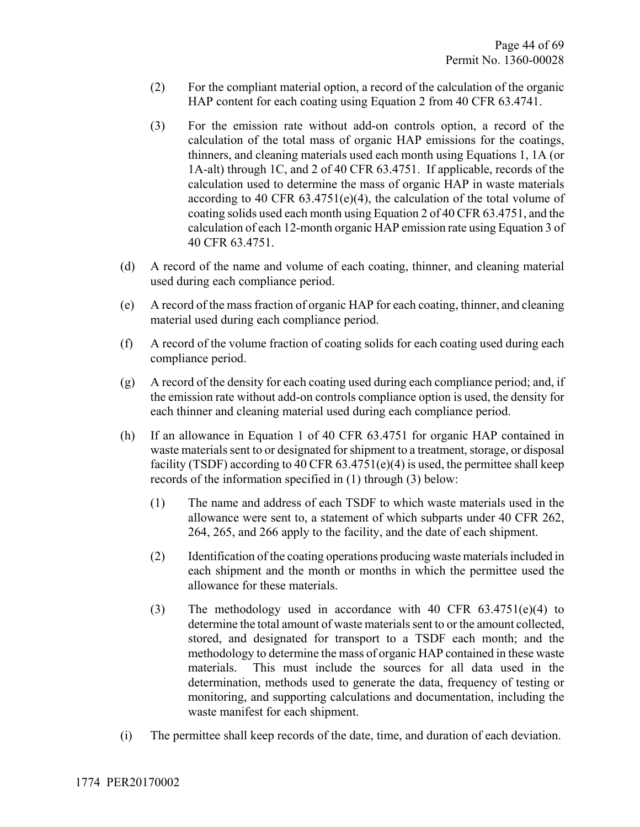- (2) For the compliant material option, a record of the calculation of the organic HAP content for each coating using Equation 2 from 40 CFR 63.4741.
- (3) For the emission rate without add-on controls option, a record of the calculation of the total mass of organic HAP emissions for the coatings, thinners, and cleaning materials used each month using Equations 1, 1A (or 1A-alt) through 1C, and 2 of 40 CFR 63.4751. If applicable, records of the calculation used to determine the mass of organic HAP in waste materials according to 40 CFR  $63.4751(e)(4)$ , the calculation of the total volume of coating solids used each month using Equation 2 of 40 CFR 63.4751, and the calculation of each 12-month organic HAP emission rate using Equation 3 of 40 CFR 63.4751.
- (d) A record of the name and volume of each coating, thinner, and cleaning material used during each compliance period.
- (e) A record of the mass fraction of organic HAP for each coating, thinner, and cleaning material used during each compliance period.
- (f) A record of the volume fraction of coating solids for each coating used during each compliance period.
- (g) A record of the density for each coating used during each compliance period; and, if the emission rate without add-on controls compliance option is used, the density for each thinner and cleaning material used during each compliance period.
- (h) If an allowance in Equation 1 of 40 CFR 63.4751 for organic HAP contained in waste materials sent to or designated for shipment to a treatment, storage, or disposal facility (TSDF) according to 40 CFR  $63.4751(e)(4)$  is used, the permittee shall keep records of the information specified in (1) through (3) below:
	- (1) The name and address of each TSDF to which waste materials used in the allowance were sent to, a statement of which subparts under 40 CFR 262, 264, 265, and 266 apply to the facility, and the date of each shipment.
	- (2) Identification of the coating operations producing waste materials included in each shipment and the month or months in which the permittee used the allowance for these materials.
	- (3) The methodology used in accordance with 40 CFR 63.4751(e)(4) to determine the total amount of waste materials sent to or the amount collected, stored, and designated for transport to a TSDF each month; and the methodology to determine the mass of organic HAP contained in these waste materials. This must include the sources for all data used in the determination, methods used to generate the data, frequency of testing or monitoring, and supporting calculations and documentation, including the waste manifest for each shipment.
- (i) The permittee shall keep records of the date, time, and duration of each deviation.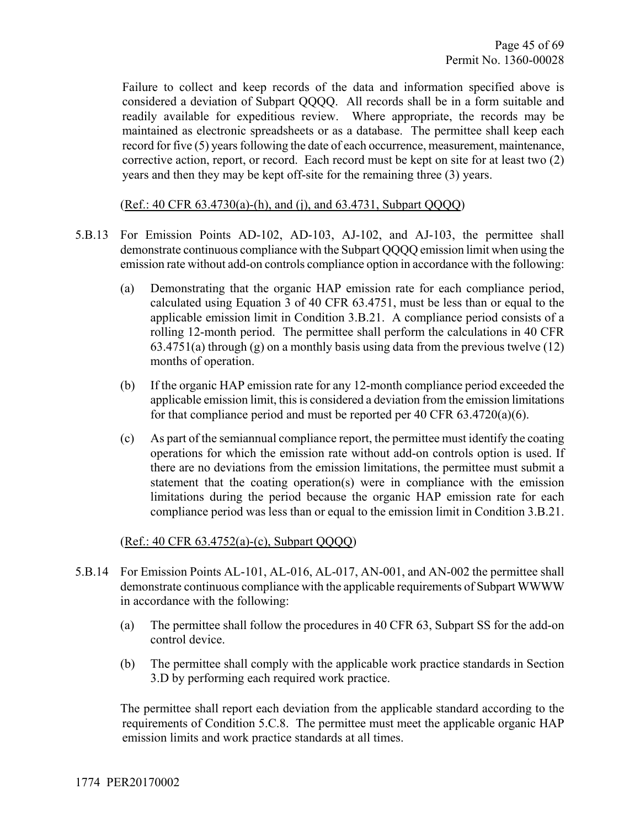Failure to collect and keep records of the data and information specified above is considered a deviation of Subpart QQQQ. All records shall be in a form suitable and readily available for expeditious review. Where appropriate, the records may be maintained as electronic spreadsheets or as a database. The permittee shall keep each record for five (5) years following the date of each occurrence, measurement, maintenance, corrective action, report, or record. Each record must be kept on site for at least two (2) years and then they may be kept off-site for the remaining three (3) years.

#### (Ref.: 40 CFR 63.4730(a)-(h), and (j), and 63.4731, Subpart QQQQ)

- 5.B.13 For Emission Points AD-102, AD-103, AJ-102, and AJ-103, the permittee shall demonstrate continuous compliance with the Subpart QQQQ emission limit when using the emission rate without add-on controls compliance option in accordance with the following:
	- (a) Demonstrating that the organic HAP emission rate for each compliance period, calculated using Equation 3 of 40 CFR 63.4751, must be less than or equal to the applicable emission limit in Condition 3.B.21. A compliance period consists of a rolling 12-month period. The permittee shall perform the calculations in 40 CFR  $63.4751(a)$  through (g) on a monthly basis using data from the previous twelve (12) months of operation.
	- (b) If the organic HAP emission rate for any 12-month compliance period exceeded the applicable emission limit, this is considered a deviation from the emission limitations for that compliance period and must be reported per 40 CFR 63.4720(a)(6).
	- (c) As part of the semiannual compliance report, the permittee must identify the coating operations for which the emission rate without add-on controls option is used. If there are no deviations from the emission limitations, the permittee must submit a statement that the coating operation(s) were in compliance with the emission limitations during the period because the organic HAP emission rate for each compliance period was less than or equal to the emission limit in Condition 3.B.21.

#### (Ref.: 40 CFR 63.4752(a)-(c), Subpart QQQQ)

- 5.B.14 For Emission Points AL-101, AL-016, AL-017, AN-001, and AN-002 the permittee shall demonstrate continuous compliance with the applicable requirements of Subpart WWWW in accordance with the following:
	- (a) The permittee shall follow the procedures in 40 CFR 63, Subpart SS for the add-on control device.
	- (b) The permittee shall comply with the applicable work practice standards in Section 3.D by performing each required work practice.

The permittee shall report each deviation from the applicable standard according to the requirements of Condition 5.C.8. The permittee must meet the applicable organic HAP emission limits and work practice standards at all times.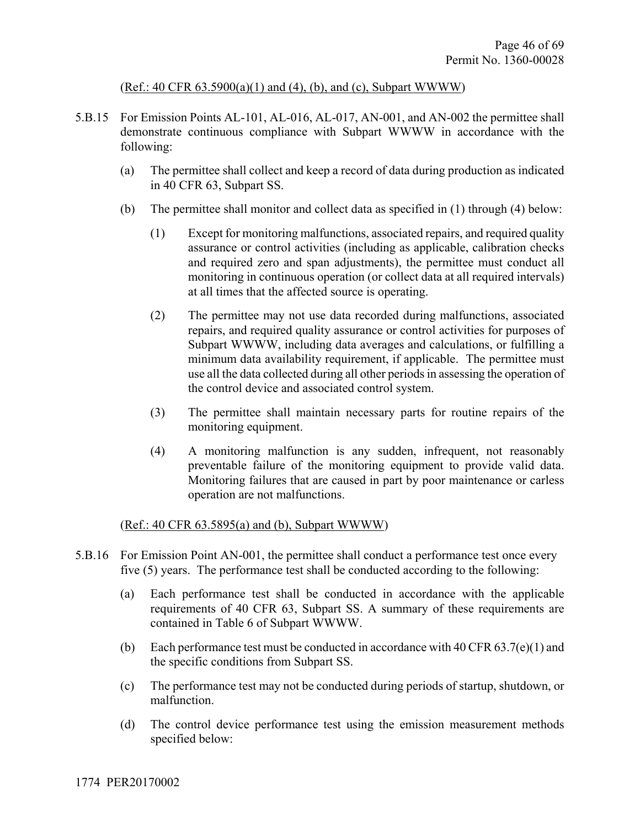#### (Ref.: 40 CFR 63.5900(a)(1) and (4), (b), and (c), Subpart WWWW)

- 5.B.15 For Emission Points AL-101, AL-016, AL-017, AN-001, and AN-002 the permittee shall demonstrate continuous compliance with Subpart WWWW in accordance with the following:
	- (a) The permittee shall collect and keep a record of data during production as indicated in 40 CFR 63, Subpart SS.
	- (b) The permittee shall monitor and collect data as specified in (1) through (4) below:
		- (1) Except for monitoring malfunctions, associated repairs, and required quality assurance or control activities (including as applicable, calibration checks and required zero and span adjustments), the permittee must conduct all monitoring in continuous operation (or collect data at all required intervals) at all times that the affected source is operating.
		- (2) The permittee may not use data recorded during malfunctions, associated repairs, and required quality assurance or control activities for purposes of Subpart WWWW, including data averages and calculations, or fulfilling a minimum data availability requirement, if applicable. The permittee must use all the data collected during all other periods in assessing the operation of the control device and associated control system.
		- (3) The permittee shall maintain necessary parts for routine repairs of the monitoring equipment.
		- (4) A monitoring malfunction is any sudden, infrequent, not reasonably preventable failure of the monitoring equipment to provide valid data. Monitoring failures that are caused in part by poor maintenance or carless operation are not malfunctions.

#### (Ref.: 40 CFR 63.5895(a) and (b), Subpart WWWW)

- 5.B.16 For Emission Point AN-001, the permittee shall conduct a performance test once every five (5) years. The performance test shall be conducted according to the following:
	- (a) Each performance test shall be conducted in accordance with the applicable requirements of 40 CFR 63, Subpart SS. A summary of these requirements are contained in Table 6 of Subpart WWWW.
	- (b) Each performance test must be conducted in accordance with 40 CFR  $63.7(e)(1)$  and the specific conditions from Subpart SS.
	- (c) The performance test may not be conducted during periods of startup, shutdown, or malfunction.
	- (d) The control device performance test using the emission measurement methods specified below: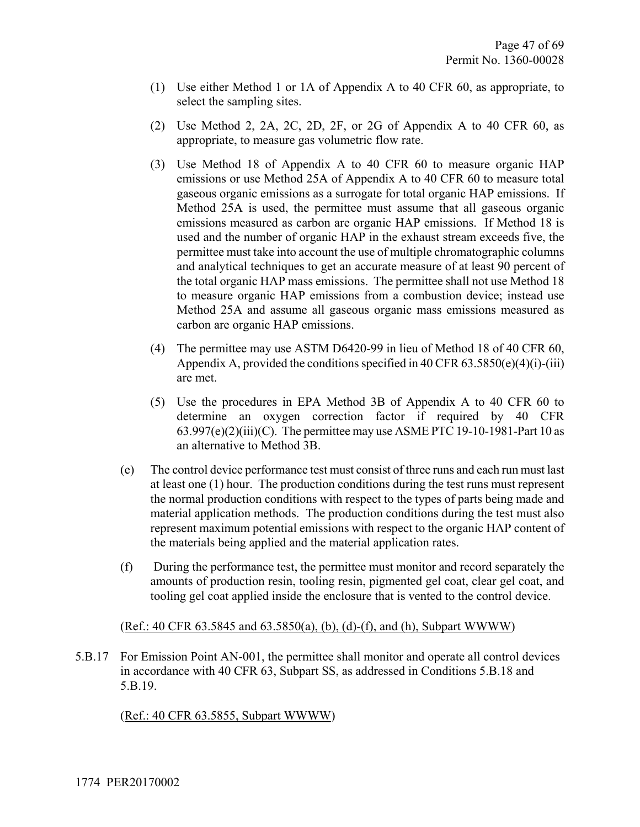- (1) Use either Method 1 or 1A of Appendix A to 40 CFR 60, as appropriate, to select the sampling sites.
- (2) Use Method 2, 2A, 2C, 2D, 2F, or 2G of Appendix A to 40 CFR 60, as appropriate, to measure gas volumetric flow rate.
- (3) Use Method 18 of Appendix A to 40 CFR 60 to measure organic HAP emissions or use Method 25A of Appendix A to 40 CFR 60 to measure total gaseous organic emissions as a surrogate for total organic HAP emissions. If Method 25A is used, the permittee must assume that all gaseous organic emissions measured as carbon are organic HAP emissions. If Method 18 is used and the number of organic HAP in the exhaust stream exceeds five, the permittee must take into account the use of multiple chromatographic columns and analytical techniques to get an accurate measure of at least 90 percent of the total organic HAP mass emissions. The permittee shall not use Method 18 to measure organic HAP emissions from a combustion device; instead use Method 25A and assume all gaseous organic mass emissions measured as carbon are organic HAP emissions.
- (4) The permittee may use ASTM D6420-99 in lieu of Method 18 of 40 CFR 60, Appendix A, provided the conditions specified in 40 CFR  $63.5850(e)(4)(i)-(iii)$ are met.
- (5) Use the procedures in EPA Method 3B of Appendix A to 40 CFR 60 to determine an oxygen correction factor if required by 40 CFR  $63.997(e)(2)(iii)(C)$ . The permittee may use ASME PTC 19-10-1981-Part 10 as an alternative to Method 3B.
- (e) The control device performance test must consist of three runs and each run must last at least one (1) hour. The production conditions during the test runs must represent the normal production conditions with respect to the types of parts being made and material application methods. The production conditions during the test must also represent maximum potential emissions with respect to the organic HAP content of the materials being applied and the material application rates.
- (f) During the performance test, the permittee must monitor and record separately the amounts of production resin, tooling resin, pigmented gel coat, clear gel coat, and tooling gel coat applied inside the enclosure that is vented to the control device.

#### (Ref.: 40 CFR 63.5845 and 63.5850(a), (b), (d)-(f), and (h), Subpart WWWW)

5.B.17 For Emission Point AN-001, the permittee shall monitor and operate all control devices in accordance with 40 CFR 63, Subpart SS, as addressed in Conditions 5.B.18 and 5.B.19.

(Ref.: 40 CFR 63.5855, Subpart WWWW)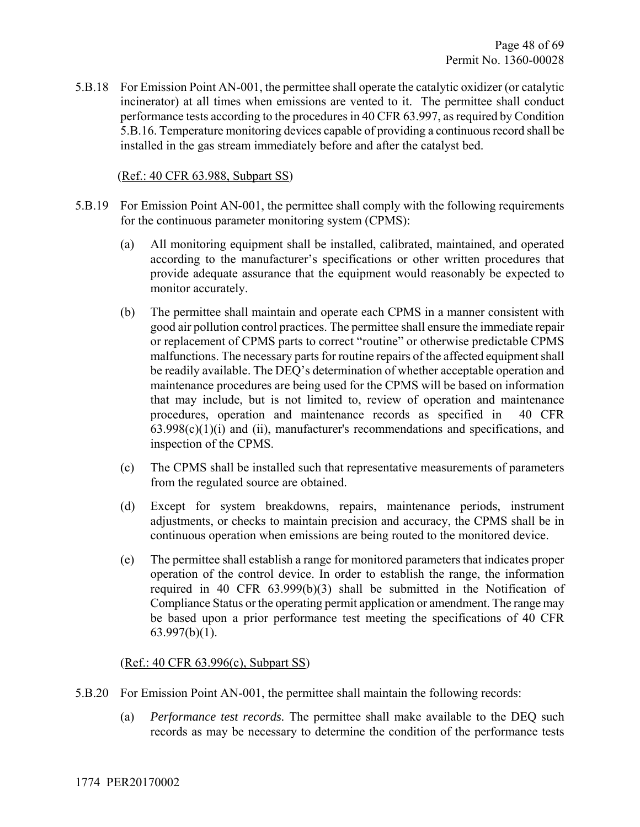5.B.18 For Emission Point AN-001, the permittee shall operate the catalytic oxidizer (or catalytic incinerator) at all times when emissions are vented to it. The permittee shall conduct performance tests according to the procedures in 40 CFR 63.997, as required by Condition 5.B.16. Temperature monitoring devices capable of providing a continuous record shall be installed in the gas stream immediately before and after the catalyst bed.

#### (Ref.: 40 CFR 63.988, Subpart SS)

- 5.B.19 For Emission Point AN-001, the permittee shall comply with the following requirements for the continuous parameter monitoring system (CPMS):
	- (a) All monitoring equipment shall be installed, calibrated, maintained, and operated according to the manufacturer's specifications or other written procedures that provide adequate assurance that the equipment would reasonably be expected to monitor accurately.
	- (b) The permittee shall maintain and operate each CPMS in a manner consistent with good air pollution control practices. The permittee shall ensure the immediate repair or replacement of CPMS parts to correct "routine" or otherwise predictable CPMS malfunctions. The necessary parts for routine repairs of the affected equipment shall be readily available. The DEQ's determination of whether acceptable operation and maintenance procedures are being used for the CPMS will be based on information that may include, but is not limited to, review of operation and maintenance procedures, operation and maintenance records as specified in 40 CFR  $63.998(c)(1)(i)$  and (ii), manufacturer's recommendations and specifications, and inspection of the CPMS.
	- (c) The CPMS shall be installed such that representative measurements of parameters from the regulated source are obtained.
	- (d) Except for system breakdowns, repairs, maintenance periods, instrument adjustments, or checks to maintain precision and accuracy, the CPMS shall be in continuous operation when emissions are being routed to the monitored device.
	- (e) The permittee shall establish a range for monitored parameters that indicates proper operation of the control device. In order to establish the range, the information required in 40 CFR 63.999(b)(3) shall be submitted in the Notification of Compliance Status or the operating permit application or amendment. The range may be based upon a prior performance test meeting the specifications of 40 CFR 63.997(b)(1).

#### (Ref.: 40 CFR 63.996(c), Subpart SS)

- 5.B.20 For Emission Point AN-001, the permittee shall maintain the following records:
	- (a) *Performance test records.* The permittee shall make available to the DEQ such records as may be necessary to determine the condition of the performance tests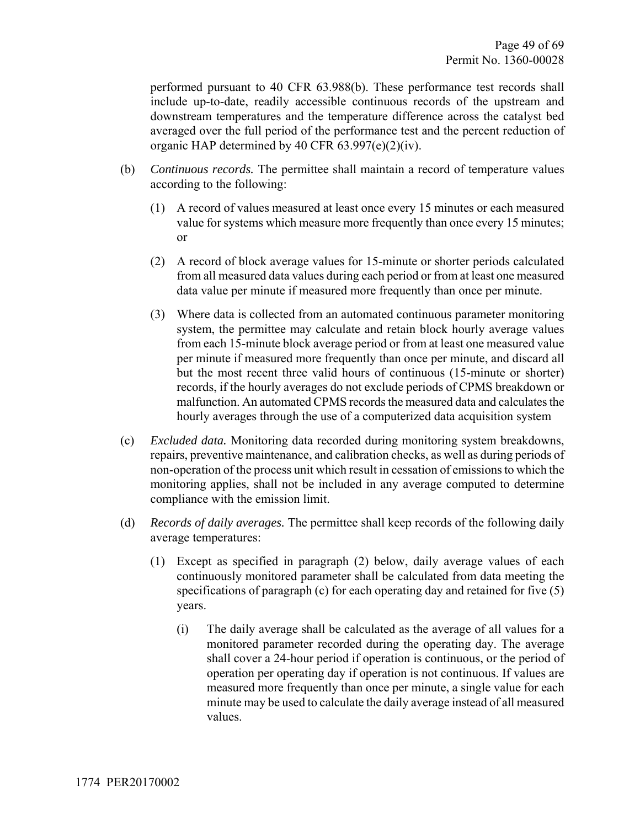performed pursuant to 40 CFR 63.988(b). These performance test records shall include up-to-date, readily accessible continuous records of the upstream and downstream temperatures and the temperature difference across the catalyst bed averaged over the full period of the performance test and the percent reduction of organic HAP determined by 40 CFR 63.997(e)(2)(iv).

- (b) *Continuous records.* The permittee shall maintain a record of temperature values according to the following:
	- (1) A record of values measured at least once every 15 minutes or each measured value for systems which measure more frequently than once every 15 minutes; or
	- (2) A record of block average values for 15-minute or shorter periods calculated from all measured data values during each period or from at least one measured data value per minute if measured more frequently than once per minute.
	- (3) Where data is collected from an automated continuous parameter monitoring system, the permittee may calculate and retain block hourly average values from each 15-minute block average period or from at least one measured value per minute if measured more frequently than once per minute, and discard all but the most recent three valid hours of continuous (15-minute or shorter) records, if the hourly averages do not exclude periods of CPMS breakdown or malfunction. An automated CPMS records the measured data and calculates the hourly averages through the use of a computerized data acquisition system
- (c) *Excluded data.* Monitoring data recorded during monitoring system breakdowns, repairs, preventive maintenance, and calibration checks, as well as during periods of non-operation of the process unit which result in cessation of emissions to which the monitoring applies, shall not be included in any average computed to determine compliance with the emission limit.
- (d) *Records of daily averages.* The permittee shall keep records of the following daily average temperatures:
	- (1) Except as specified in paragraph (2) below, daily average values of each continuously monitored parameter shall be calculated from data meeting the specifications of paragraph (c) for each operating day and retained for five (5) years.
		- (i) The daily average shall be calculated as the average of all values for a monitored parameter recorded during the operating day. The average shall cover a 24-hour period if operation is continuous, or the period of operation per operating day if operation is not continuous. If values are measured more frequently than once per minute, a single value for each minute may be used to calculate the daily average instead of all measured values.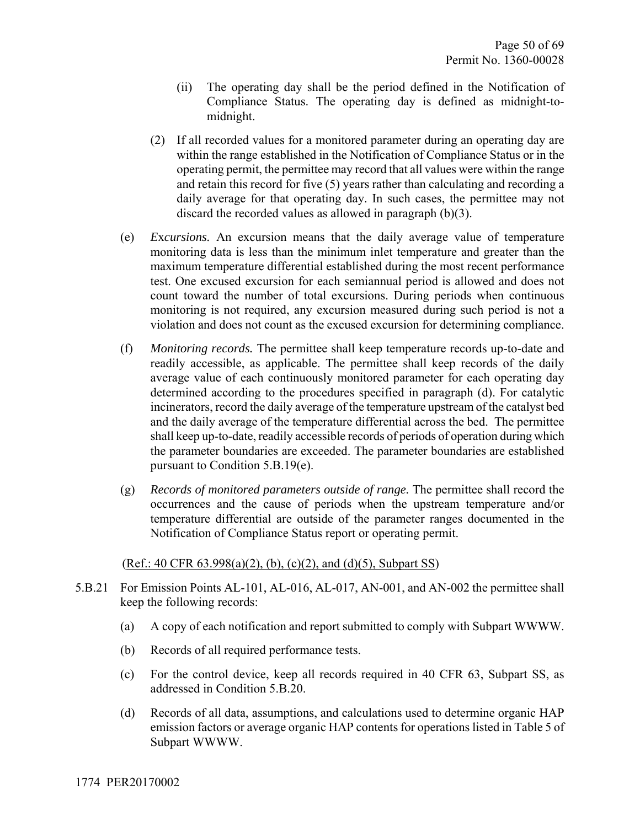- (ii) The operating day shall be the period defined in the Notification of Compliance Status. The operating day is defined as midnight-tomidnight.
- (2) If all recorded values for a monitored parameter during an operating day are within the range established in the Notification of Compliance Status or in the operating permit, the permittee may record that all values were within the range and retain this record for five (5) years rather than calculating and recording a daily average for that operating day. In such cases, the permittee may not discard the recorded values as allowed in paragraph (b)(3).
- (e) *E*x*cursions.* An excursion means that the daily average value of temperature monitoring data is less than the minimum inlet temperature and greater than the maximum temperature differential established during the most recent performance test. One excused excursion for each semiannual period is allowed and does not count toward the number of total excursions. During periods when continuous monitoring is not required, any excursion measured during such period is not a violation and does not count as the excused excursion for determining compliance.
- (f) *Monitoring records.* The permittee shall keep temperature records up-to-date and readily accessible, as applicable. The permittee shall keep records of the daily average value of each continuously monitored parameter for each operating day determined according to the procedures specified in paragraph (d). For catalytic incinerators, record the daily average of the temperature upstream of the catalyst bed and the daily average of the temperature differential across the bed. The permittee shall keep up-to-date, readily accessible records of periods of operation during which the parameter boundaries are exceeded. The parameter boundaries are established pursuant to Condition 5.B.19(e).
- (g) *Records of monitored parameters outside of range.* The permittee shall record the occurrences and the cause of periods when the upstream temperature and/or temperature differential are outside of the parameter ranges documented in the Notification of Compliance Status report or operating permit.

#### $(Ref.: 40 CFR 63.998(a)(2), (b), (c)(2), and (d)(5), Subpart SS)$

- 5.B.21 For Emission Points AL-101, AL-016, AL-017, AN-001, and AN-002 the permittee shall keep the following records:
	- (a) A copy of each notification and report submitted to comply with Subpart WWWW.
	- (b) Records of all required performance tests.
	- (c) For the control device, keep all records required in 40 CFR 63, Subpart SS, as addressed in Condition 5.B.20.
	- (d) Records of all data, assumptions, and calculations used to determine organic HAP emission factors or average organic HAP contents for operations listed in Table 5 of Subpart WWWW.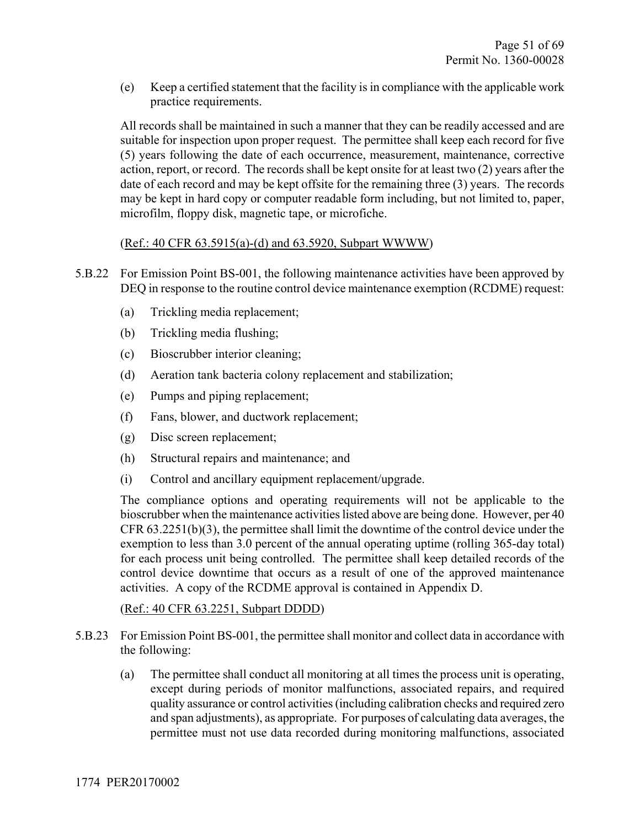(e) Keep a certified statement that the facility is in compliance with the applicable work practice requirements.

All records shall be maintained in such a manner that they can be readily accessed and are suitable for inspection upon proper request. The permittee shall keep each record for five (5) years following the date of each occurrence, measurement, maintenance, corrective action, report, or record. The records shall be kept onsite for at least two (2) years after the date of each record and may be kept offsite for the remaining three (3) years. The records may be kept in hard copy or computer readable form including, but not limited to, paper, microfilm, floppy disk, magnetic tape, or microfiche.

#### (Ref.: 40 CFR 63.5915(a)-(d) and 63.5920, Subpart WWWW)

- 5.B.22 For Emission Point BS-001, the following maintenance activities have been approved by DEQ in response to the routine control device maintenance exemption (RCDME) request:
	- (a) Trickling media replacement;
	- (b) Trickling media flushing;
	- (c) Bioscrubber interior cleaning;
	- (d) Aeration tank bacteria colony replacement and stabilization;
	- (e) Pumps and piping replacement;
	- (f) Fans, blower, and ductwork replacement;
	- (g) Disc screen replacement;
	- (h) Structural repairs and maintenance; and
	- (i) Control and ancillary equipment replacement/upgrade.

The compliance options and operating requirements will not be applicable to the bioscrubber when the maintenance activities listed above are being done. However, per 40 CFR 63.2251(b)(3), the permittee shall limit the downtime of the control device under the exemption to less than 3.0 percent of the annual operating uptime (rolling 365-day total) for each process unit being controlled. The permittee shall keep detailed records of the control device downtime that occurs as a result of one of the approved maintenance activities. A copy of the RCDME approval is contained in Appendix D.

#### (Ref.: 40 CFR 63.2251, Subpart DDDD)

- 5.B.23 For Emission Point BS-001, the permittee shall monitor and collect data in accordance with the following:
	- (a) The permittee shall conduct all monitoring at all times the process unit is operating, except during periods of monitor malfunctions, associated repairs, and required quality assurance or control activities (including calibration checks and required zero and span adjustments), as appropriate. For purposes of calculating data averages, the permittee must not use data recorded during monitoring malfunctions, associated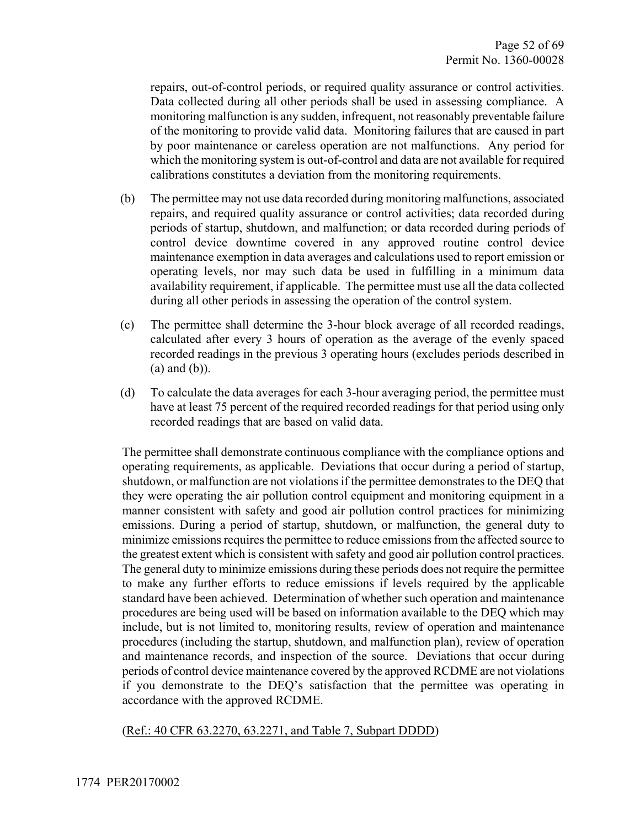repairs, out-of-control periods, or required quality assurance or control activities. Data collected during all other periods shall be used in assessing compliance. A monitoring malfunction is any sudden, infrequent, not reasonably preventable failure of the monitoring to provide valid data. Monitoring failures that are caused in part by poor maintenance or careless operation are not malfunctions. Any period for which the monitoring system is out-of-control and data are not available for required calibrations constitutes a deviation from the monitoring requirements.

- (b) The permittee may not use data recorded during monitoring malfunctions, associated repairs, and required quality assurance or control activities; data recorded during periods of startup, shutdown, and malfunction; or data recorded during periods of control device downtime covered in any approved routine control device maintenance exemption in data averages and calculations used to report emission or operating levels, nor may such data be used in fulfilling in a minimum data availability requirement, if applicable. The permittee must use all the data collected during all other periods in assessing the operation of the control system.
- (c) The permittee shall determine the 3-hour block average of all recorded readings, calculated after every 3 hours of operation as the average of the evenly spaced recorded readings in the previous 3 operating hours (excludes periods described in (a) and (b)).
- (d) To calculate the data averages for each 3-hour averaging period, the permittee must have at least 75 percent of the required recorded readings for that period using only recorded readings that are based on valid data.

The permittee shall demonstrate continuous compliance with the compliance options and operating requirements, as applicable. Deviations that occur during a period of startup, shutdown, or malfunction are not violations if the permittee demonstrates to the DEQ that they were operating the air pollution control equipment and monitoring equipment in a manner consistent with safety and good air pollution control practices for minimizing emissions. During a period of startup, shutdown, or malfunction, the general duty to minimize emissions requires the permittee to reduce emissions from the affected source to the greatest extent which is consistent with safety and good air pollution control practices. The general duty to minimize emissions during these periods does not require the permittee to make any further efforts to reduce emissions if levels required by the applicable standard have been achieved. Determination of whether such operation and maintenance procedures are being used will be based on information available to the DEQ which may include, but is not limited to, monitoring results, review of operation and maintenance procedures (including the startup, shutdown, and malfunction plan), review of operation and maintenance records, and inspection of the source. Deviations that occur during periods of control device maintenance covered by the approved RCDME are not violations if you demonstrate to the DEQ's satisfaction that the permittee was operating in accordance with the approved RCDME.

(Ref.: 40 CFR 63.2270, 63.2271, and Table 7, Subpart DDDD)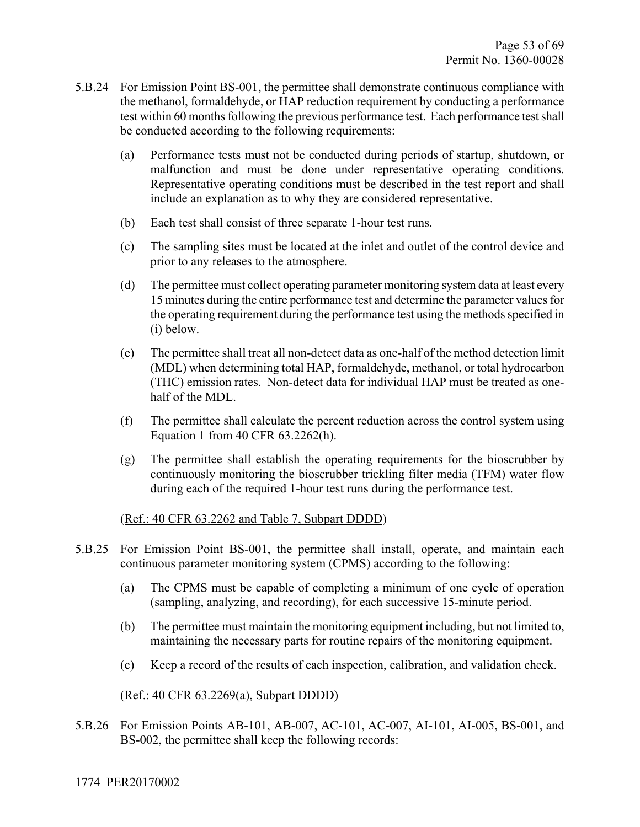- 5.B.24 For Emission Point BS-001, the permittee shall demonstrate continuous compliance with the methanol, formaldehyde, or HAP reduction requirement by conducting a performance test within 60 months following the previous performance test. Each performance test shall be conducted according to the following requirements:
	- (a) Performance tests must not be conducted during periods of startup, shutdown, or malfunction and must be done under representative operating conditions. Representative operating conditions must be described in the test report and shall include an explanation as to why they are considered representative.
	- (b) Each test shall consist of three separate 1-hour test runs.
	- (c) The sampling sites must be located at the inlet and outlet of the control device and prior to any releases to the atmosphere.
	- (d) The permittee must collect operating parameter monitoring system data at least every 15 minutes during the entire performance test and determine the parameter values for the operating requirement during the performance test using the methods specified in (i) below.
	- (e) The permittee shall treat all non-detect data as one-half of the method detection limit (MDL) when determining total HAP, formaldehyde, methanol, or total hydrocarbon (THC) emission rates. Non-detect data for individual HAP must be treated as onehalf of the MDL.
	- (f) The permittee shall calculate the percent reduction across the control system using Equation 1 from 40 CFR 63.2262(h).
	- (g) The permittee shall establish the operating requirements for the bioscrubber by continuously monitoring the bioscrubber trickling filter media (TFM) water flow during each of the required 1-hour test runs during the performance test.

#### (Ref.: 40 CFR 63.2262 and Table 7, Subpart DDDD)

- 5.B.25 For Emission Point BS-001, the permittee shall install, operate, and maintain each continuous parameter monitoring system (CPMS) according to the following:
	- (a) The CPMS must be capable of completing a minimum of one cycle of operation (sampling, analyzing, and recording), for each successive 15-minute period.
	- (b) The permittee must maintain the monitoring equipment including, but not limited to, maintaining the necessary parts for routine repairs of the monitoring equipment.
	- (c) Keep a record of the results of each inspection, calibration, and validation check.

#### (Ref.: 40 CFR 63.2269(a), Subpart DDDD)

5.B.26 For Emission Points AB-101, AB-007, AC-101, AC-007, AI-101, AI-005, BS-001, and BS-002, the permittee shall keep the following records: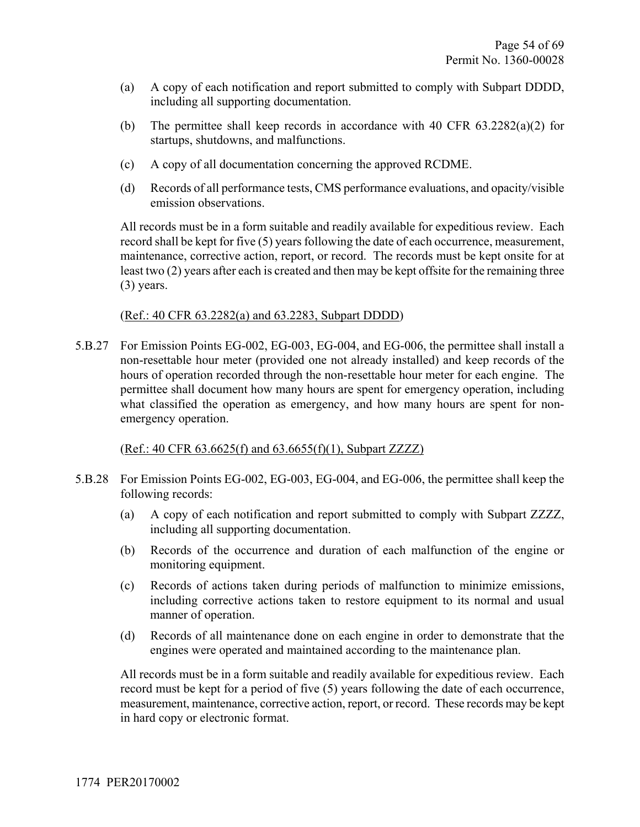- (a) A copy of each notification and report submitted to comply with Subpart DDDD, including all supporting documentation.
- (b) The permittee shall keep records in accordance with 40 CFR 63.2282(a)(2) for startups, shutdowns, and malfunctions.
- (c) A copy of all documentation concerning the approved RCDME.
- (d) Records of all performance tests, CMS performance evaluations, and opacity/visible emission observations.

All records must be in a form suitable and readily available for expeditious review. Each record shall be kept for five (5) years following the date of each occurrence, measurement, maintenance, corrective action, report, or record. The records must be kept onsite for at least two (2) years after each is created and then may be kept offsite for the remaining three (3) years.

#### (Ref.: 40 CFR 63.2282(a) and 63.2283, Subpart DDDD)

5.B.27 For Emission Points EG-002, EG-003, EG-004, and EG-006, the permittee shall install a non-resettable hour meter (provided one not already installed) and keep records of the hours of operation recorded through the non-resettable hour meter for each engine. The permittee shall document how many hours are spent for emergency operation, including what classified the operation as emergency, and how many hours are spent for nonemergency operation.

#### (Ref.: 40 CFR 63.6625(f) and 63.6655(f)(1), Subpart ZZZZ)

- 5.B.28 For Emission Points EG-002, EG-003, EG-004, and EG-006, the permittee shall keep the following records:
	- (a) A copy of each notification and report submitted to comply with Subpart ZZZZ, including all supporting documentation.
	- (b) Records of the occurrence and duration of each malfunction of the engine or monitoring equipment.
	- (c) Records of actions taken during periods of malfunction to minimize emissions, including corrective actions taken to restore equipment to its normal and usual manner of operation.
	- (d) Records of all maintenance done on each engine in order to demonstrate that the engines were operated and maintained according to the maintenance plan.

All records must be in a form suitable and readily available for expeditious review. Each record must be kept for a period of five (5) years following the date of each occurrence, measurement, maintenance, corrective action, report, or record. These records may be kept in hard copy or electronic format.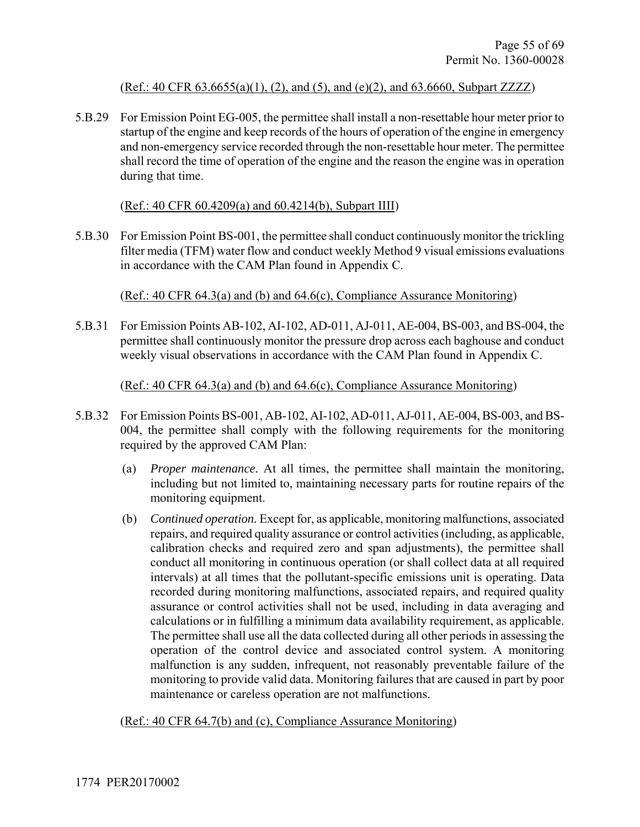#### (Ref.: 40 CFR 63.6655(a)(1), (2), and (5), and (e)(2), and 63.6660, Subpart ZZZZ)

5.B.29 For Emission Point EG-005, the permittee shall install a non-resettable hour meter prior to startup of the engine and keep records of the hours of operation of the engine in emergency and non-emergency service recorded through the non-resettable hour meter. The permittee shall record the time of operation of the engine and the reason the engine was in operation during that time.

#### (Ref.: 40 CFR 60.4209(a) and 60.4214(b), Subpart IIII)

5.B.30 For Emission Point BS-001, the permittee shall conduct continuously monitor the trickling filter media (TFM) water flow and conduct weekly Method 9 visual emissions evaluations in accordance with the CAM Plan found in Appendix C.

(Ref.: 40 CFR 64.3(a) and (b) and 64.6(c), Compliance Assurance Monitoring)

5.B.31 For Emission Points AB-102, AI-102, AD-011, AJ-011, AE-004, BS-003, and BS-004, the permittee shall continuously monitor the pressure drop across each baghouse and conduct weekly visual observations in accordance with the CAM Plan found in Appendix C.

#### (Ref.: 40 CFR 64.3(a) and (b) and 64.6(c), Compliance Assurance Monitoring)

- 5.B.32 For Emission Points BS-001, AB-102, AI-102, AD-011, AJ-011, AE-004, BS-003, and BS-004, the permittee shall comply with the following requirements for the monitoring required by the approved CAM Plan:
	- (a) *Proper maintenance.* At all times, the permittee shall maintain the monitoring, including but not limited to, maintaining necessary parts for routine repairs of the monitoring equipment.
	- (b) *Continued operation.* Except for, as applicable, monitoring malfunctions, associated repairs, and required quality assurance or control activities (including, as applicable, calibration checks and required zero and span adjustments), the permittee shall conduct all monitoring in continuous operation (or shall collect data at all required intervals) at all times that the pollutant-specific emissions unit is operating. Data recorded during monitoring malfunctions, associated repairs, and required quality assurance or control activities shall not be used, including in data averaging and calculations or in fulfilling a minimum data availability requirement, as applicable. The permittee shall use all the data collected during all other periods in assessing the operation of the control device and associated control system. A monitoring malfunction is any sudden, infrequent, not reasonably preventable failure of the monitoring to provide valid data. Monitoring failures that are caused in part by poor maintenance or careless operation are not malfunctions.

(Ref.: 40 CFR 64.7(b) and (c), Compliance Assurance Monitoring)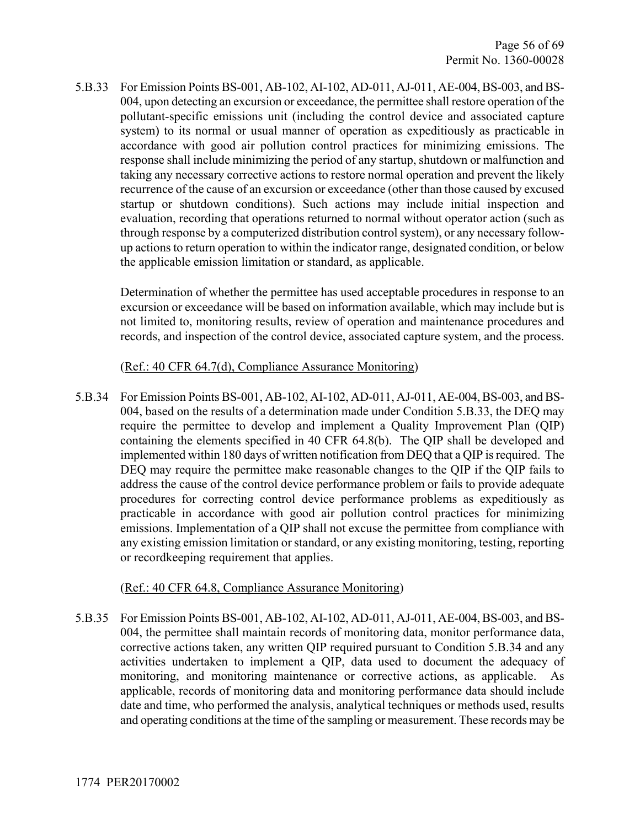5.B.33 For Emission Points BS-001, AB-102, AI-102, AD-011, AJ-011, AE-004, BS-003, and BS-004, upon detecting an excursion or exceedance, the permittee shall restore operation of the pollutant-specific emissions unit (including the control device and associated capture system) to its normal or usual manner of operation as expeditiously as practicable in accordance with good air pollution control practices for minimizing emissions. The response shall include minimizing the period of any startup, shutdown or malfunction and taking any necessary corrective actions to restore normal operation and prevent the likely recurrence of the cause of an excursion or exceedance (other than those caused by excused startup or shutdown conditions). Such actions may include initial inspection and evaluation, recording that operations returned to normal without operator action (such as through response by a computerized distribution control system), or any necessary followup actions to return operation to within the indicator range, designated condition, or below the applicable emission limitation or standard, as applicable.

Determination of whether the permittee has used acceptable procedures in response to an excursion or exceedance will be based on information available, which may include but is not limited to, monitoring results, review of operation and maintenance procedures and records, and inspection of the control device, associated capture system, and the process.

#### (Ref.: 40 CFR 64.7(d), Compliance Assurance Monitoring)

5.B.34 For Emission Points BS-001, AB-102, AI-102, AD-011, AJ-011, AE-004, BS-003, and BS-004, based on the results of a determination made under Condition 5.B.33, the DEQ may require the permittee to develop and implement a Quality Improvement Plan (QIP) containing the elements specified in 40 CFR 64.8(b). The QIP shall be developed and implemented within 180 days of written notification from DEQ that a QIP is required. The DEQ may require the permittee make reasonable changes to the QIP if the QIP fails to address the cause of the control device performance problem or fails to provide adequate procedures for correcting control device performance problems as expeditiously as practicable in accordance with good air pollution control practices for minimizing emissions. Implementation of a QIP shall not excuse the permittee from compliance with any existing emission limitation or standard, or any existing monitoring, testing, reporting or recordkeeping requirement that applies.

#### (Ref.: 40 CFR 64.8, Compliance Assurance Monitoring)

5.B.35 For Emission Points BS-001, AB-102, AI-102, AD-011, AJ-011, AE-004, BS-003, and BS-004, the permittee shall maintain records of monitoring data, monitor performance data, corrective actions taken, any written QIP required pursuant to Condition 5.B.34 and any activities undertaken to implement a QIP, data used to document the adequacy of monitoring, and monitoring maintenance or corrective actions, as applicable. As applicable, records of monitoring data and monitoring performance data should include date and time, who performed the analysis, analytical techniques or methods used, results and operating conditions at the time of the sampling or measurement. These records may be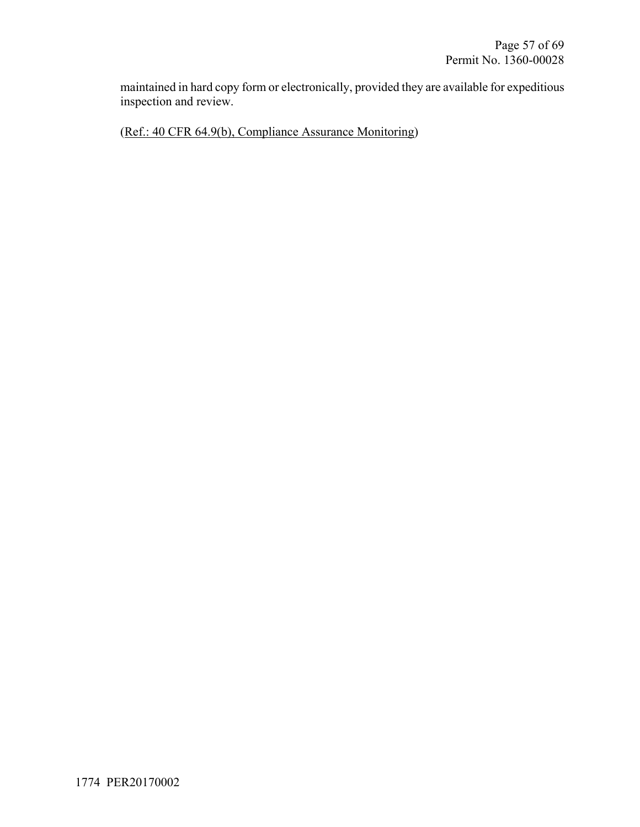maintained in hard copy form or electronically, provided they are available for expeditious inspection and review.

(Ref.: 40 CFR 64.9(b), Compliance Assurance Monitoring)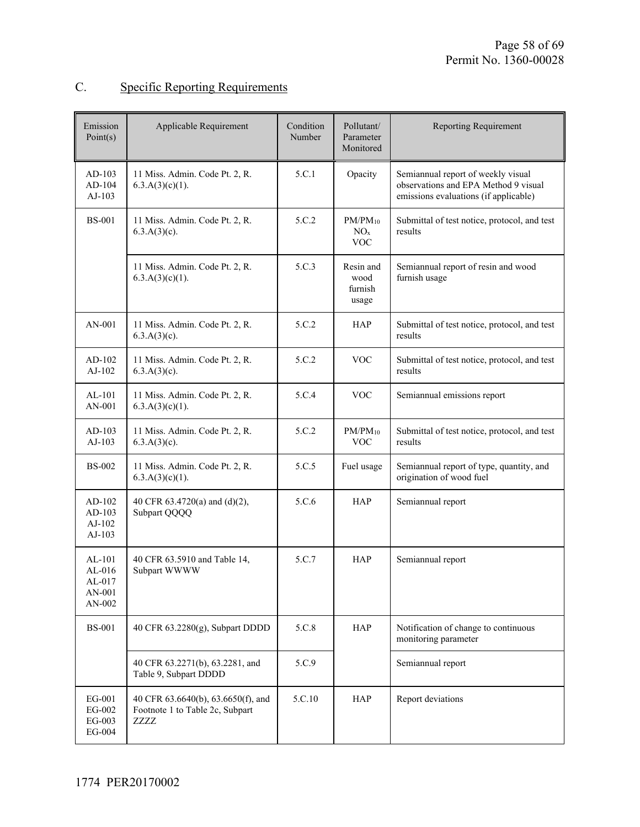## C. Specific Reporting Requirements

| Emission<br>Point(s)                                 | Applicable Requirement                                                        | Condition<br>Number | Pollutant/<br>Parameter<br>Monitored          | <b>Reporting Requirement</b>                                                                                        |
|------------------------------------------------------|-------------------------------------------------------------------------------|---------------------|-----------------------------------------------|---------------------------------------------------------------------------------------------------------------------|
| $AD-103$<br>$AD-104$<br>$AJ-103$                     | 11 Miss. Admin. Code Pt. 2, R.<br>$6.3.A(3)(c)(1)$ .                          | 5.C.1               | Opacity                                       | Semiannual report of weekly visual<br>observations and EPA Method 9 visual<br>emissions evaluations (if applicable) |
| <b>BS-001</b>                                        | 11 Miss. Admin. Code Pt. 2, R.<br>$6.3.A(3)(c)$ .                             | 5.C.2               | $PM/PM_{10}$<br>NO <sub>x</sub><br><b>VOC</b> | Submittal of test notice, protocol, and test<br>results                                                             |
|                                                      | 11 Miss. Admin. Code Pt. 2, R.<br>$6.3.A(3)(c)(1)$ .                          | 5.C.3               | Resin and<br>wood<br>furnish<br>usage         | Semiannual report of resin and wood<br>furnish usage                                                                |
| $AN-001$                                             | 11 Miss. Admin. Code Pt. 2, R.<br>$6.3.A(3)(c)$ .                             | 5.C.2               | <b>HAP</b>                                    | Submittal of test notice, protocol, and test<br>results                                                             |
| AD-102<br>$AJ-102$                                   | 11 Miss. Admin. Code Pt. 2, R.<br>$6.3.A(3)(c)$ .                             | 5.C.2               | <b>VOC</b>                                    | Submittal of test notice, protocol, and test<br>results                                                             |
| $AL-101$<br>AN-001                                   | 11 Miss. Admin. Code Pt. 2, R.<br>$6.3.A(3)(c)(1)$ .                          | 5.C.4               | <b>VOC</b>                                    | Semiannual emissions report                                                                                         |
| $AD-103$<br>$AJ-103$                                 | 11 Miss. Admin. Code Pt. 2, R.<br>$6.3.A(3)(c)$ .                             | 5.C.2               | $PM/PM_{10}$<br><b>VOC</b>                    | Submittal of test notice, protocol, and test<br>results                                                             |
| <b>BS-002</b>                                        | 11 Miss. Admin. Code Pt. 2, R.<br>6.3.A(3)(c)(1).                             | 5.C.5               | Fuel usage                                    | Semiannual report of type, quantity, and<br>origination of wood fuel                                                |
| $AD-102$<br>AD-103<br>AJ-102<br>AJ-103               | 40 CFR 63.4720(a) and (d)(2),<br>Subpart QQQQ                                 | 5.C.6               | <b>HAP</b>                                    | Semiannual report                                                                                                   |
| $AL-101$<br>$AL-016$<br>$AL-017$<br>AN-001<br>AN-002 | 40 CFR 63.5910 and Table 14,<br>Subpart WWWW                                  | 5.C.7               | <b>HAP</b>                                    | Semiannual report                                                                                                   |
| <b>BS-001</b>                                        | 40 CFR 63.2280(g), Subpart DDDD                                               | 5.C.8               | <b>HAP</b>                                    | Notification of change to continuous<br>monitoring parameter                                                        |
|                                                      | 40 CFR 63.2271(b), 63.2281, and<br>Table 9, Subpart DDDD                      | 5.C.9               |                                               | Semiannual report                                                                                                   |
| EG-001<br>EG-002<br>EG-003<br>EG-004                 | 40 CFR 63.6640(b), 63.6650(f), and<br>Footnote 1 to Table 2c, Subpart<br>ZZZZ | 5.C.10              | <b>HAP</b>                                    | Report deviations                                                                                                   |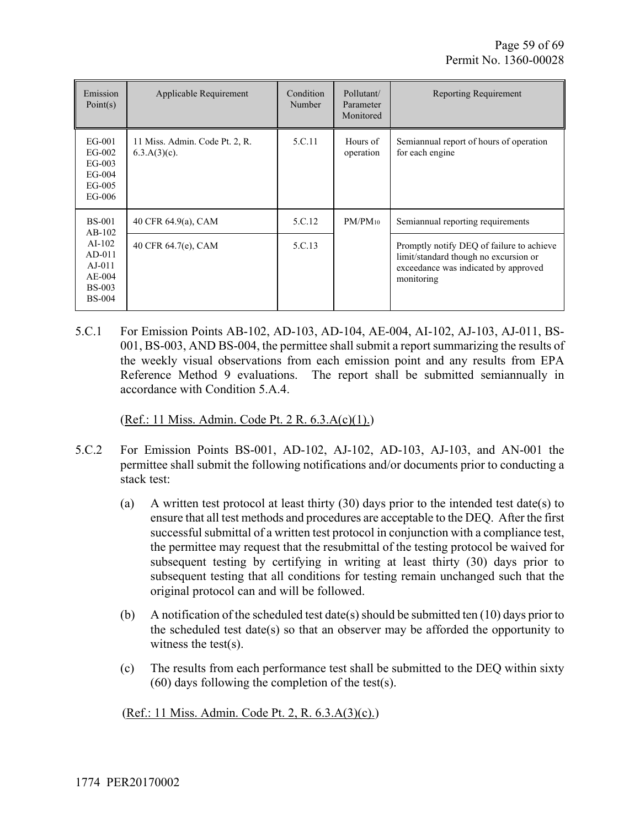| Emission<br>Point(s)                                                                                   | Applicable Requirement                            | Condition<br>Number | Pollutant/<br>Parameter<br>Monitored | <b>Reporting Requirement</b>                                                                                                             |
|--------------------------------------------------------------------------------------------------------|---------------------------------------------------|---------------------|--------------------------------------|------------------------------------------------------------------------------------------------------------------------------------------|
| $EG-001$<br>$EG-002$<br>$EG-003$<br>$EG-004$<br>$EG-005$<br>EG-006                                     | 11 Miss. Admin. Code Pt. 2, R.<br>$6.3.A(3)(c)$ . | 5.C.11              | Hours of<br>operation                | Semiannual report of hours of operation<br>for each engine                                                                               |
| <b>BS-001</b><br>$AB-102$<br>$AI-102$<br>$AD-011$<br>$AJ-011$<br>$AE-004$<br>$BS-003$<br><b>BS-004</b> | 40 CFR 64.9(a), CAM                               | 5.C.12              | $PM/PM_{10}$                         | Semiannual reporting requirements                                                                                                        |
|                                                                                                        | 40 CFR 64.7(e), CAM                               | 5.C.13              |                                      | Promptly notify DEQ of failure to achieve<br>limit/standard though no excursion or<br>exceedance was indicated by approved<br>monitoring |

5.C.1 For Emission Points AB-102, AD-103, AD-104, AE-004, AI-102, AJ-103, AJ-011, BS-001, BS-003, AND BS-004, the permittee shall submit a report summarizing the results of the weekly visual observations from each emission point and any results from EPA Reference Method 9 evaluations. The report shall be submitted semiannually in accordance with Condition 5.A.4.

(Ref.: 11 Miss. Admin. Code Pt. 2 R. 6.3.A(c)(1).)

- 5.C.2 For Emission Points BS-001, AD-102, AJ-102, AD-103, AJ-103, and AN-001 the permittee shall submit the following notifications and/or documents prior to conducting a stack test:
	- (a) A written test protocol at least thirty  $(30)$  days prior to the intended test date(s) to ensure that all test methods and procedures are acceptable to the DEQ. After the first successful submittal of a written test protocol in conjunction with a compliance test, the permittee may request that the resubmittal of the testing protocol be waived for subsequent testing by certifying in writing at least thirty (30) days prior to subsequent testing that all conditions for testing remain unchanged such that the original protocol can and will be followed.
	- (b) A notification of the scheduled test date(s) should be submitted ten  $(10)$  days prior to the scheduled test date(s) so that an observer may be afforded the opportunity to witness the test(s).
	- (c) The results from each performance test shall be submitted to the DEQ within sixty (60) days following the completion of the test(s).

(Ref.: 11 Miss. Admin. Code Pt. 2, R. 6.3.A(3)(c).)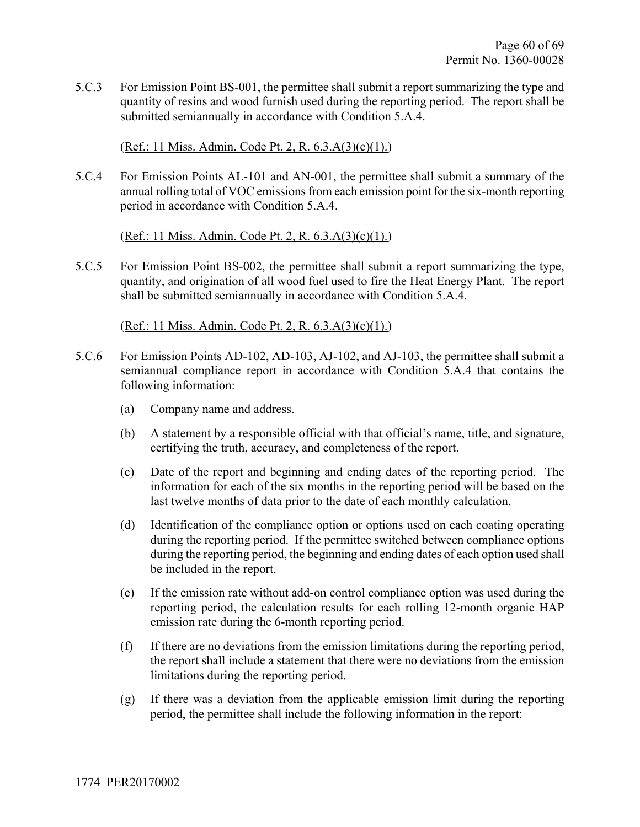5.C.3 For Emission Point BS-001, the permittee shall submit a report summarizing the type and quantity of resins and wood furnish used during the reporting period. The report shall be submitted semiannually in accordance with Condition 5.A.4.

(Ref.: 11 Miss. Admin. Code Pt. 2, R. 6.3.A(3)(c)(1).)

5.C.4 For Emission Points AL-101 and AN-001, the permittee shall submit a summary of the annual rolling total of VOC emissions from each emission point for the six-month reporting period in accordance with Condition 5.A.4.

(Ref.: 11 Miss. Admin. Code Pt. 2, R. 6.3.A(3)(c)(1).)

5.C.5 For Emission Point BS-002, the permittee shall submit a report summarizing the type, quantity, and origination of all wood fuel used to fire the Heat Energy Plant. The report shall be submitted semiannually in accordance with Condition 5.A.4.

(Ref.: 11 Miss. Admin. Code Pt. 2, R. 6.3.A(3)(c)(1).)

- 5.C.6 For Emission Points AD-102, AD-103, AJ-102, and AJ-103, the permittee shall submit a semiannual compliance report in accordance with Condition 5.A.4 that contains the following information:
	- (a) Company name and address.
	- (b) A statement by a responsible official with that official's name, title, and signature, certifying the truth, accuracy, and completeness of the report.
	- (c) Date of the report and beginning and ending dates of the reporting period. The information for each of the six months in the reporting period will be based on the last twelve months of data prior to the date of each monthly calculation.
	- (d) Identification of the compliance option or options used on each coating operating during the reporting period. If the permittee switched between compliance options during the reporting period, the beginning and ending dates of each option used shall be included in the report.
	- (e) If the emission rate without add-on control compliance option was used during the reporting period, the calculation results for each rolling 12-month organic HAP emission rate during the 6-month reporting period.
	- (f) If there are no deviations from the emission limitations during the reporting period, the report shall include a statement that there were no deviations from the emission limitations during the reporting period.
	- (g) If there was a deviation from the applicable emission limit during the reporting period, the permittee shall include the following information in the report: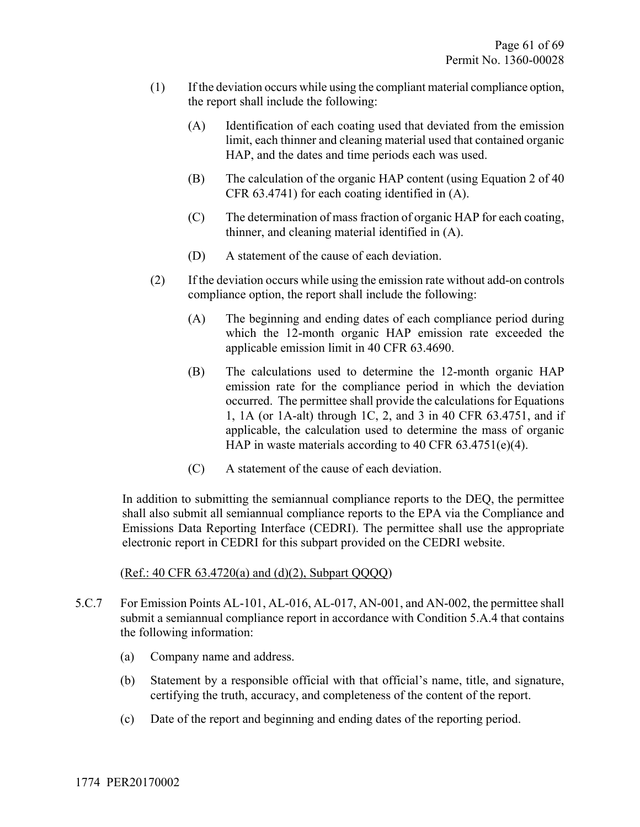- (1) If the deviation occurs while using the compliant material compliance option, the report shall include the following:
	- (A) Identification of each coating used that deviated from the emission limit, each thinner and cleaning material used that contained organic HAP, and the dates and time periods each was used.
	- (B) The calculation of the organic HAP content (using Equation 2 of 40 CFR 63.4741) for each coating identified in (A).
	- (C) The determination of mass fraction of organic HAP for each coating, thinner, and cleaning material identified in (A).
	- (D) A statement of the cause of each deviation.
- (2) If the deviation occurs while using the emission rate without add-on controls compliance option, the report shall include the following:
	- (A) The beginning and ending dates of each compliance period during which the 12-month organic HAP emission rate exceeded the applicable emission limit in 40 CFR 63.4690.
	- (B) The calculations used to determine the 12-month organic HAP emission rate for the compliance period in which the deviation occurred. The permittee shall provide the calculations for Equations 1, 1A (or 1A-alt) through 1C, 2, and 3 in 40 CFR 63.4751, and if applicable, the calculation used to determine the mass of organic HAP in waste materials according to 40 CFR 63.4751(e)(4).
	- (C) A statement of the cause of each deviation.

In addition to submitting the semiannual compliance reports to the DEQ, the permittee shall also submit all semiannual compliance reports to the EPA via the Compliance and Emissions Data Reporting Interface (CEDRI). The permittee shall use the appropriate electronic report in CEDRI for this subpart provided on the CEDRI website.

#### (Ref.: 40 CFR 63.4720(a) and (d)(2), Subpart QQQQ)

- 5.C.7 For Emission Points AL-101, AL-016, AL-017, AN-001, and AN-002, the permittee shall submit a semiannual compliance report in accordance with Condition 5.A.4 that contains the following information:
	- (a) Company name and address.
	- (b) Statement by a responsible official with that official's name, title, and signature, certifying the truth, accuracy, and completeness of the content of the report.
	- (c) Date of the report and beginning and ending dates of the reporting period.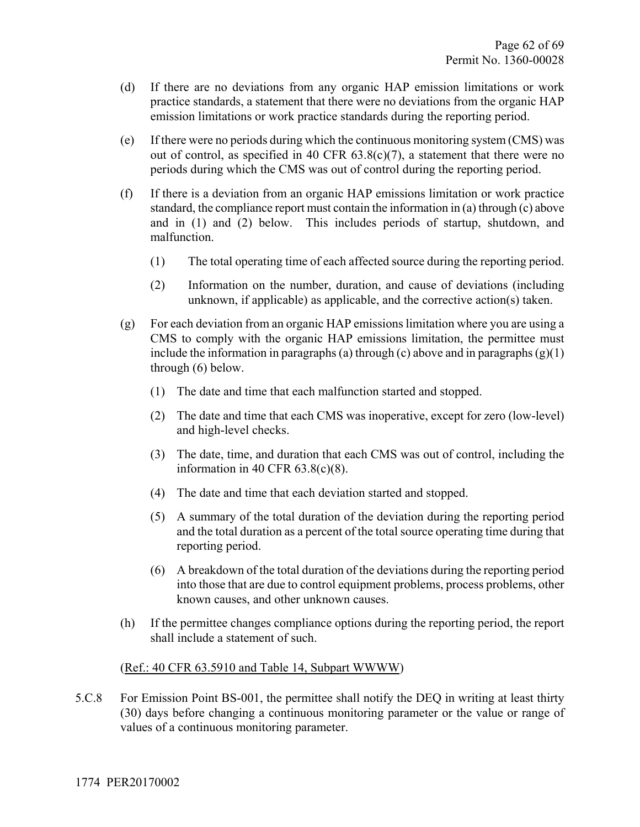- (d) If there are no deviations from any organic HAP emission limitations or work practice standards, a statement that there were no deviations from the organic HAP emission limitations or work practice standards during the reporting period.
- (e) If there were no periods during which the continuous monitoring system (CMS) was out of control, as specified in 40 CFR 63.8(c)(7), a statement that there were no periods during which the CMS was out of control during the reporting period.
- (f) If there is a deviation from an organic HAP emissions limitation or work practice standard, the compliance report must contain the information in (a) through (c) above and in (1) and (2) below. This includes periods of startup, shutdown, and malfunction.
	- (1) The total operating time of each affected source during the reporting period.
	- (2) Information on the number, duration, and cause of deviations (including unknown, if applicable) as applicable, and the corrective action(s) taken.
- (g) For each deviation from an organic HAP emissions limitation where you are using a CMS to comply with the organic HAP emissions limitation, the permittee must include the information in paragraphs (a) through (c) above and in paragraphs  $(g)(1)$ through (6) below.
	- (1) The date and time that each malfunction started and stopped.
	- (2) The date and time that each CMS was inoperative, except for zero (low-level) and high-level checks.
	- (3) The date, time, and duration that each CMS was out of control, including the information in 40 CFR 63.8(c)(8).
	- (4) The date and time that each deviation started and stopped.
	- (5) A summary of the total duration of the deviation during the reporting period and the total duration as a percent of the total source operating time during that reporting period.
	- (6) A breakdown of the total duration of the deviations during the reporting period into those that are due to control equipment problems, process problems, other known causes, and other unknown causes.
- (h) If the permittee changes compliance options during the reporting period, the report shall include a statement of such.

#### (Ref.: 40 CFR 63.5910 and Table 14, Subpart WWWW)

5.C.8 For Emission Point BS-001, the permittee shall notify the DEQ in writing at least thirty (30) days before changing a continuous monitoring parameter or the value or range of values of a continuous monitoring parameter.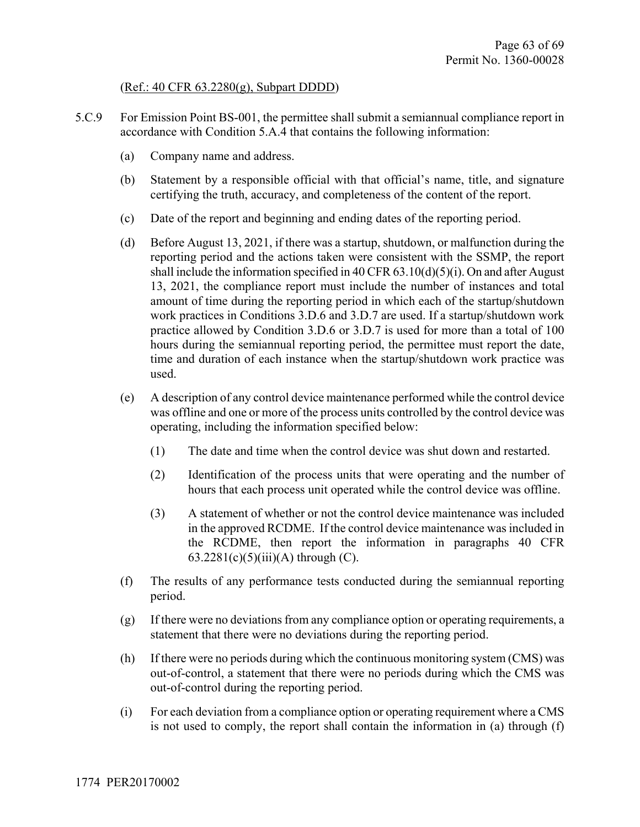#### (Ref.: 40 CFR 63.2280(g), Subpart DDDD)

- 5.C.9 For Emission Point BS-001, the permittee shall submit a semiannual compliance report in accordance with Condition 5.A.4 that contains the following information:
	- (a) Company name and address.
	- (b) Statement by a responsible official with that official's name, title, and signature certifying the truth, accuracy, and completeness of the content of the report.
	- (c) Date of the report and beginning and ending dates of the reporting period.
	- (d) Before August 13, 2021, if there was a startup, shutdown, or malfunction during the reporting period and the actions taken were consistent with the SSMP, the report shall include the information specified in 40 CFR  $63.10(d)(5)(i)$ . On and after August 13, 2021, the compliance report must include the number of instances and total amount of time during the reporting period in which each of the startup/shutdown work practices in Conditions 3.D.6 and 3.D.7 are used. If a startup/shutdown work practice allowed by Condition 3.D.6 or 3.D.7 is used for more than a total of 100 hours during the semiannual reporting period, the permittee must report the date, time and duration of each instance when the startup/shutdown work practice was used.
	- (e) A description of any control device maintenance performed while the control device was offline and one or more of the process units controlled by the control device was operating, including the information specified below:
		- (1) The date and time when the control device was shut down and restarted.
		- (2) Identification of the process units that were operating and the number of hours that each process unit operated while the control device was offline.
		- (3) A statement of whether or not the control device maintenance was included in the approved RCDME. If the control device maintenance was included in the RCDME, then report the information in paragraphs 40 CFR 63.2281(c)(5)(iii)(A) through (C).
	- (f) The results of any performance tests conducted during the semiannual reporting period.
	- (g) If there were no deviations from any compliance option or operating requirements, a statement that there were no deviations during the reporting period.
	- (h) If there were no periods during which the continuous monitoring system (CMS) was out-of-control, a statement that there were no periods during which the CMS was out-of-control during the reporting period.
	- (i) For each deviation from a compliance option or operating requirement where a CMS is not used to comply, the report shall contain the information in (a) through (f)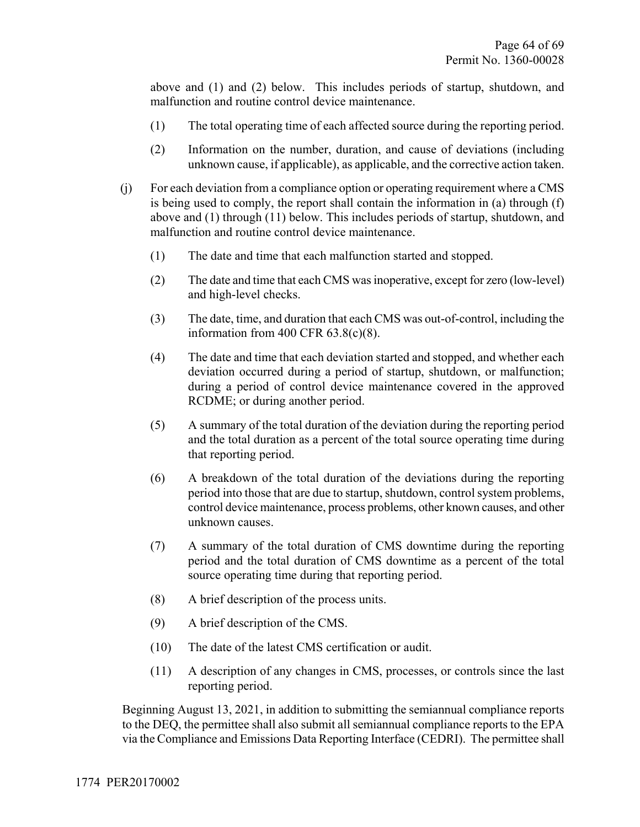above and (1) and (2) below. This includes periods of startup, shutdown, and malfunction and routine control device maintenance.

- (1) The total operating time of each affected source during the reporting period.
- (2) Information on the number, duration, and cause of deviations (including unknown cause, if applicable), as applicable, and the corrective action taken.
- (j) For each deviation from a compliance option or operating requirement where a CMS is being used to comply, the report shall contain the information in (a) through (f) above and (1) through (11) below. This includes periods of startup, shutdown, and malfunction and routine control device maintenance.
	- (1) The date and time that each malfunction started and stopped.
	- (2) The date and time that each CMS was inoperative, except for zero (low-level) and high-level checks.
	- (3) The date, time, and duration that each CMS was out-of-control, including the information from 400 CFR 63.8(c)(8).
	- (4) The date and time that each deviation started and stopped, and whether each deviation occurred during a period of startup, shutdown, or malfunction; during a period of control device maintenance covered in the approved RCDME; or during another period.
	- (5) A summary of the total duration of the deviation during the reporting period and the total duration as a percent of the total source operating time during that reporting period.
	- (6) A breakdown of the total duration of the deviations during the reporting period into those that are due to startup, shutdown, control system problems, control device maintenance, process problems, other known causes, and other unknown causes.
	- (7) A summary of the total duration of CMS downtime during the reporting period and the total duration of CMS downtime as a percent of the total source operating time during that reporting period.
	- (8) A brief description of the process units.
	- (9) A brief description of the CMS.
	- (10) The date of the latest CMS certification or audit.
	- (11) A description of any changes in CMS, processes, or controls since the last reporting period.

Beginning August 13, 2021, in addition to submitting the semiannual compliance reports to the DEQ, the permittee shall also submit all semiannual compliance reports to the EPA via the Compliance and Emissions Data Reporting Interface (CEDRI). The permittee shall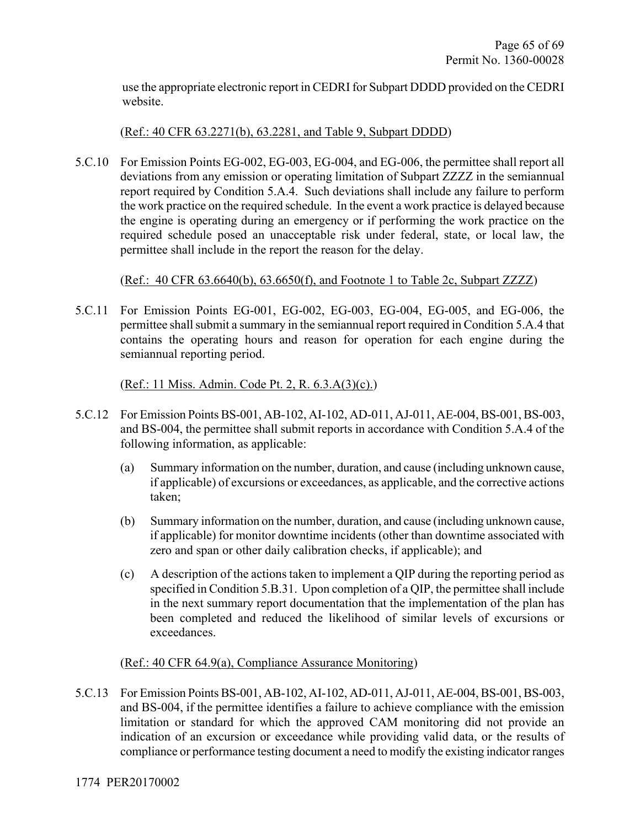use the appropriate electronic report in CEDRI for Subpart DDDD provided on the CEDRI website.

#### (Ref.: 40 CFR 63.2271(b), 63.2281, and Table 9, Subpart DDDD)

5.C.10 For Emission Points EG-002, EG-003, EG-004, and EG-006, the permittee shall report all deviations from any emission or operating limitation of Subpart ZZZZ in the semiannual report required by Condition 5.A.4. Such deviations shall include any failure to perform the work practice on the required schedule. In the event a work practice is delayed because the engine is operating during an emergency or if performing the work practice on the required schedule posed an unacceptable risk under federal, state, or local law, the permittee shall include in the report the reason for the delay.

#### (Ref.: 40 CFR 63.6640(b), 63.6650(f), and Footnote 1 to Table 2c, Subpart ZZZZ)

5.C.11 For Emission Points EG-001, EG-002, EG-003, EG-004, EG-005, and EG-006, the permittee shall submit a summary in the semiannual report required in Condition 5.A.4 that contains the operating hours and reason for operation for each engine during the semiannual reporting period.

#### (Ref.: 11 Miss. Admin. Code Pt. 2, R. 6.3.A(3)(c).)

- 5.C.12 For Emission Points BS-001, AB-102, AI-102, AD-011, AJ-011, AE-004, BS-001, BS-003, and BS-004, the permittee shall submit reports in accordance with Condition 5.A.4 of the following information, as applicable:
	- (a) Summary information on the number, duration, and cause (including unknown cause, if applicable) of excursions or exceedances, as applicable, and the corrective actions taken;
	- (b) Summary information on the number, duration, and cause (including unknown cause, if applicable) for monitor downtime incidents (other than downtime associated with zero and span or other daily calibration checks, if applicable); and
	- (c) A description of the actions taken to implement a QIP during the reporting period as specified in Condition 5.B.31. Upon completion of a QIP, the permittee shall include in the next summary report documentation that the implementation of the plan has been completed and reduced the likelihood of similar levels of excursions or exceedances.

#### (Ref.: 40 CFR 64.9(a), Compliance Assurance Monitoring)

5.C.13 For Emission Points BS-001, AB-102, AI-102, AD-011, AJ-011, AE-004, BS-001, BS-003, and BS-004, if the permittee identifies a failure to achieve compliance with the emission limitation or standard for which the approved CAM monitoring did not provide an indication of an excursion or exceedance while providing valid data, or the results of compliance or performance testing document a need to modify the existing indicator ranges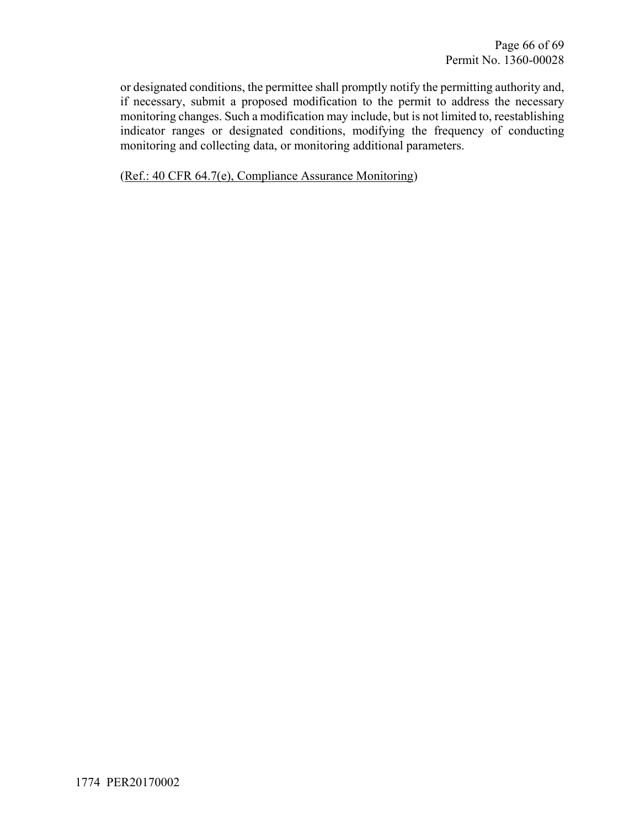or designated conditions, the permittee shall promptly notify the permitting authority and, if necessary, submit a proposed modification to the permit to address the necessary monitoring changes. Such a modification may include, but is not limited to, reestablishing indicator ranges or designated conditions, modifying the frequency of conducting monitoring and collecting data, or monitoring additional parameters.

(Ref.: 40 CFR 64.7(e), Compliance Assurance Monitoring)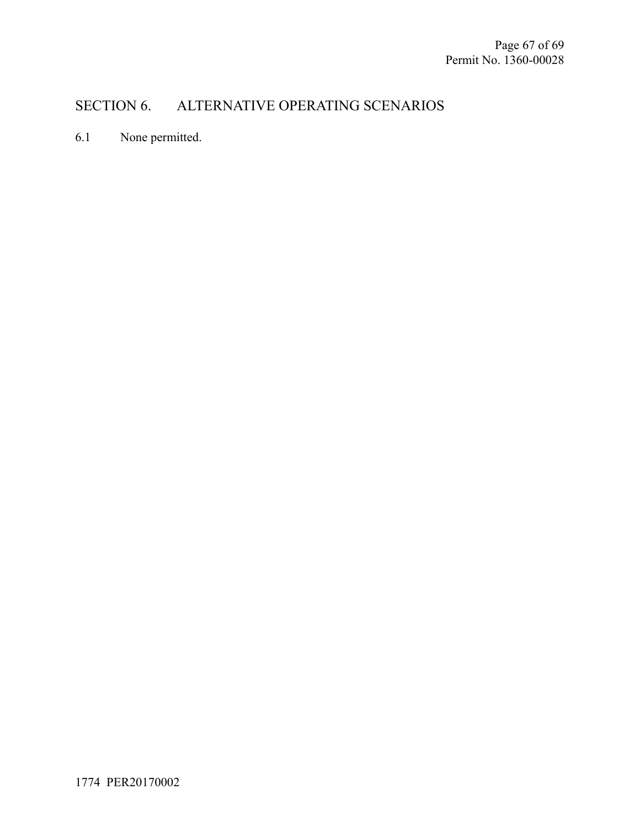## SECTION 6. ALTERNATIVE OPERATING SCENARIOS

6.1 None permitted.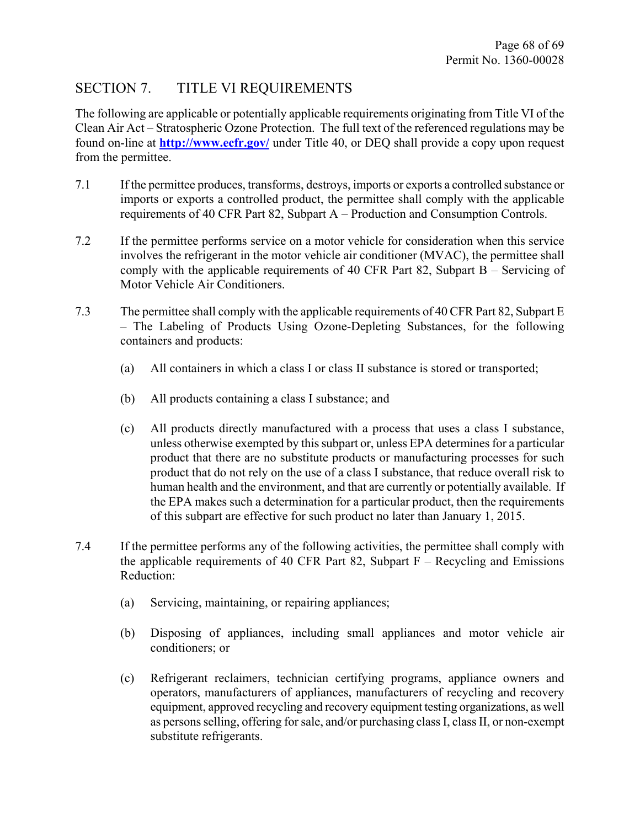## SECTION 7. TITLE VI REQUIREMENTS

The following are applicable or potentially applicable requirements originating from Title VI of the Clean Air Act – Stratospheric Ozone Protection. The full text of the referenced regulations may be found on-line at **http://www.ecfr.gov/** under Title 40, or DEQ shall provide a copy upon request from the permittee.

- 7.1 If the permittee produces, transforms, destroys, imports or exports a controlled substance or imports or exports a controlled product, the permittee shall comply with the applicable requirements of 40 CFR Part 82, Subpart A – Production and Consumption Controls.
- 7.2 If the permittee performs service on a motor vehicle for consideration when this service involves the refrigerant in the motor vehicle air conditioner (MVAC), the permittee shall comply with the applicable requirements of 40 CFR Part 82, Subpart B – Servicing of Motor Vehicle Air Conditioners.
- 7.3 The permittee shall comply with the applicable requirements of 40 CFR Part 82, Subpart E – The Labeling of Products Using Ozone-Depleting Substances, for the following containers and products:
	- (a) All containers in which a class I or class II substance is stored or transported;
	- (b) All products containing a class I substance; and
	- (c) All products directly manufactured with a process that uses a class I substance, unless otherwise exempted by this subpart or, unless EPA determines for a particular product that there are no substitute products or manufacturing processes for such product that do not rely on the use of a class I substance, that reduce overall risk to human health and the environment, and that are currently or potentially available. If the EPA makes such a determination for a particular product, then the requirements of this subpart are effective for such product no later than January 1, 2015.
- 7.4 If the permittee performs any of the following activities, the permittee shall comply with the applicable requirements of 40 CFR Part 82, Subpart  $F -$  Recycling and Emissions Reduction:
	- (a) Servicing, maintaining, or repairing appliances;
	- (b) Disposing of appliances, including small appliances and motor vehicle air conditioners; or
	- (c) Refrigerant reclaimers, technician certifying programs, appliance owners and operators, manufacturers of appliances, manufacturers of recycling and recovery equipment, approved recycling and recovery equipment testing organizations, as well as persons selling, offering for sale, and/or purchasing class I, class II, or non-exempt substitute refrigerants.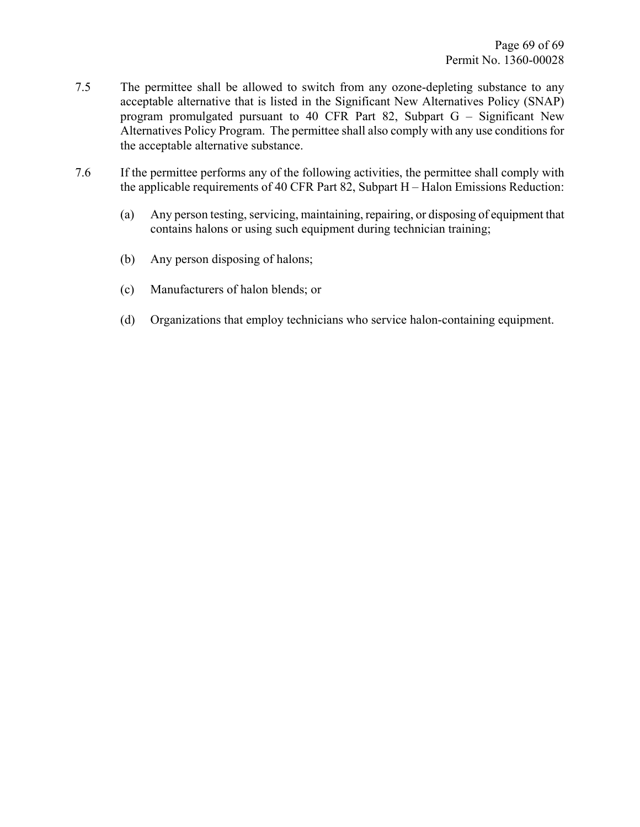- 7.5 The permittee shall be allowed to switch from any ozone-depleting substance to any acceptable alternative that is listed in the Significant New Alternatives Policy (SNAP) program promulgated pursuant to 40 CFR Part 82, Subpart G – Significant New Alternatives Policy Program. The permittee shall also comply with any use conditions for the acceptable alternative substance.
- 7.6 If the permittee performs any of the following activities, the permittee shall comply with the applicable requirements of 40 CFR Part 82, Subpart H – Halon Emissions Reduction:
	- (a) Any person testing, servicing, maintaining, repairing, or disposing of equipment that contains halons or using such equipment during technician training;
	- (b) Any person disposing of halons;
	- (c) Manufacturers of halon blends; or
	- (d) Organizations that employ technicians who service halon-containing equipment.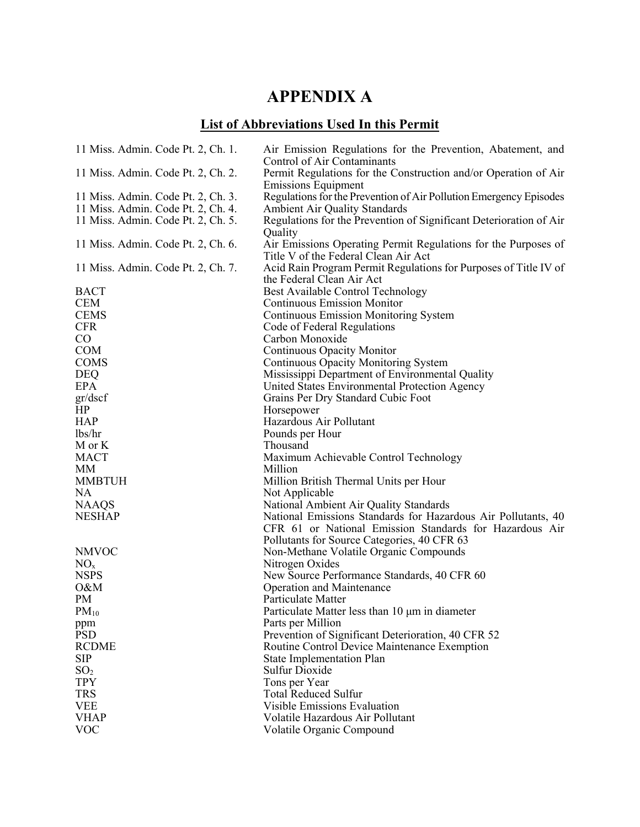# **APPENDIX A**

## **List of Abbreviations Used In this Permit**

| 11 Miss. Admin. Code Pt. 2, Ch. 1. | Air Emission Regulations for the Prevention, Abatement, and<br>Control of Air Contaminants    |
|------------------------------------|-----------------------------------------------------------------------------------------------|
| 11 Miss. Admin. Code Pt. 2, Ch. 2. | Permit Regulations for the Construction and/or Operation of Air<br><b>Emissions Equipment</b> |
| 11 Miss. Admin. Code Pt. 2, Ch. 3. | Regulations for the Prevention of Air Pollution Emergency Episodes                            |
| 11 Miss. Admin. Code Pt. 2, Ch. 4. | <b>Ambient Air Quality Standards</b>                                                          |
| 11 Miss. Admin. Code Pt. 2, Ch. 5. | Regulations for the Prevention of Significant Deterioration of Air                            |
|                                    | Quality                                                                                       |
| 11 Miss. Admin. Code Pt. 2, Ch. 6. | Air Emissions Operating Permit Regulations for the Purposes of                                |
|                                    | Title V of the Federal Clean Air Act                                                          |
| 11 Miss. Admin. Code Pt. 2, Ch. 7. | Acid Rain Program Permit Regulations for Purposes of Title IV of                              |
|                                    | the Federal Clean Air Act                                                                     |
| <b>BACT</b>                        | Best Available Control Technology                                                             |
| <b>CEM</b>                         | <b>Continuous Emission Monitor</b>                                                            |
| <b>CEMS</b>                        | <b>Continuous Emission Monitoring System</b>                                                  |
| <b>CFR</b>                         | Code of Federal Regulations                                                                   |
| $\rm CO$                           | Carbon Monoxide                                                                               |
| <b>COM</b>                         | Continuous Opacity Monitor                                                                    |
| <b>COMS</b>                        | Continuous Opacity Monitoring System                                                          |
| <b>DEQ</b>                         | Mississippi Department of Environmental Quality                                               |
| EPA                                | United States Environmental Protection Agency                                                 |
| gr/dscf                            | Grains Per Dry Standard Cubic Foot                                                            |
| HP                                 | Horsepower                                                                                    |
| <b>HAP</b>                         | Hazardous Air Pollutant                                                                       |
| lbs/hr                             | Pounds per Hour                                                                               |
| M or K                             | Thousand                                                                                      |
| <b>MACT</b>                        | Maximum Achievable Control Technology                                                         |
| МM                                 | Million                                                                                       |
| <b>MMBTUH</b>                      | Million British Thermal Units per Hour                                                        |
| <b>NA</b>                          | Not Applicable                                                                                |
| <b>NAAQS</b>                       | National Ambient Air Quality Standards                                                        |
| <b>NESHAP</b>                      | National Emissions Standards for Hazardous Air Pollutants, 40                                 |
|                                    | CFR 61 or National Emission Standards for Hazardous Air                                       |
|                                    | Pollutants for Source Categories, 40 CFR 63                                                   |
| <b>NMVOC</b>                       | Non-Methane Volatile Organic Compounds                                                        |
| NO <sub>x</sub>                    | Nitrogen Oxides                                                                               |
| <b>NSPS</b>                        | New Source Performance Standards, 40 CFR 60                                                   |
| O&M                                | <b>Operation and Maintenance</b>                                                              |
| PM                                 | Particulate Matter                                                                            |
| $PM_{10}$                          | Particulate Matter less than 10 µm in diameter                                                |
| ppm                                | Parts per Million                                                                             |
| <b>PSD</b>                         | Prevention of Significant Deterioration, 40 CFR 52                                            |
| <b>RCDME</b>                       | Routine Control Device Maintenance Exemption                                                  |
| <b>SIP</b>                         | <b>State Implementation Plan</b>                                                              |
| SO <sub>2</sub>                    | <b>Sulfur Dioxide</b>                                                                         |
| <b>TPY</b>                         | Tons per Year                                                                                 |
| <b>TRS</b>                         | <b>Total Reduced Sulfur</b>                                                                   |
| <b>VEE</b>                         | <b>Visible Emissions Evaluation</b>                                                           |
| <b>VHAP</b>                        | Volatile Hazardous Air Pollutant                                                              |
| <b>VOC</b>                         | Volatile Organic Compound                                                                     |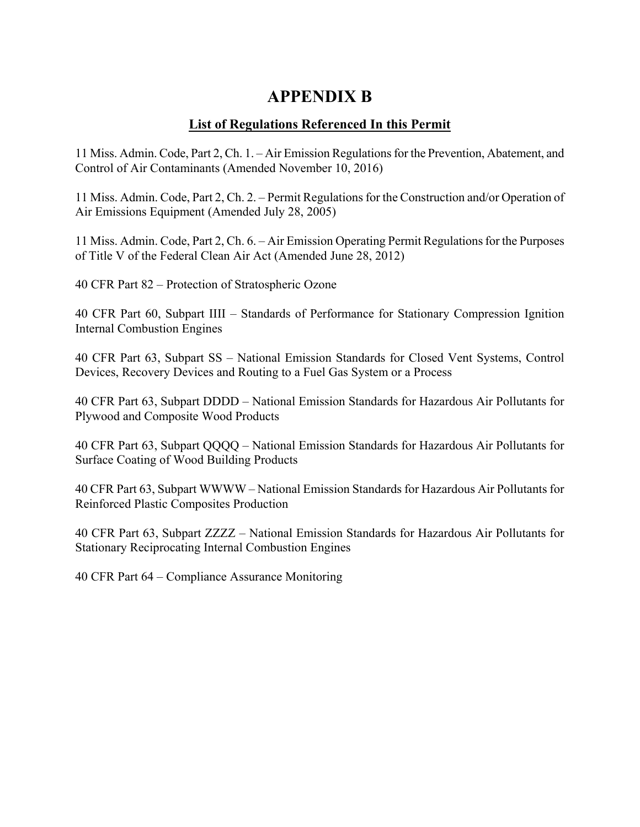## **APPENDIX B**

### **List of Regulations Referenced In this Permit**

11 Miss. Admin. Code, Part 2, Ch. 1. – Air Emission Regulations for the Prevention, Abatement, and Control of Air Contaminants (Amended November 10, 2016)

11 Miss. Admin. Code, Part 2, Ch. 2. – Permit Regulations for the Construction and/or Operation of Air Emissions Equipment (Amended July 28, 2005)

11 Miss. Admin. Code, Part 2, Ch. 6. – Air Emission Operating Permit Regulations for the Purposes of Title V of the Federal Clean Air Act (Amended June 28, 2012)

40 CFR Part 82 – Protection of Stratospheric Ozone

40 CFR Part 60, Subpart IIII – Standards of Performance for Stationary Compression Ignition Internal Combustion Engines

40 CFR Part 63, Subpart SS – National Emission Standards for Closed Vent Systems, Control Devices, Recovery Devices and Routing to a Fuel Gas System or a Process

40 CFR Part 63, Subpart DDDD – National Emission Standards for Hazardous Air Pollutants for Plywood and Composite Wood Products

40 CFR Part 63, Subpart QQQQ – National Emission Standards for Hazardous Air Pollutants for Surface Coating of Wood Building Products

40 CFR Part 63, Subpart WWWW – National Emission Standards for Hazardous Air Pollutants for Reinforced Plastic Composites Production

40 CFR Part 63, Subpart ZZZZ – National Emission Standards for Hazardous Air Pollutants for Stationary Reciprocating Internal Combustion Engines

40 CFR Part 64 – Compliance Assurance Monitoring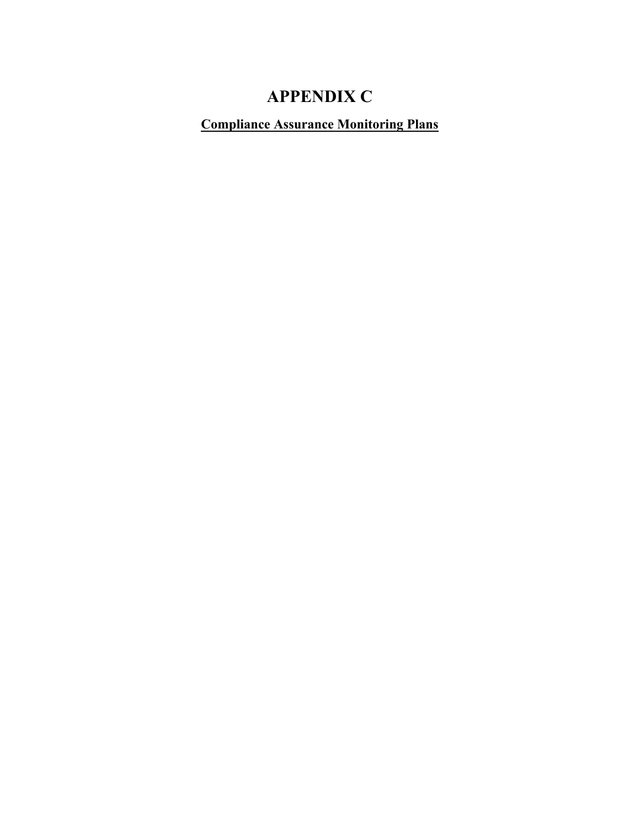# **APPENDIX C**

**Compliance Assurance Monitoring Plans**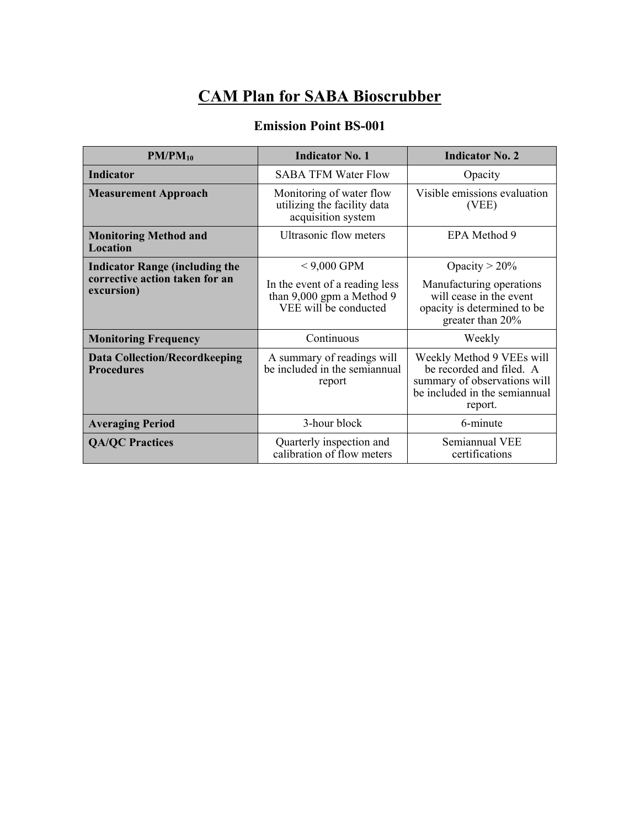# **CAM Plan for SABA Bioscrubber**

### **Emission Point BS-001**

| $PM/PM_{10}$                                                                          | <b>Indicator No. 1</b>                                                               | <b>Indicator No. 2</b>                                                                                                            |
|---------------------------------------------------------------------------------------|--------------------------------------------------------------------------------------|-----------------------------------------------------------------------------------------------------------------------------------|
| <b>Indicator</b>                                                                      | <b>SABA TFM Water Flow</b>                                                           | Opacity                                                                                                                           |
| <b>Measurement Approach</b>                                                           | Monitoring of water flow<br>utilizing the facility data<br>acquisition system        | Visible emissions evaluation<br>(VEE)                                                                                             |
| <b>Monitoring Method and</b><br><b>Location</b>                                       | Ultrasonic flow meters                                                               | EPA Method 9                                                                                                                      |
| <b>Indicator Range (including the</b><br>corrective action taken for an<br>excursion) | $< 9,000$ GPM                                                                        | Opacity $> 20\%$                                                                                                                  |
|                                                                                       | In the event of a reading less<br>than 9,000 gpm a Method 9<br>VEE will be conducted | Manufacturing operations<br>will cease in the event<br>opacity is determined to be<br>greater than 20%                            |
| <b>Monitoring Frequency</b>                                                           | Continuous                                                                           | Weekly                                                                                                                            |
| <b>Data Collection/Recordkeeping</b><br><b>Procedures</b>                             | A summary of readings will<br>be included in the semiannual<br>report                | Weekly Method 9 VEEs will<br>be recorded and filed. A<br>summary of observations will<br>be included in the semiannual<br>report. |
| <b>Averaging Period</b>                                                               | 3-hour block                                                                         | 6-minute                                                                                                                          |
| <b>QA/QC Practices</b>                                                                | Quarterly inspection and<br>calibration of flow meters                               | Semiannual VEE<br>certifications                                                                                                  |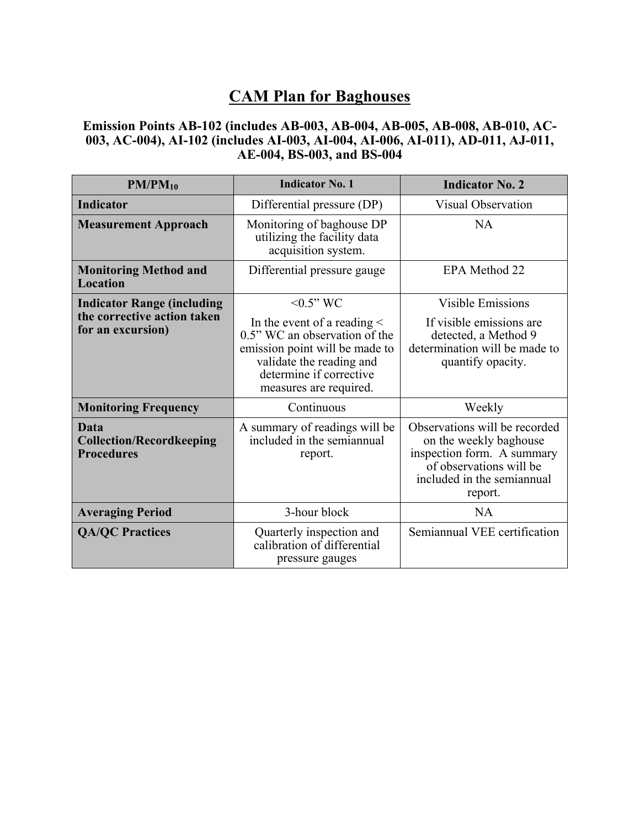## **CAM Plan for Baghouses**

### **Emission Points AB-102 (includes AB-003, AB-004, AB-005, AB-008, AB-010, AC-003, AC-004), AI-102 (includes AI-003, AI-004, AI-006, AI-011), AD-011, AJ-011, AE-004, BS-003, and BS-004**

| $PM/PM_{10}$                                                        | <b>Indicator No. 1</b>                                                                                                                                                               | <b>Indicator No. 2</b>                                                                                                                                    |
|---------------------------------------------------------------------|--------------------------------------------------------------------------------------------------------------------------------------------------------------------------------------|-----------------------------------------------------------------------------------------------------------------------------------------------------------|
| <b>Indicator</b>                                                    | Differential pressure (DP)                                                                                                                                                           | Visual Observation                                                                                                                                        |
| <b>Measurement Approach</b>                                         | Monitoring of baghouse DP<br>utilizing the facility data<br>acquisition system.                                                                                                      | <b>NA</b>                                                                                                                                                 |
| <b>Monitoring Method and</b><br><b>Location</b>                     | Differential pressure gauge                                                                                                                                                          | EPA Method 22                                                                                                                                             |
| <b>Indicator Range (including</b>                                   | $< 0.5$ " WC                                                                                                                                                                         | <b>Visible Emissions</b>                                                                                                                                  |
| the corrective action taken<br>for an excursion)                    | In the event of a reading $\leq$<br>0.5" WC an observation of the<br>emission point will be made to<br>validate the reading and<br>determine if corrective<br>measures are required. | If visible emissions are<br>detected, a Method 9<br>determination will be made to<br>quantify opacity.                                                    |
| <b>Monitoring Frequency</b>                                         | Continuous                                                                                                                                                                           | Weekly                                                                                                                                                    |
| <b>Data</b><br><b>Collection/Recordkeeping</b><br><b>Procedures</b> | A summary of readings will be<br>included in the semiannual<br>report.                                                                                                               | Observations will be recorded<br>on the weekly baghouse<br>inspection form. A summary<br>of observations will be<br>included in the semiannual<br>report. |
| <b>Averaging Period</b>                                             | 3-hour block                                                                                                                                                                         | NA                                                                                                                                                        |
| <b>QA/QC Practices</b>                                              | Quarterly inspection and<br>calibration of differential<br>pressure gauges                                                                                                           | Semiannual VEE certification                                                                                                                              |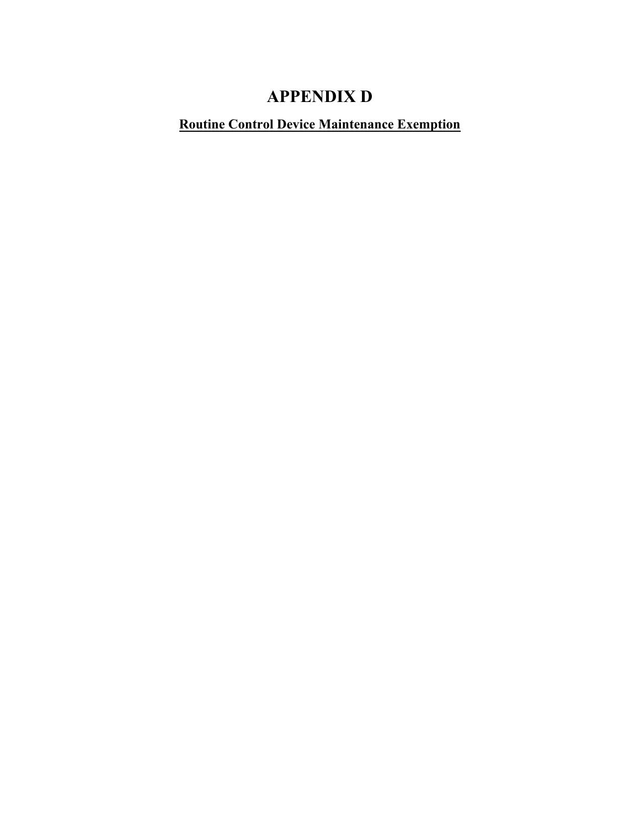# **APPENDIX D**

### **Routine Control Device Maintenance Exemption**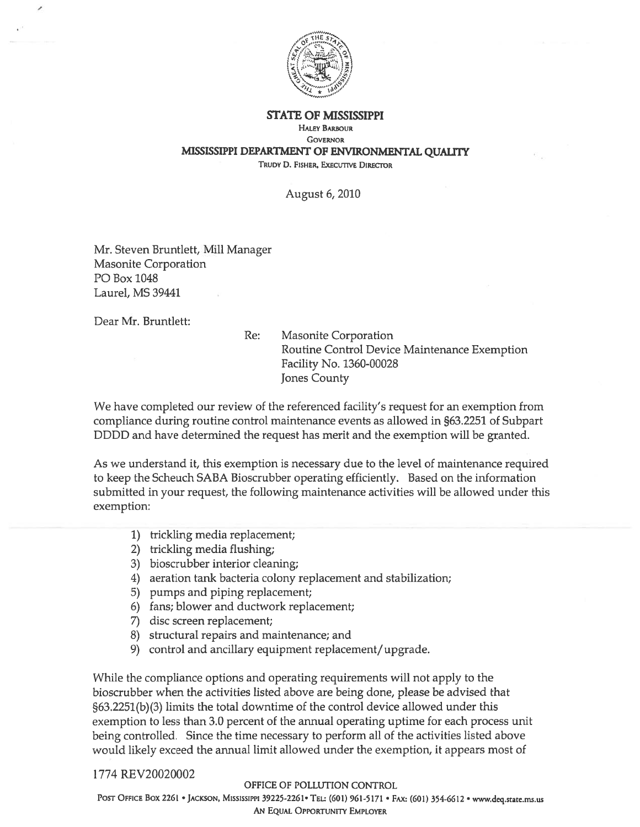

**STATE OF MISSISSIPPI** 

#### **HALEY BARBOUR**

**GOVERNOR** MISSISSIPPI DEPARTMENT OF ENVIRONMENTAL QUALITY

TRUDY D. FISHER, EXECUTIVE DIRECTOR

August 6, 2010

Mr. Steven Bruntlett, Mill Manager **Masonite Corporation** PO Box 1048 Laurel, MS 39441

Dear Mr. Bruntlett:

 $Re:$ **Masonite Corporation** Routine Control Device Maintenance Exemption Facility No. 1360-00028 **Jones County** 

We have completed our review of the referenced facility's request for an exemption from compliance during routine control maintenance events as allowed in §63.2251 of Subpart DDDD and have determined the request has merit and the exemption will be granted.

As we understand it, this exemption is necessary due to the level of maintenance required to keep the Scheuch SABA Bioscrubber operating efficiently. Based on the information submitted in your request, the following maintenance activities will be allowed under this exemption:

- 1) trickling media replacement;
- 2) trickling media flushing;
- 3) bioscrubber interior cleaning;
- 4) aeration tank bacteria colony replacement and stabilization;
- 5) pumps and piping replacement;
- 6) fans; blower and ductwork replacement;
- 7) disc screen replacement;
- 8) structural repairs and maintenance; and
- 9) control and ancillary equipment replacement/upgrade.

While the compliance options and operating requirements will not apply to the bioscrubber when the activities listed above are being done, please be advised that §63.2251(b)(3) limits the total downtime of the control device allowed under this exemption to less than 3.0 percent of the annual operating uptime for each process unit being controlled. Since the time necessary to perform all of the activities listed above would likely exceed the annual limit allowed under the exemption, it appears most of

#### 1774 REV20020002

#### OFFICE OF POLLUTION CONTROL

POST OFFICE BOX 2261 · JACKSON, MISSISSIPPI 39225-2261 · TEL: (601) 961-5171 · FAX: (601) 354-6612 · www.deq.state.ms.us AN EQUAL OPPORTUNITY EMPLOYER